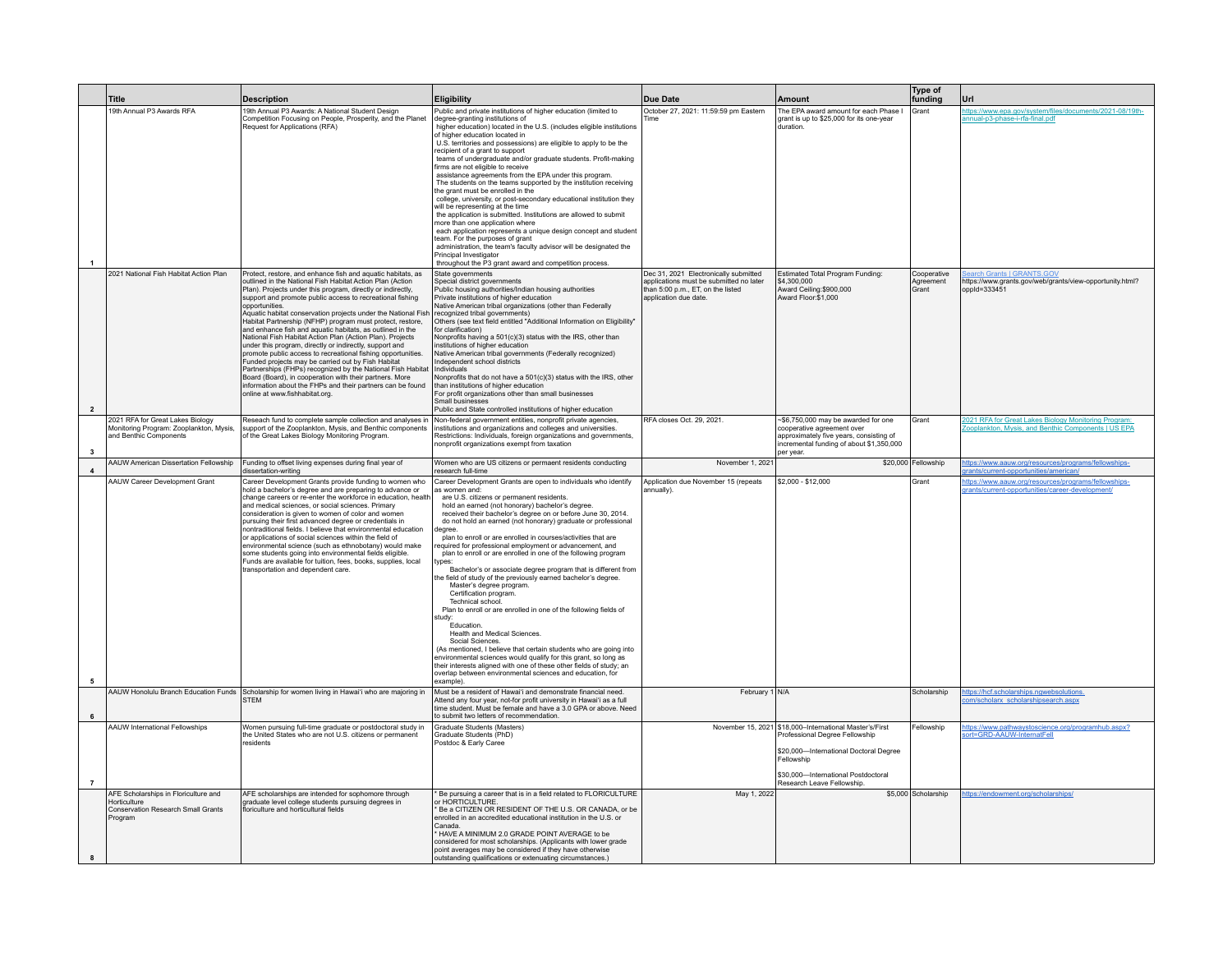|                         | <b>Title</b>                                                                                          | <b>Description</b>                                                                                                                                                                                                                                                                                                                                                                                                                                                                                                                                                                                                                                                                                                                                                                                                                                                                                                                        | Eligibility                                                                                                                                                                                                                                                                                                                                                                                                                                                                                                                                                                                                                                                                                                                                                                                                                                                                                                                                                                                                                                                                                                                                                                            | <b>Due Date</b>                                                                                                                               | Amount                                                                                                                                                                                                                   | Type of<br>funding                | Url                                                                                                      |
|-------------------------|-------------------------------------------------------------------------------------------------------|-------------------------------------------------------------------------------------------------------------------------------------------------------------------------------------------------------------------------------------------------------------------------------------------------------------------------------------------------------------------------------------------------------------------------------------------------------------------------------------------------------------------------------------------------------------------------------------------------------------------------------------------------------------------------------------------------------------------------------------------------------------------------------------------------------------------------------------------------------------------------------------------------------------------------------------------|----------------------------------------------------------------------------------------------------------------------------------------------------------------------------------------------------------------------------------------------------------------------------------------------------------------------------------------------------------------------------------------------------------------------------------------------------------------------------------------------------------------------------------------------------------------------------------------------------------------------------------------------------------------------------------------------------------------------------------------------------------------------------------------------------------------------------------------------------------------------------------------------------------------------------------------------------------------------------------------------------------------------------------------------------------------------------------------------------------------------------------------------------------------------------------------|-----------------------------------------------------------------------------------------------------------------------------------------------|--------------------------------------------------------------------------------------------------------------------------------------------------------------------------------------------------------------------------|-----------------------------------|----------------------------------------------------------------------------------------------------------|
| $\overline{1}$          | 19th Annual P3 Awards RFA                                                                             | 19th Annual P3 Awards: A National Student Design<br>Competition Focusing on People, Prosperity, and the Planet<br>Request for Applications (RFA)                                                                                                                                                                                                                                                                                                                                                                                                                                                                                                                                                                                                                                                                                                                                                                                          | Public and private institutions of higher education (limited to<br>degree-granting institutions of<br>higher education) located in the U.S. (includes eligible institutions<br>of higher education located in<br>U.S. territories and possessions) are eligible to apply to be the<br>recipient of a grant to support<br>teams of undergraduate and/or graduate students. Profit-making<br>firms are not eligible to receive<br>assistance agreements from the EPA under this program.<br>The students on the teams supported by the institution receiving<br>the grant must be enrolled in the<br>college, university, or post-secondary educational institution they<br>will be representing at the time<br>the application is submitted. Institutions are allowed to submit<br>more than one application where<br>each application represents a unique design concept and student<br>team. For the purposes of grant<br>administration, the team's faculty advisor will be designated the<br>Principal Investigator<br>throughout the P3 grant award and competition process.                                                                                                       | October 27, 2021: 11:59:59 pm Eastern<br>Time                                                                                                 | The EPA award amount for each Phase I<br>grant is up to \$25,000 for its one-year<br>duration                                                                                                                            | Grant                             | ttps://www.epa.gov/system/files/documents/2021-08/19th-<br>annual-p3-phase-i-rfa-final.pdf               |
| $\overline{2}$          | 2021 National Fish Habitat Action Plan                                                                | Protect, restore, and enhance fish and aquatic habitats, as<br>outlined in the National Fish Habitat Action Plan (Action<br>Plan). Projects under this program, directly or indirectly,<br>support and promote public access to recreational fishing<br>opportunities.<br>Aquatic habitat conservation projects under the National Fish<br>Habitat Partnership (NFHP) program must protect, restore,<br>and enhance fish and aquatic habitats, as outlined in the<br>National Fish Habitat Action Plan (Action Plan). Projects<br>under this program, directly or indirectly, support and<br>promote public access to recreational fishing opportunities.<br>Funded projects may be carried out by Fish Habitat<br>Partnerships (FHPs) recognized by the National Fish Habitat<br>Board (Board), in cooperation with their partners, More<br>information about the FHPs and their partners can be found<br>online at www.fishhabitat.org. | State governments<br>Special district governments<br>Public housing authorities/Indian housing authorities<br>Private institutions of higher education<br>Native American tribal organizations (other than Federally<br>recognized tribal governments)<br>Others (see text field entitled "Additional Information on Eligibility"<br>for clarification)<br>Nonprofits having a 501(c)(3) status with the IRS, other than<br>institutions of higher education<br>Native American tribal governments (Federally recognized)<br>Independent school districts<br>Individuals<br>Nonprofits that do not have a 501(c)(3) status with the IRS, other<br>than institutions of higher education<br>For profit organizations other than small businesses<br>Small businesses<br>Public and State controlled institutions of higher education                                                                                                                                                                                                                                                                                                                                                    | Dec 31, 2021 Electronically submitted<br>applications must be submitted no later<br>than 5:00 p.m., ET, on the listed<br>application due date | Estimated Total Program Funding:<br>\$4,300,000<br>Award Ceiling:\$900,000<br>Award Floor:\$1,000                                                                                                                        | Cooperative<br>Agreement<br>Grant | arch Grants   GRANTS.GOV<br>https://www.grants.gov/web/grants/view-opportunity.html?<br>oppId=333451     |
| $\overline{\mathbf{3}}$ | 2021 RFA for Great Lakes Biology<br>Monitoring Program: Zooplankton, Mysis,<br>and Benthic Components | Reseach fund to complete sample collection and analyses in<br>support of the Zooplankton, Mysis, and Benthic components<br>of the Great Lakes Biology Monitoring Program.                                                                                                                                                                                                                                                                                                                                                                                                                                                                                                                                                                                                                                                                                                                                                                 | Non-federal government entities, nonprofit private agencies,<br>institutions and organizations and colleges and universities.<br>Restrictions: Individuals, foreign organizations and governments,<br>nonprofit organizations exempt from taxation                                                                                                                                                                                                                                                                                                                                                                                                                                                                                                                                                                                                                                                                                                                                                                                                                                                                                                                                     | RFA closes Oct. 29, 2021                                                                                                                      | -\$6,750,000 may be awarded for one<br>cooperative agreement over<br>approximately five years, consisting of<br>incremental funding of about \$1,350,000<br>per vear.                                                    | Grant                             | 021 RFA for Great Lakes Biology Monitoring Program:<br>skton, Mysis, and Benthic Components LUS EPA      |
| $\overline{\mathbf{4}}$ | <b>AAUW American Dissertation Fellowship</b>                                                          | Funding to offset living expenses during final year of<br>dissertation-writing                                                                                                                                                                                                                                                                                                                                                                                                                                                                                                                                                                                                                                                                                                                                                                                                                                                            | Women who are US citizens or permaent residents conducting<br>research full-time                                                                                                                                                                                                                                                                                                                                                                                                                                                                                                                                                                                                                                                                                                                                                                                                                                                                                                                                                                                                                                                                                                       | November 1, 2021                                                                                                                              |                                                                                                                                                                                                                          | \$20,000 Fellowship               | https://www.aauw.org/resources/programs/fellowships-<br>grants/current-opportunities/american/           |
| 5                       | AAUW Career Development Grant                                                                         | Career Development Grants provide funding to women who<br>hold a bachelor's degree and are preparing to advance or<br>change careers or re-enter the workforce in education, health<br>and medical sciences, or social sciences. Primary<br>consideration is given to women of color and women<br>pursuing their first advanced degree or credentials in<br>nontraditional fields. I believe that environmental education<br>or applications of social sciences within the field of<br>environmental science (such as ethnobotany) would make<br>some students going into environmental fields eligible.<br>Funds are available for tuition, fees, books, supplies, local<br>transportation and dependent care.                                                                                                                                                                                                                           | Career Development Grants are open to individuals who identify<br>as women and:<br>are U.S. citizens or permanent residents.<br>hold an earned (not honorary) bachelor's degree.<br>received their bachelor's degree on or before June 30, 2014.<br>do not hold an earned (not honorary) graduate or professional<br>earee<br>plan to enroll or are enrolled in courses/activities that are<br>equired for professional employment or advancement, and<br>plan to enroll or are enrolled in one of the following program<br>types:<br>Bachelor's or associate degree program that is different from<br>the field of study of the previously earned bachelor's degree.<br>Master's degree program<br>Certification program.<br>Technical school.<br>Plan to enroll or are enrolled in one of the following fields of<br>study:<br>Fducation<br>Health and Medical Sciences.<br>Social Sciences.<br>(As mentioned, I believe that certain students who are going into<br>environmental sciences would qualify for this grant, so long as<br>their interests aligned with one of these other fields of study; an<br>overlap between environmental sciences and education, for<br>example) | Application due November 15 (repeats<br>annually).                                                                                            | \$2,000 - \$12,000                                                                                                                                                                                                       | Grant                             | https://www.aauw.org/resources/programs/fellowships-<br>grants/current-opportunities/career-development/ |
| 6                       |                                                                                                       | AAUW Honolulu Branch Education Funds Scholarship for women living in Hawai'i who are majoring in<br><b>STFM</b>                                                                                                                                                                                                                                                                                                                                                                                                                                                                                                                                                                                                                                                                                                                                                                                                                           | Must be a resident of Hawai'i and demonstrate financial need.<br>Attend any four year, not-for profit university in Hawai'i as a full<br>time student. Must be female and have a 3.0 GPA or above. Need<br>to submit two letters of recommendation.                                                                                                                                                                                                                                                                                                                                                                                                                                                                                                                                                                                                                                                                                                                                                                                                                                                                                                                                    | February 1 N/A                                                                                                                                |                                                                                                                                                                                                                          | Scholarship                       | ttps://hcf.scholarships.ngwebsolutions.<br>om/scholarx scholarshipsearch.aspx                            |
| $\overline{7}$          | AAUW International Fellowships                                                                        | Women pursuing full-time graduate or postdoctoral study in<br>the United States who are not U.S. citizens or permanent<br>residents                                                                                                                                                                                                                                                                                                                                                                                                                                                                                                                                                                                                                                                                                                                                                                                                       | Graduate Students (Masters)<br>Graduate Students (PhD)<br>Postdoc & Early Caree                                                                                                                                                                                                                                                                                                                                                                                                                                                                                                                                                                                                                                                                                                                                                                                                                                                                                                                                                                                                                                                                                                        |                                                                                                                                               | November 15, 2021   \$18,000-International Master's/First<br>Professional Degree Fellowship<br>\$20,000-International Doctoral Degree<br>Fellowship<br>\$30.000-International Postdoctoral<br>Research Leave Fellowship. | Fellowship                        | https://www.pathwaystoscience.org/programhub.aspx?<br>ort=GRD-AAUW-InternatFell                          |
| 8                       | AFE Scholarships in Floriculture and<br>Horticulture<br>Conservation Research Small Grants<br>Program | AFE scholarships are intended for sophomore through<br>graduate level college students pursuing degrees in<br>floriculture and horticultural fields                                                                                                                                                                                                                                                                                                                                                                                                                                                                                                                                                                                                                                                                                                                                                                                       | * Be pursuing a career that is in a field related to FLORICULTURE<br>or HORTICULTURE.<br>Be a CITIZEN OR RESIDENT OF THE U.S. OR CANADA, or be<br>enrolled in an accredited educational institution in the U.S. or<br>Canada<br>* HAVE A MINIMUM 2.0 GRADE POINT AVERAGE to be<br>considered for most scholarships. (Applicants with lower grade<br>point averages may be considered if they have otherwise<br>outstanding qualifications or extenuating circumstances.)                                                                                                                                                                                                                                                                                                                                                                                                                                                                                                                                                                                                                                                                                                               | May 1, 2022                                                                                                                                   |                                                                                                                                                                                                                          | \$5,000 Scholarship               | https://endowment.org/scholarships/                                                                      |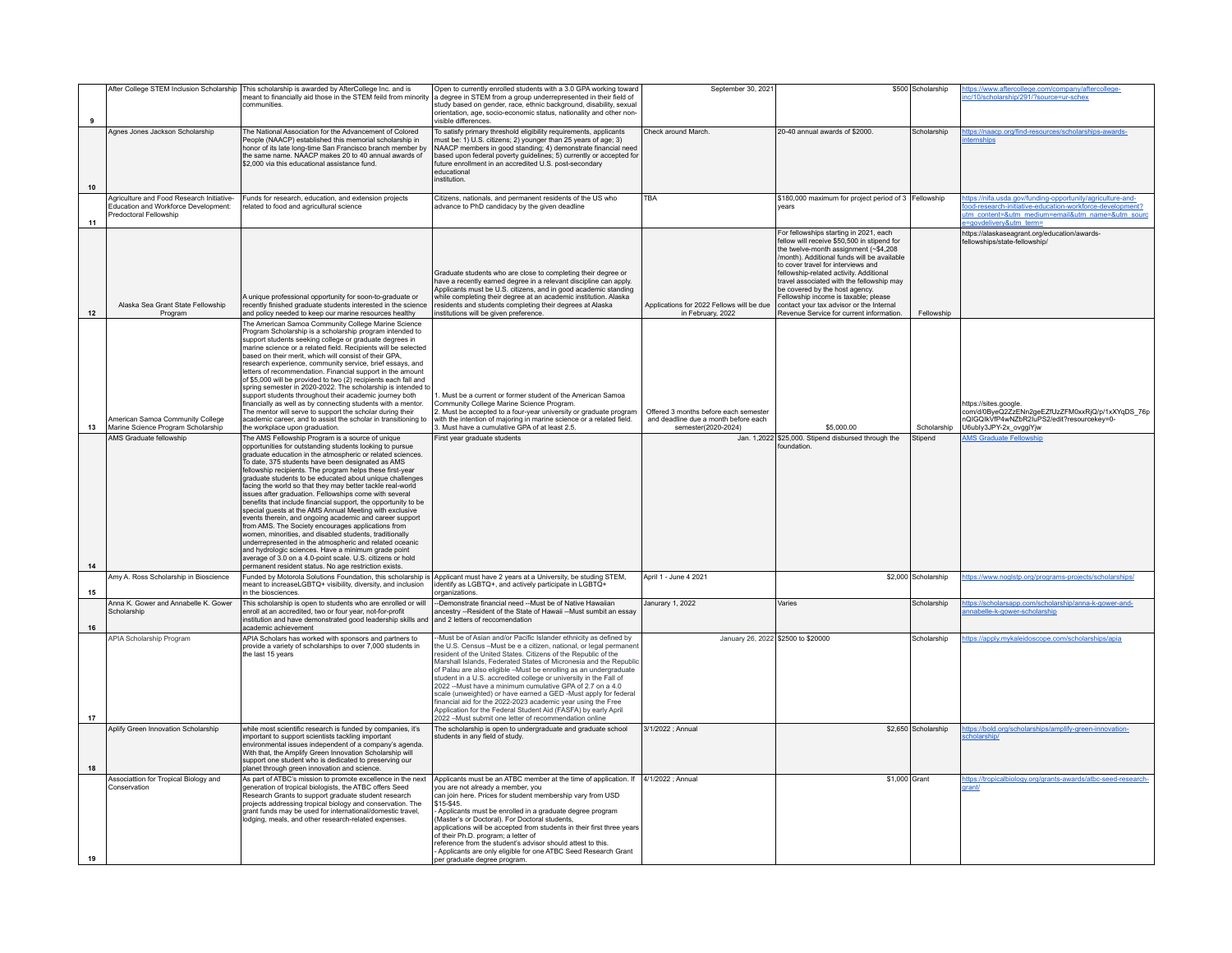|    |                                                                                                             | After College STEM Inclusion Scholarship   This scholarship is awarded by AfterCollege Inc. and is                                                                                                                                                                                                                                                                                                                                                                                                                                                                                                                                                                                                                                                                                                                                                                                                                                                                                                                                 | Open to currently enrolled students with a 3.0 GPA working toward                                                                                                                                                                                                                                                                                                                                                                                                                                                                                                                                                                                                                                                                                      | September 30, 2021                                                                                   |                                                                                                                                                                                                                                                                                                                                                                                                                                                                                | \$500 Scholarship   | ttps://www.aftercollege.com/company/aftercollege-                                                                                                                                                     |
|----|-------------------------------------------------------------------------------------------------------------|------------------------------------------------------------------------------------------------------------------------------------------------------------------------------------------------------------------------------------------------------------------------------------------------------------------------------------------------------------------------------------------------------------------------------------------------------------------------------------------------------------------------------------------------------------------------------------------------------------------------------------------------------------------------------------------------------------------------------------------------------------------------------------------------------------------------------------------------------------------------------------------------------------------------------------------------------------------------------------------------------------------------------------|--------------------------------------------------------------------------------------------------------------------------------------------------------------------------------------------------------------------------------------------------------------------------------------------------------------------------------------------------------------------------------------------------------------------------------------------------------------------------------------------------------------------------------------------------------------------------------------------------------------------------------------------------------------------------------------------------------------------------------------------------------|------------------------------------------------------------------------------------------------------|--------------------------------------------------------------------------------------------------------------------------------------------------------------------------------------------------------------------------------------------------------------------------------------------------------------------------------------------------------------------------------------------------------------------------------------------------------------------------------|---------------------|-------------------------------------------------------------------------------------------------------------------------------------------------------------------------------------------------------|
| 9  |                                                                                                             | meant to financially aid those in the STEM feild from minority<br>communities                                                                                                                                                                                                                                                                                                                                                                                                                                                                                                                                                                                                                                                                                                                                                                                                                                                                                                                                                      | a degree in STEM from a group underrepresented in their field of<br>study based on gender, race, ethnic background, disability, sexual<br>orientation, age, socio-economic status, nationality and other non-<br>visible differences.                                                                                                                                                                                                                                                                                                                                                                                                                                                                                                                  |                                                                                                      |                                                                                                                                                                                                                                                                                                                                                                                                                                                                                |                     | nc/10/scholarship/291/?source=ur-schex                                                                                                                                                                |
| 10 | Agnes Jones Jackson Scholarship                                                                             | The National Association for the Advancement of Colored<br>People (NAACP) established this memorial scholarship in<br>honor of its late long-time San Francisco branch member by<br>the same name. NAACP makes 20 to 40 annual awards of<br>\$2,000 via this educational assistance fund.                                                                                                                                                                                                                                                                                                                                                                                                                                                                                                                                                                                                                                                                                                                                          | To satisfy primary threshold eligibility requirements, applicants<br>must be: 1) U.S. citizens; 2) younger than 25 years of age; 3)<br>NAACP members in good standing; 4) demonstrate financial need<br>based upon federal poverty guidelines; 5) currently or accepted for<br>future enrollment in an accredited U.S. post-secondary<br>educational<br>nstitution.                                                                                                                                                                                                                                                                                                                                                                                    | Check around March.                                                                                  | 20-40 annual awards of \$2000.                                                                                                                                                                                                                                                                                                                                                                                                                                                 | Scholarshin         | https://naacp.org/find-resources/scholarships-awards-<br><b>temships</b>                                                                                                                              |
| 11 | Agriculture and Food Research Initiative-<br>Education and Workforce Development:<br>Predoctoral Fellowship | Funds for research, education, and extension projects<br>related to food and agricultural science                                                                                                                                                                                                                                                                                                                                                                                                                                                                                                                                                                                                                                                                                                                                                                                                                                                                                                                                  | Citizens, nationals, and permanent residents of the US who<br>advance to PhD candidacy by the given deadline                                                                                                                                                                                                                                                                                                                                                                                                                                                                                                                                                                                                                                           | TRA                                                                                                  | \$180,000 maximum for project period of 3 Fellowship<br>vears                                                                                                                                                                                                                                                                                                                                                                                                                  |                     | https://nifa.usda.gov/funding-opportunity/agriculture-and-<br>ood-research-initiative-education-workforce-development?<br>utm content=&utm medium=email&utm name=&utm sourc<br>=govdelivery&utm_term= |
| 12 | Alaska Sea Grant State Fellowship<br>Program                                                                | A unique professional opportunity for soon-to-graduate or<br>ecently finished graduate students interested in the science<br>and policy needed to keep our marine resources healthy                                                                                                                                                                                                                                                                                                                                                                                                                                                                                                                                                                                                                                                                                                                                                                                                                                                | Graduate students who are close to completing their degree or<br>have a recently earned degree in a relevant discipline can apply.<br>Applicants must be U.S. citizens, and in good academic standing<br>while completing their degree at an academic institution. Alaska<br>esidents and students completing their degrees at Alaska<br>nstitutions will be given preference.                                                                                                                                                                                                                                                                                                                                                                         | Applications for 2022 Fellows will be due<br>in February, 2022                                       | For fellowships starting in 2021, each<br>fellow will receive \$50,500 in stipend for<br>the twelve-month assignment (~\$4,208)<br>/month). Additional funds will be available<br>to cover travel for interviews and<br>fellowship-related activity, Additional<br>travel associated with the fellowship may<br>be covered by the host agency.<br>Fellowship income is taxable; please<br>contact your tax advisor or the Internal<br>Revenue Service for current information. | Fellowship          | https://alaskaseagrant.org/education/awards-<br>fellowships/state-fellowship/                                                                                                                         |
| 13 | American Samoa Community College<br>Marine Science Program Scholarship                                      | The American Samoa Community College Marine Science<br>Program Scholarship is a scholarship program intended to<br>support students seeking college or graduate degrees in<br>narine science or a related field. Recipients will be selected<br>based on their merit, which will consist of their GPA,<br>research experience, community service, brief essays, and<br>letters of recommendation. Financial support in the amount<br>of \$5,000 will be provided to two (2) recipients each fall and<br>spring semester in 2020-2022. The scholarship is intended to<br>support students throughout their academic journey both<br>financially as well as by connecting students with a mentor.<br>The mentor will serve to support the scholar during their<br>academic career, and to assist the scholar in transitioning to<br>the workplace upon graduation.                                                                                                                                                                   | Must be a current or former student of the American Samoa<br>Community College Marine Science Program<br>2. Must be accepted to a four-year university or graduate program<br>vith the intention of majoring in marine science or a related field.<br>3. Must have a cumulative GPA of at least 2.5.                                                                                                                                                                                                                                                                                                                                                                                                                                                   | Offered 3 months before each semester<br>and deadline due a month before each<br>semester(2020-2024) | \$5,000.00                                                                                                                                                                                                                                                                                                                                                                                                                                                                     | Scholarship         | https://sites.google.<br>com/d/0ByeQ2ZzENn2geEZfUzZFM0xxRjQ/p/1xXYqDS_76p<br>nQIGQIkVfP4wNZbR2IuPS2/edit?resourcekey=0-<br>U6ubly3JPY-2x_ovggiYjw                                                     |
| 14 | AMS Graduate fellowship                                                                                     | The AMS Fellowship Program is a source of unique<br>opportunities for outstanding students looking to pursue<br>graduate education in the atmospheric or related sciences.<br>fo date, 375 students have been designated as AMS<br>fellowship recipients. The program helps these first-year<br>graduate students to be educated about unique challenges<br>facing the world so that they may better tackle real-world<br>issues after graduation. Fellowships come with several<br>benefits that include financial support, the opportunity to be<br>special quests at the AMS Annual Meeting with exclusive<br>events therein, and ongoing academic and career support<br>from AMS. The Society encourages applications from<br>women, minorities, and disabled students, traditionally<br>underrepresented in the atmospheric and related oceanic<br>and hydrologic sciences. Have a minimum grade point<br>average of 3.0 on a 4.0-point scale. U.S. citizens or hold<br>permanent resident status. No age restriction exists. | First year graduate students                                                                                                                                                                                                                                                                                                                                                                                                                                                                                                                                                                                                                                                                                                                           |                                                                                                      | Jan. 1,2022 \$25,000. Stipend disbursed through the<br>oundation                                                                                                                                                                                                                                                                                                                                                                                                               | Stipend             | <b>AMS Graduate Fellowship</b>                                                                                                                                                                        |
| 15 | Amy A. Ross Scholarship in Bioscience                                                                       | meant to increaseLGBTQ+ visibility, diversity, and inclusion<br>in the biosciences.                                                                                                                                                                                                                                                                                                                                                                                                                                                                                                                                                                                                                                                                                                                                                                                                                                                                                                                                                | Funded by Motorola Solutions Foundation, this scholarship is Applicant must have 2 years at a University, be studing STEM,<br>identify as LGBTQ+, and actively participate in LGBTQ+<br>proanizations                                                                                                                                                                                                                                                                                                                                                                                                                                                                                                                                                  | April 1 - June 4 2021                                                                                |                                                                                                                                                                                                                                                                                                                                                                                                                                                                                | \$2,000 Scholarship | https://www.noglstp.org/programs-projects/scholarships/                                                                                                                                               |
| 16 | Anna K. Gower and Annabelle K. Gower<br>Scholarship                                                         | This scholarship is open to students who are enrolled or will<br>enroll at an accredited, two or four year, not-for-profit<br>institution and have demonstrated good leadership skills and<br>academic achievement                                                                                                                                                                                                                                                                                                                                                                                                                                                                                                                                                                                                                                                                                                                                                                                                                 | -Demonstrate financial need --Must be of Native Hawaiian<br>ancestry --Resident of the State of Hawaii --Must sumbit an essay<br>and 2 letters of reccomendation                                                                                                                                                                                                                                                                                                                                                                                                                                                                                                                                                                                       | Janurary 1, 2022                                                                                     | Varies                                                                                                                                                                                                                                                                                                                                                                                                                                                                         | Scholarshin         | ttps://scholarsapp.com/scholarship/anna-k-gower-and-<br>nnabelle-k-gower-scholarship                                                                                                                  |
| 17 | <b>APIA Scholarship Program</b>                                                                             | APIA Scholars has worked with sponsors and partners to<br>provide a variety of scholarships to over 7,000 students in<br>the last 15 years                                                                                                                                                                                                                                                                                                                                                                                                                                                                                                                                                                                                                                                                                                                                                                                                                                                                                         | -Must be of Asian and/or Pacific Islander ethnicity as defined by<br>the U.S. Census - Must be e a citizen, national, or legal permanent<br>resident of the United States. Citizens of the Republic of the<br>Marshall Islands, Federated States of Micronesia and the Republic<br>of Palau are also eligible -Must be enrolling as an undergraduate<br>student in a U.S. accredited college or university in the Fall of<br>2022 -- Must have a minimum cumulative GPA of 2.7 on a 4.0<br>scale (unweighted) or have earned a GED -Must apply for federal<br>financial aid for the 2022-2023 academic year using the Free<br>Application for the Federal Student Aid (FASFA) by early April<br>2022 - Must submit one letter of recommendation online | January 26, 2022 \$2500 to \$20000                                                                   |                                                                                                                                                                                                                                                                                                                                                                                                                                                                                | Scholarship         | ttps://apply.mykaleidoscope.com/scholarships/apia                                                                                                                                                     |
| 18 | Aplify Green Innovation Scholarship                                                                         | while most scientific research is funded by companies, it's<br>important to support scientists tackling important<br>environmental issues independent of a company's agenda.<br>With that, the Amplify Green Innovation Scholarship will<br>support one student who is dedicated to preserving our<br>planet through green innovation and science.                                                                                                                                                                                                                                                                                                                                                                                                                                                                                                                                                                                                                                                                                 | The scholarship is open to undergraduate and graduate school<br>students in any field of study.                                                                                                                                                                                                                                                                                                                                                                                                                                                                                                                                                                                                                                                        | 3/1/2022 ; Annual                                                                                    |                                                                                                                                                                                                                                                                                                                                                                                                                                                                                | \$2,650 Scholarship | https://bold.org/scholarships/amplify-green-innovation-<br>cholarship/                                                                                                                                |
| 19 | Associattion for Tropical Biology and<br>Conservation                                                       | As part of ATBC's mission to promote excellence in the next<br>generation of tropical biologists, the ATBC offers Seed<br>Research Grants to support graduate student research<br>projects addressing tropical biology and conservation. The<br>grant funds may be used for international/domestic travel,<br>lodging, meals, and other research-related expenses.                                                                                                                                                                                                                                                                                                                                                                                                                                                                                                                                                                                                                                                                 | Applicants must be an ATBC member at the time of application. If 4/1/2022 : Annual<br>vou are not already a member, you<br>can join here. Prices for student membership vary from USD<br>\$15-\$45<br>Applicants must be enrolled in a graduate degree program<br>Master's or Doctoral). For Doctoral students,<br>applications will be accepted from students in their first three years<br>of their Ph.D. program; a letter of<br>reference from the student's advisor should attest to this.<br>Applicants are only eligible for one ATBC Seed Research Grant<br>per graduate degree program.                                                                                                                                                       |                                                                                                      | \$1,000 Grant                                                                                                                                                                                                                                                                                                                                                                                                                                                                  |                     | https://tropicalbiology.org/grants-awards/atbc-seed-research-<br>grant/                                                                                                                               |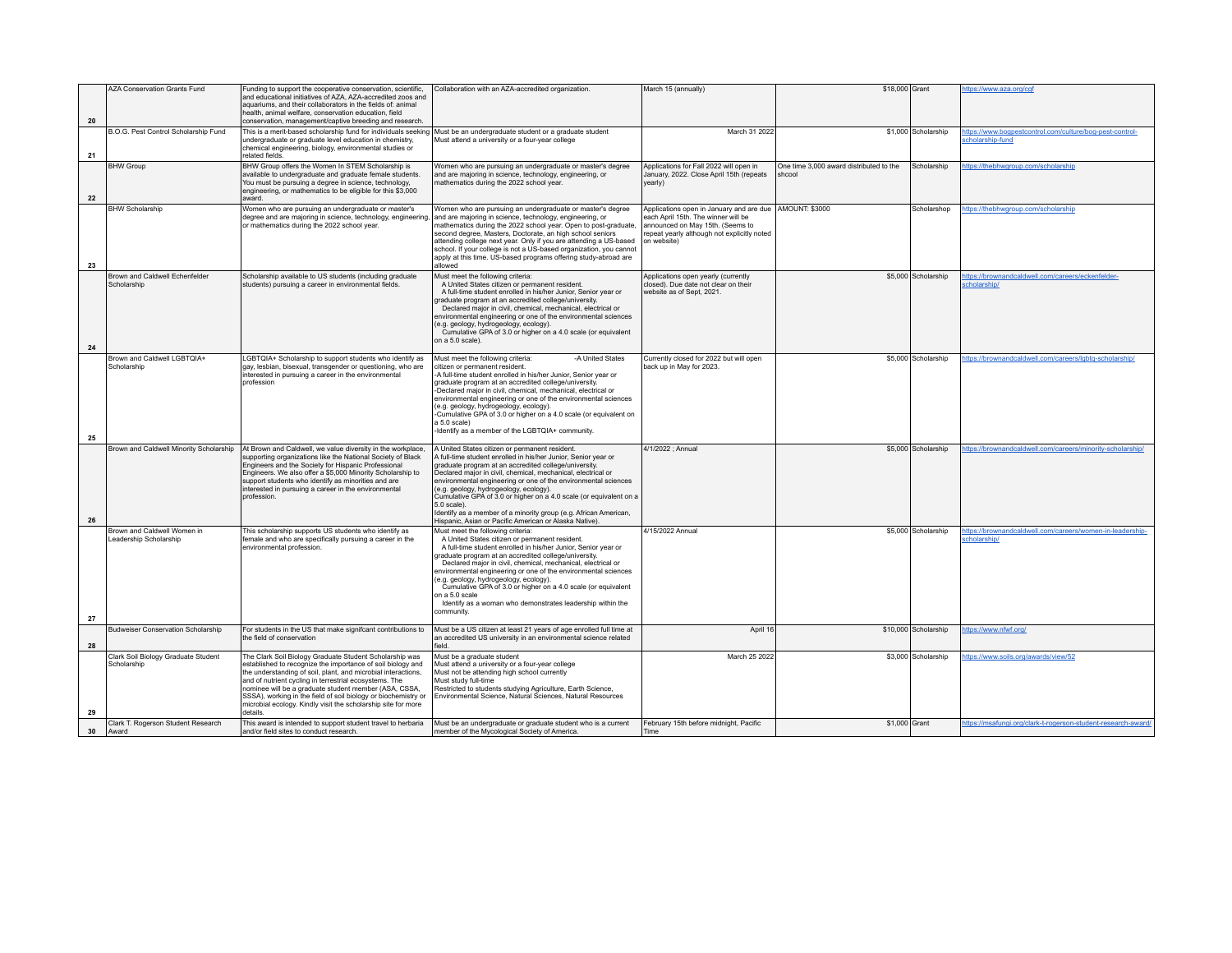|    | <b>AZA Conservation Grants Fund</b>                   | Funding to support the cooperative conservation, scientific,<br>and educational initiatives of AZA. AZA-accredited zoos and<br>aquariums, and their collaborators in the fields of: animal<br>health, animal welfare, conservation education, field                                                                                                                                                                                                       | Collaboration with an AZA-accredited organization.                                                                                                                                                                                                                                                                                                                                                                                                                                                                                                                        | March 15 (annually)                                                                                                                                                                                | \$18,000 Grant                                    |                      | https://www.aza.org/cgf                                                      |
|----|-------------------------------------------------------|-----------------------------------------------------------------------------------------------------------------------------------------------------------------------------------------------------------------------------------------------------------------------------------------------------------------------------------------------------------------------------------------------------------------------------------------------------------|---------------------------------------------------------------------------------------------------------------------------------------------------------------------------------------------------------------------------------------------------------------------------------------------------------------------------------------------------------------------------------------------------------------------------------------------------------------------------------------------------------------------------------------------------------------------------|----------------------------------------------------------------------------------------------------------------------------------------------------------------------------------------------------|---------------------------------------------------|----------------------|------------------------------------------------------------------------------|
| 20 |                                                       | conservation, management/captive breeding and research.                                                                                                                                                                                                                                                                                                                                                                                                   |                                                                                                                                                                                                                                                                                                                                                                                                                                                                                                                                                                           |                                                                                                                                                                                                    |                                                   |                      |                                                                              |
| 21 | B.O.G. Pest Control Scholarship Fund                  | This is a merit-based scholarship fund for individuals seeking<br>undergraduate or graduate level education in chemistry,<br>chemical engineering, biology, environmental studies or<br>related fields.                                                                                                                                                                                                                                                   | Must be an undergraduate student or a graduate student<br>Must attend a university or a four-year college                                                                                                                                                                                                                                                                                                                                                                                                                                                                 | March 31 2022                                                                                                                                                                                      |                                                   | \$1,000 Scholarship  | https://www.bogpestcontrol.com/culture/bog-pest-control-<br>scholarship-fund |
| 22 | <b>BHW Group</b>                                      | BHW Group offers the Women In STEM Scholarship is<br>available to undergraduate and graduate female students.<br>You must be pursuing a degree in science, technology,<br>engineering, or mathematics to be eligible for this \$3,000<br>award.                                                                                                                                                                                                           | Women who are pursuing an undergraduate or master's degree<br>and are majoring in science, technology, engineering, or<br>mathematics during the 2022 school year.                                                                                                                                                                                                                                                                                                                                                                                                        | Applications for Fall 2022 will open in<br>January, 2022. Close April 15th (repeats<br>vearly)                                                                                                     | One time 3,000 award distributed to the<br>shcool | Scholarship          | https://thebhwgroup.com/scholarship                                          |
| 23 | <b>BHW Scholarship</b>                                | Women who are pursuing an undergraduate or master's<br>degree and are majoring in science, technology, engineering<br>or mathematics during the 2022 school year.                                                                                                                                                                                                                                                                                         | Women who are pursuing an undergraduate or master's degree<br>and are majoring in science, technology, engineering, or<br>mathematics during the 2022 school year. Open to post-graduate,<br>second degree, Masters, Doctorate, an high school seniors<br>attending college next year. Only if you are attending a US-based<br>school. If your college is not a US-based organization, you cannot<br>apply at this time. US-based programs offering study-abroad are<br>allowed                                                                                           | Applications open in January and are due   AMOUNT: \$3000<br>each April 15th. The winner will be<br>announced on May 15th. (Seems to<br>repeat yearly although not explicitly noted<br>on website) |                                                   | Scholarshop          | https://thebhwgroup.com/scholarship                                          |
| 24 | Brown and Caldwell Echenfelder<br>Scholarship         | Scholarship available to US students (including graduate<br>students) pursuing a career in environmental fields.                                                                                                                                                                                                                                                                                                                                          | Must meet the following criteria:<br>A United States citizen or permanent resident.<br>A full-time student enrolled in his/her Junior, Senior year or<br>graduate program at an accredited college/university.<br>Declared major in civil, chemical, mechanical, electrical or<br>environmental engineering or one of the environmental sciences<br>(e.g. geology, hydrogeology, ecology).<br>Cumulative GPA of 3.0 or higher on a 4.0 scale (or equivalent<br>on a 5.0 scale).                                                                                           | Applications open yearly (currently<br>closed). Due date not clear on their<br>website as of Sept, 2021.                                                                                           |                                                   | \$5,000 Scholarship  | https://brownandcaldwell.com/careers/eckenfelder-<br>scholarship/            |
| 25 | Brown and Caldwell LGBTQIA+<br>Scholarship            | LGBTQIA+ Scholarship to support students who identify as<br>gay, lesbian, bisexual, transgender or questioning, who are<br>interested in pursuing a career in the environmental<br>profession                                                                                                                                                                                                                                                             | Must meet the following criteria:<br>-A United States<br>citizen or permanent resident.<br>-A full-time student enrolled in his/her Junior. Senior vear or<br>graduate program at an accredited college/university.<br>-Declared major in civil, chemical, mechanical, electrical or<br>environmental engineering or one of the environmental sciences<br>(e.g. geology, hydrogeology, ecology).<br>-Cumulative GPA of 3.0 or higher on a 4.0 scale (or equivalent on<br>a 5.0 scale)<br>-Identify as a member of the LGBTQIA+ community.                                 | Currently closed for 2022 but will open<br>back up in May for 2023.                                                                                                                                |                                                   | \$5,000 Scholarship  | https://brownandcaldwell.com/careers/lgbtq-scholarship/                      |
| 26 | Brown and Caldwell Minority Scholarship               | At Brown and Caldwell, we value diversity in the workplace,<br>supporting organizations like the National Society of Black<br>Engineers and the Society for Hispanic Professional<br>Engineers. We also offer a \$5,000 Minority Scholarship to<br>support students who identify as minorities and are<br>interested in pursuing a career in the environmental<br>profession.                                                                             | A United States citizen or permanent resident.<br>A full-time student enrolled in his/her Junior. Senior vear or<br>graduate program at an accredited college/university.<br>Declared major in civil, chemical, mechanical, electrical or<br>environmental engineering or one of the environmental sciences<br>(e.g. geology, hydrogeology, ecology).<br>Cumulative GPA of 3.0 or higher on a 4.0 scale (or equivalent on a<br>$5.0$ scale)<br>Identify as a member of a minority group (e.g. African American,<br>Hispanic, Asian or Pacific American or Alaska Native). | 4/1/2022 : Annual                                                                                                                                                                                  |                                                   | \$5,000 Scholarship  | https://brownandcaldwell.com/careers/minority-scholarship/                   |
| 27 | Brown and Caldwell Women in<br>Leadership Scholarship | This scholarship supports US students who identify as<br>female and who are specifically pursuing a career in the<br>environmental profession.                                                                                                                                                                                                                                                                                                            | Must meet the following criteria:<br>A United States citizen or permanent resident.<br>A full-time student enrolled in his/her Junior, Senior year or<br>graduate program at an accredited college/university.<br>Declared major in civil, chemical, mechanical, electrical or<br>environmental engineering or one of the environmental sciences<br>(e.g. geology, hydrogeology, ecology).<br>Cumulative GPA of 3.0 or higher on a 4.0 scale (or equivalent<br>on a 5.0 scale<br>Identify as a woman who demonstrates leadership within the<br>community.                 | 4/15/2022 Annual                                                                                                                                                                                   |                                                   | \$5,000 Scholarship  | https://brownandcaldwell.com/careers/women-in-leadership-<br>scholarship/    |
| 28 | <b>Budweiser Conservation Scholarship</b>             | For students in the US that make signifcant contributions to<br>the field of conservation                                                                                                                                                                                                                                                                                                                                                                 | Must be a US citizen at least 21 years of age enrolled full time at<br>an accredited US university in an environmental science related<br>field.                                                                                                                                                                                                                                                                                                                                                                                                                          | April 16                                                                                                                                                                                           |                                                   | \$10,000 Scholarship | https://www.nfwf.org/                                                        |
| 29 | Clark Soil Biology Graduate Student<br>Scholarship    | The Clark Soil Biology Graduate Student Scholarship was<br>established to recognize the importance of soil biology and<br>the understanding of soil, plant, and microbial interactions,<br>and of nutrient cycling in terrestrial ecosystems. The<br>nominee will be a graduate student member (ASA, CSSA,<br>SSSA), working in the field of soil biology or biochemistry or<br>microbial ecology. Kindly visit the scholarship site for more<br>details. | Must be a graduate student<br>Must attend a university or a four-year college<br>Must not be attending high school currently<br>Must study full-time<br>Restricted to students studying Agriculture, Earth Science,<br>Environmental Science, Natural Sciences, Natural Resources                                                                                                                                                                                                                                                                                         | March 25 2022                                                                                                                                                                                      |                                                   | \$3,000 Scholarship  | https://www.soils.org/awards/view/52                                         |
| 30 | Clark T. Rogerson Student Research<br>Award           | This award is intended to support student travel to herbaria<br>and/or field sites to conduct research.                                                                                                                                                                                                                                                                                                                                                   | Must be an undergraduate or graduate student who is a current<br>member of the Mycological Society of America.                                                                                                                                                                                                                                                                                                                                                                                                                                                            | February 15th before midnight, Pacific<br>Time                                                                                                                                                     |                                                   | \$1,000 Grant        | https://msafungi.org/clark-t-rogerson-student-research-award/                |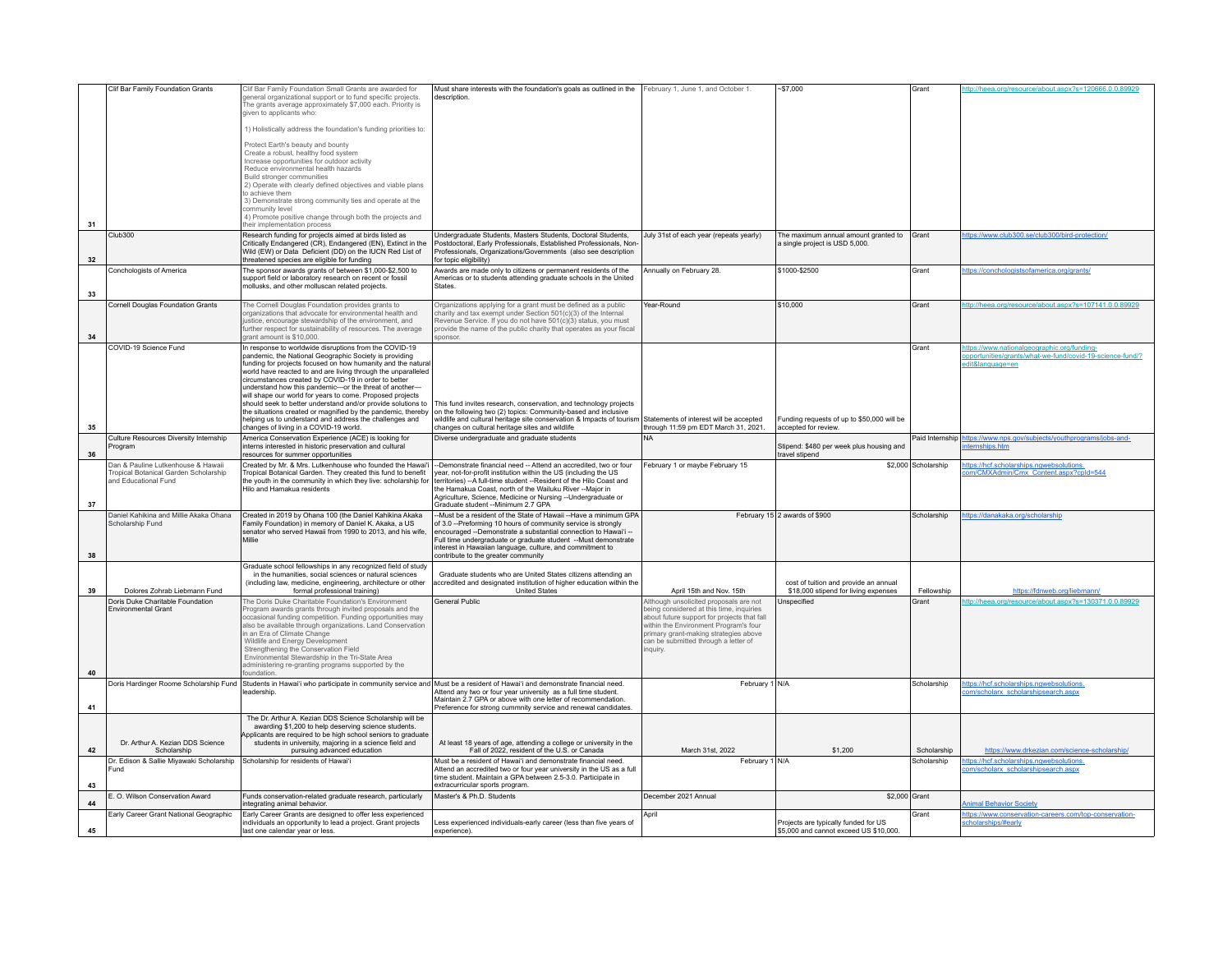|    | Clif Bar Family Foundation Grants                                           | Clif Bar Family Foundation Small Grants are awarded for                                                                                                   | Must share interests with the foundation's goals as outlined in the February 1, June 1, and October 1.                                                            |                                                                                      | $-$7,000$                                                                     | Grant               | ttp://heea.org/resource/about.aspx?s=120666.0.0.89929                                                           |
|----|-----------------------------------------------------------------------------|-----------------------------------------------------------------------------------------------------------------------------------------------------------|-------------------------------------------------------------------------------------------------------------------------------------------------------------------|--------------------------------------------------------------------------------------|-------------------------------------------------------------------------------|---------------------|-----------------------------------------------------------------------------------------------------------------|
|    |                                                                             | general organizational support or to fund specific projects.<br>The grants average approximately \$7,000 each. Priority is                                | description                                                                                                                                                       |                                                                                      |                                                                               |                     |                                                                                                                 |
|    |                                                                             | given to applicants who:                                                                                                                                  |                                                                                                                                                                   |                                                                                      |                                                                               |                     |                                                                                                                 |
|    |                                                                             | 1) Holistically address the foundation's funding priorities to:                                                                                           |                                                                                                                                                                   |                                                                                      |                                                                               |                     |                                                                                                                 |
|    |                                                                             | Protect Earth's beauty and bounty<br>Create a robust, healthy food system                                                                                 |                                                                                                                                                                   |                                                                                      |                                                                               |                     |                                                                                                                 |
|    |                                                                             | Increase opportunities for outdoor activity                                                                                                               |                                                                                                                                                                   |                                                                                      |                                                                               |                     |                                                                                                                 |
|    |                                                                             | Reduce environmental health hazards<br>Build stronger communities                                                                                         |                                                                                                                                                                   |                                                                                      |                                                                               |                     |                                                                                                                 |
|    |                                                                             | 2) Operate with clearly defined objectives and viable plans<br>to achieve them                                                                            |                                                                                                                                                                   |                                                                                      |                                                                               |                     |                                                                                                                 |
|    |                                                                             | 3) Demonstrate strong community ties and operate at the<br>community level                                                                                |                                                                                                                                                                   |                                                                                      |                                                                               |                     |                                                                                                                 |
| 31 |                                                                             | 4) Promote positive change through both the projects and<br>their implementation process                                                                  |                                                                                                                                                                   |                                                                                      |                                                                               |                     |                                                                                                                 |
|    | Club300                                                                     | Research funding for projects aimed at birds listed as                                                                                                    | Undergraduate Students, Masters Students, Doctoral Students,                                                                                                      | July 31st of each year (repeats yearly)                                              | The maximum annual amount granted to Grant                                    |                     | https://www.club300.se/club300/bird-protection/                                                                 |
|    |                                                                             | Critically Endangered (CR), Endangered (EN), Extinct in the<br>Wild (EW) or Data Deficient (DD) on the IUCN Red List of                                   | Postdoctoral, Early Professionals, Established Professionals, Non-<br>Professionals, Organizations/Governments (also see description                              |                                                                                      | a single project is USD 5,000.                                                |                     |                                                                                                                 |
| 32 | Conchologists of America                                                    | threatened species are eligible for funding<br>The sponsor awards grants of between \$1,000-\$2,500 to                                                    | for topic eligibility)<br>Awards are made only to citizens or permanent residents of the                                                                          | Annually on February 28.                                                             | \$1000-\$2500                                                                 | Grant               | https://conchologistsofamerica.org/grants/                                                                      |
|    |                                                                             | support field or laboratory research on recent or fossil<br>mollusks, and other molluscan related projects.                                               | Americas or to students attending graduate schools in the United<br><b>States</b>                                                                                 |                                                                                      |                                                                               |                     |                                                                                                                 |
| 33 |                                                                             |                                                                                                                                                           |                                                                                                                                                                   |                                                                                      |                                                                               |                     |                                                                                                                 |
|    | Cornell Douglas Foundation Grants                                           | The Cornell Douglas Foundation provides grants to<br>proanizations that advocate for environmental health and                                             | Organizations applying for a grant must be defined as a public<br>charity and tax exempt under Section 501(c)(3) of the Internal                                  | Year-Round                                                                           | \$10,000                                                                      | Grant               | ttp://heea.org/resource/about.aspx?s=107141.0.0.89929                                                           |
|    |                                                                             | justice, encourage stewardship of the environment, and<br>further respect for sustainability of resources. The average                                    | Revenue Service. If you do not have 501(c)(3) status, you must<br>provide the name of the public charity that operates as your fiscal                             |                                                                                      |                                                                               |                     |                                                                                                                 |
| 34 | COVID-19 Science Fund                                                       | rant amount is \$10,000.<br>In response to worldwide disruptions from the COVID-19                                                                        | ponsor                                                                                                                                                            |                                                                                      |                                                                               | Grant               | ttps://www.nationalgeographic.org/funding-                                                                      |
|    |                                                                             | pandemic, the National Geographic Society is providing<br>funding for projects focused on how humanity and the natura                                     |                                                                                                                                                                   |                                                                                      |                                                                               |                     | opportunities/grants/what-we-fund/covid-19-science-fund/?<br>dit&language=en                                    |
|    |                                                                             | world have reacted to and are living through the unparalleled<br>circumstances created by COVID-19 in order to better                                     |                                                                                                                                                                   |                                                                                      |                                                                               |                     |                                                                                                                 |
|    |                                                                             | understand how this pandemic-or the threat of another-                                                                                                    |                                                                                                                                                                   |                                                                                      |                                                                               |                     |                                                                                                                 |
|    |                                                                             | will shape our world for years to come. Proposed projects<br>should seek to better understand and/or provide solutions to                                 | This fund invites research, conservation, and technology projects                                                                                                 |                                                                                      |                                                                               |                     |                                                                                                                 |
|    |                                                                             | the situations created or magnified by the pandemic, thereby<br>helping us to understand and address the challenges and                                   | on the following two (2) topics: Community-based and inclusive<br>wildlife and cultural heritage site conservation & Impacts of tourism                           | Statements of interest will be accepted                                              | Funding requests of up to \$50,000 will be                                    |                     |                                                                                                                 |
| 35 | Culture Resources Diversity Internship                                      | changes of living in a COVID-19 world.<br>America Conservation Experience (ACE) is looking for                                                            | changes on cultural heritage sites and wildlife<br>Diverse undergraduate and graduate students                                                                    | through 11:59 pm EDT March 31, 2021.<br><b>NA</b>                                    | accepted for review.                                                          | Paid Internship     | https://www.nps.gov/subjects/youthprograms/jobs-and-                                                            |
| 36 | Program                                                                     | interns interested in historic preservation and cultural<br>resources for summer opportunities                                                            |                                                                                                                                                                   |                                                                                      | Stipend: \$480 per week plus housing and<br>travel stipend                    |                     | temships.htm                                                                                                    |
|    | Dan & Pauline Lutkenhouse & Hawaii<br>Tropical Botanical Garden Scholarship | Created by Mr. & Mrs. Lutkenhouse who founded the Hawai'i<br>Tropical Botanical Garden. They created this fund to benefit                                 | --Demonstrate financial need -- Attend an accredited, two or four<br>year, not-for-profit institution within the US (including the US                             | February 1 or maybe February 15                                                      |                                                                               | \$2,000 Scholarship | ttps://hcf.scholarships.ngwebsolutions.<br>om/CMXAdmin/Cmx Content.aspx?cpId=544                                |
|    |                                                                             |                                                                                                                                                           | territories) -- A full-time student -- Resident of the Hilo Coast and                                                                                             |                                                                                      |                                                                               |                     |                                                                                                                 |
|    | and Educational Fund                                                        | the youth in the community in which they live: scholarship for                                                                                            |                                                                                                                                                                   |                                                                                      |                                                                               |                     |                                                                                                                 |
|    |                                                                             | Hilo and Hamakua residents                                                                                                                                | the Hamakua Coast, north of the Wailuku River -- Major in<br>Agriculture, Science, Medicine or Nursing -- Undergraduate or                                        |                                                                                      |                                                                               |                     |                                                                                                                 |
| 37 | Daniel Kahikina and Millie Akaka Ohana                                      | Created in 2019 by Ohana 100 (the Daniel Kahikina Akaka                                                                                                   | Graduate student --Minimum 2.7 GPA<br>-Must be a resident of the State of Hawaii --Have a minimum GPA                                                             |                                                                                      | February 15 2 awards of \$900                                                 | Scholarship         | ttps://danakaka.org/scholarship                                                                                 |
|    | Scholarship Fund                                                            | amily Foundation) in memory of Daniel K. Akaka, a US<br>senator who served Hawaii from 1990 to 2013, and his wife,                                        | of 3.0 --Preforming 10 hours of community service is strongly<br>encouraged --Demonstrate a substantial connection to Hawai'i --                                  |                                                                                      |                                                                               |                     |                                                                                                                 |
|    |                                                                             | Millie                                                                                                                                                    | Full time undergraduate or graduate student --Must demonstrate<br>interest in Hawaiian language, culture, and commitment to                                       |                                                                                      |                                                                               |                     |                                                                                                                 |
| 38 |                                                                             |                                                                                                                                                           | contribute to the greater community                                                                                                                               |                                                                                      |                                                                               |                     |                                                                                                                 |
|    |                                                                             | Graduate school fellowships in any recognized field of study<br>in the humanities, social sciences or natural sciences                                    | Graduate students who are United States citizens attending an                                                                                                     |                                                                                      |                                                                               |                     |                                                                                                                 |
| 39 | Dolores Zohrab Liebmann Fund                                                | (including law, medicine, engineering, architecture or other<br>formal professional training)                                                             | accredited and designated institution of higher education within the<br><b>United States</b>                                                                      | April 15th and Nov. 15th                                                             | cost of fuition and provide an annual<br>\$18,000 stipend for living expenses | Fellowship          | https://fdnweb.org/liebmann/                                                                                    |
|    | Doris Duke Charitable Foundation<br><b>Environmental Grant</b>              | The Doris Duke Charitable Foundation's Environment<br>Program awards grants through invited proposals and the                                             | <b>General Public</b>                                                                                                                                             | Although unsolicited proposals are not<br>being considered at this time, inquiries   | Unspecified                                                                   | Grant               | ttp://heea.org/resource/about.aspx?s=130371.0.0.89929                                                           |
|    |                                                                             | occasional funding competition. Funding opportunities may<br>also be available through organizations. Land Conservation                                   |                                                                                                                                                                   | about future support for projects that fall<br>within the Environment Program's four |                                                                               |                     |                                                                                                                 |
|    |                                                                             | in an Era of Climate Change<br>Wildlife and Energy Development                                                                                            |                                                                                                                                                                   | primary grant-making strategies above<br>can be submitted through a letter of        |                                                                               |                     |                                                                                                                 |
|    |                                                                             | Strengthening the Conservation Field<br>Environmental Stewardship in the Tri-State Area                                                                   |                                                                                                                                                                   | nquiry.                                                                              |                                                                               |                     |                                                                                                                 |
| 40 |                                                                             | administering re-granting programs supported by the<br>foundation                                                                                         |                                                                                                                                                                   |                                                                                      |                                                                               |                     |                                                                                                                 |
|    |                                                                             |                                                                                                                                                           | Doris Hardinger Roome Scholarship Fund Students in Hawai'i who participate in community service and Must be a resident of Hawai'i and demonstrate financial need. | February 1 N/A                                                                       |                                                                               | Scholarshin         | https://hcf.scholarships.ngwebsolutions.                                                                        |
| 41 |                                                                             | leadership.                                                                                                                                               | Attend any two or four year university as a full time student.<br>Maintain 2.7 GPA or above with one letter of recommendation.                                    |                                                                                      |                                                                               |                     | om/scholarx_scholarshipsearch.aspx                                                                              |
|    |                                                                             | The Dr. Arthur A. Kezian DDS Science Scholarship will be                                                                                                  | Preference for strong cummnity service and renewal candidates.                                                                                                    |                                                                                      |                                                                               |                     |                                                                                                                 |
|    |                                                                             | awarding \$1,200 to help deserving science students.<br>policants are required to be high school seniors to graduate                                      |                                                                                                                                                                   |                                                                                      |                                                                               |                     |                                                                                                                 |
| 42 | Dr. Arthur A. Kezian DDS Science<br>Scholarship                             | students in university, majoring in a science field and<br>pursuing advanced education                                                                    | At least 18 years of age, attending a college or university in the<br>Fall of 2022, resident of the U.S. or Canada                                                | March 31st, 2022                                                                     | \$1,200                                                                       | Scholarship         | https://www.drkezian.com/science-scholarship/                                                                   |
|    | Dr. Edison & Sallie Miyawaki Scholarship<br>Fund                            | Scholarship for residents of Hawai'i                                                                                                                      | Must be a resident of Hawai'i and demonstrate financial need.<br>Attend an accredited two or four year university in the US as a full                             | February 1 N/A                                                                       |                                                                               | Scholarship         | ttps://hcf.scholarships.ngwebsolutions.<br>m/scholarx_scholarshipsearch.aspx                                    |
| 43 |                                                                             |                                                                                                                                                           | time student. Maintain a GPA between 2.5-3.0. Participate in                                                                                                      |                                                                                      |                                                                               |                     |                                                                                                                 |
|    | E. O. Wilson Conservation Award                                             | Funds conservation-related graduate research, particularly                                                                                                | extracurricular sports program.<br>Master's & Ph.D. Students                                                                                                      | December 2021 Annual                                                                 |                                                                               | \$2,000 Grant       |                                                                                                                 |
| 44 | Early Career Grant National Geographic                                      | ntegrating animal behavior.<br>Early Career Grants are designed to offer less experienced<br>individuals an opportunity to lead a project. Grant projects | Less experienced individuals-early career (less than five years of                                                                                                | Anril                                                                                | Projects are typically funded for US                                          | Grant               | <b>Animal Behavior Society</b><br>https://www.conservation-careers.com/top-conservation-<br>scholarships/#early |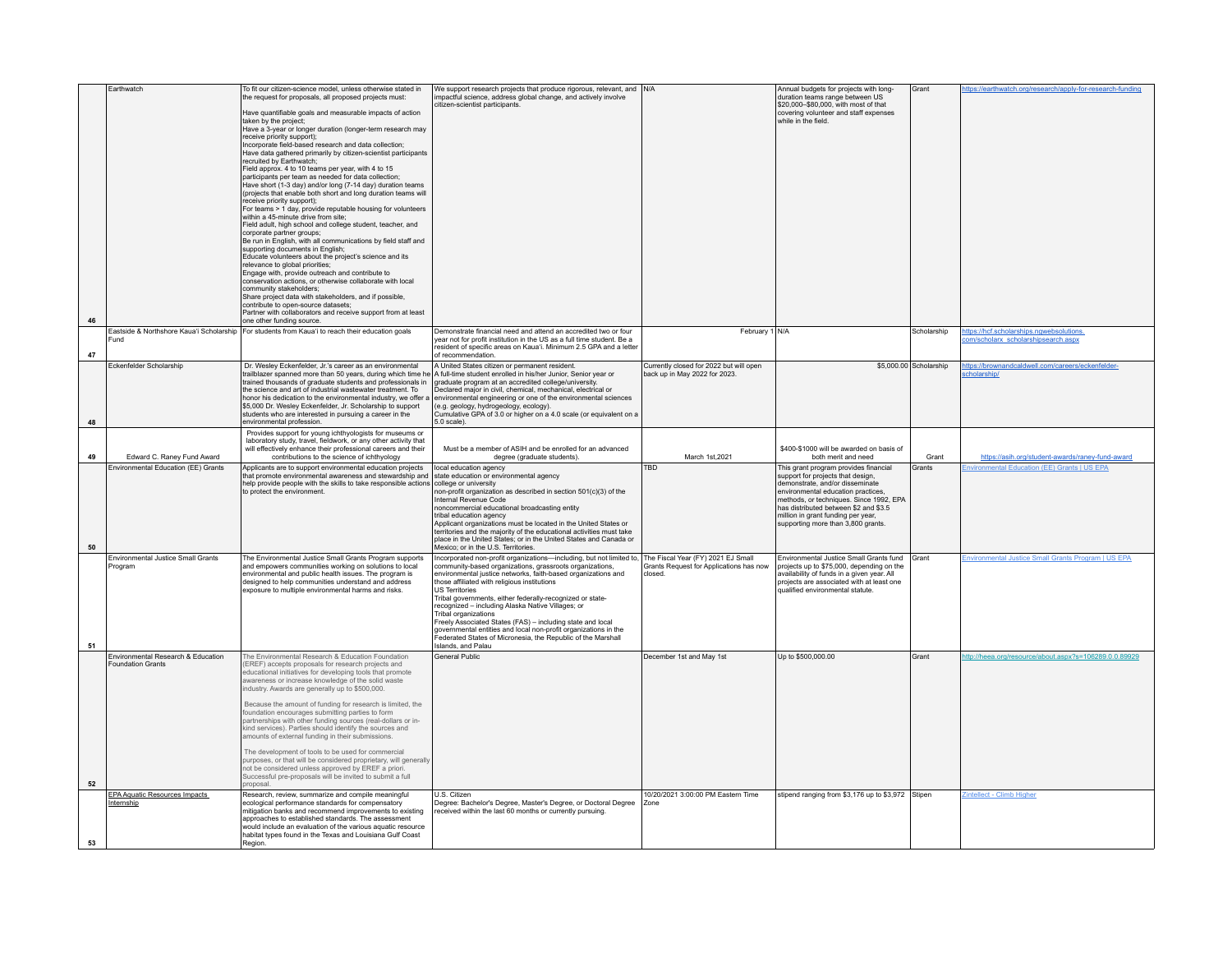| 46       | Farthwatch                                                                | To fit our citizen-science model, unless otherwise stated in<br>the request for proposals, all proposed projects must:<br>Have quantifiable goals and measurable impacts of action<br>taken by the project;<br>Have a 3-year or longer duration (longer-term research may<br>receive priority support);<br>Incorporate field-based research and data collection:<br>Have data gathered primarily by citizen-scientist participants<br>recruited by Earthwatch:<br>Field approx. 4 to 10 teams per year, with 4 to 15<br>participants per team as needed for data collection;<br>Have short (1-3 day) and/or long (7-14 day) duration teams<br>(projects that enable both short and long duration teams will<br>receive priority support);<br>For teams > 1 day, provide reputable housing for volunteers<br>within a 45-minute drive from site:<br>Field adult, high school and college student, teacher, and<br>corporate partner groups;<br>Be run in English, with all communications by field staff and<br>supporting documents in English;<br>Educate volunteers about the project's science and its<br>relevance to global priorities;<br>Engage with, provide outreach and contribute to<br>conservation actions, or otherwise collaborate with local<br>community stakeholders:<br>Share project data with stakeholders, and if possible,<br>contribute to open-source datasets;<br>Partner with collaborators and receive support from at least<br>one other funding source. | We support research projects that produce rigorous, relevant, and N/A<br>impactful science, address global change, and actively involve<br>citizen-scientist participants.                                                                                                                                                                                                                                                                                                                                                                                                                                                                  |                                                                                          | Annual budgets for projects with long-<br>duration teams range between US<br>\$20,000-\$80,000, with most of that<br>covering volunteer and staff expenses<br>while in the field.                                                                                                                                                          | Grant                  | https://earthwatch.org/research/apply-for-research-funding                                       |
|----------|---------------------------------------------------------------------------|---------------------------------------------------------------------------------------------------------------------------------------------------------------------------------------------------------------------------------------------------------------------------------------------------------------------------------------------------------------------------------------------------------------------------------------------------------------------------------------------------------------------------------------------------------------------------------------------------------------------------------------------------------------------------------------------------------------------------------------------------------------------------------------------------------------------------------------------------------------------------------------------------------------------------------------------------------------------------------------------------------------------------------------------------------------------------------------------------------------------------------------------------------------------------------------------------------------------------------------------------------------------------------------------------------------------------------------------------------------------------------------------------------------------------------------------------------------------------------------|---------------------------------------------------------------------------------------------------------------------------------------------------------------------------------------------------------------------------------------------------------------------------------------------------------------------------------------------------------------------------------------------------------------------------------------------------------------------------------------------------------------------------------------------------------------------------------------------------------------------------------------------|------------------------------------------------------------------------------------------|--------------------------------------------------------------------------------------------------------------------------------------------------------------------------------------------------------------------------------------------------------------------------------------------------------------------------------------------|------------------------|--------------------------------------------------------------------------------------------------|
| 47       | Fund                                                                      | Eastside & Northshore Kaua'i Scholarship   For students from Kaua'i to reach their education goals                                                                                                                                                                                                                                                                                                                                                                                                                                                                                                                                                                                                                                                                                                                                                                                                                                                                                                                                                                                                                                                                                                                                                                                                                                                                                                                                                                                    | Demonstrate financial need and attend an accredited two or four<br>year not for profit institution in the US as a full time student. Be a<br>resident of specific areas on Kaua'i. Minimum 2.5 GPA and a letter<br>of recommendation.                                                                                                                                                                                                                                                                                                                                                                                                       | February 1 N/A                                                                           |                                                                                                                                                                                                                                                                                                                                            | Scholarship            | ttps://hcf.scholarships.ngwebsolutions.<br>om/scholarx_scholarshipsearch.aspx                    |
| 48       | Eckenfelder Scholarship                                                   | Dr. Wesley Eckenfelder, Jr.'s career as an environmental<br>trailblazer spanned more than 50 years, during which time he<br>trained thousands of graduate students and professionals in<br>the science and art of industrial wastewater treatment. To<br>honor his dedication to the environmental industry, we offer<br>\$5,000 Dr. Wesley Eckenfelder, Jr. Scholarship to support<br>students who are interested in pursuing a career in the<br>environmental profession.                                                                                                                                                                                                                                                                                                                                                                                                                                                                                                                                                                                                                                                                                                                                                                                                                                                                                                                                                                                                           | A United States citizen or permanent resident.<br>A full-time student enrolled in his/her Junior. Senior year or<br>graduate program at an accredited college/university.<br>Declared major in civil, chemical, mechanical, electrical or<br>environmental engineering or one of the environmental sciences<br>(e.g. geology, hydrogeology, ecology).<br>Cumulative GPA of 3.0 or higher on a 4.0 scale (or equivalent on a<br>$5.0$ scale)                                                                                                                                                                                                 | Currently closed for 2022 but will open<br>back up in May 2022 for 2023.                 |                                                                                                                                                                                                                                                                                                                                            | \$5,000.00 Scholarship | https://brownandcaldwell.com/careers/eckenfelder-<br><b>cholarship</b>                           |
|          |                                                                           | Provides support for young ichthyologists for museums or<br>laboratory study, travel, fieldwork, or any other activity that<br>will effectively enhance their professional careers and their                                                                                                                                                                                                                                                                                                                                                                                                                                                                                                                                                                                                                                                                                                                                                                                                                                                                                                                                                                                                                                                                                                                                                                                                                                                                                          | Must be a member of ASIH and be enrolled for an advanced                                                                                                                                                                                                                                                                                                                                                                                                                                                                                                                                                                                    |                                                                                          | \$400-\$1000 will be awarded on basis of                                                                                                                                                                                                                                                                                                   |                        |                                                                                                  |
| 49<br>50 | Edward C. Raney Fund Award<br>Environmental Education (EE) Grants         | contributions to the science of ichthyology<br>Applicants are to support environmental education projects<br>that promote environmental awareness and stewardship and<br>help provide people with the skills to take responsible actions college or university<br>to protect the environment                                                                                                                                                                                                                                                                                                                                                                                                                                                                                                                                                                                                                                                                                                                                                                                                                                                                                                                                                                                                                                                                                                                                                                                          | degree (graduate students).<br>local education agency<br>state education or environmental agency<br>non-profit organization as described in section 501(c)(3) of the<br>Internal Revenue Code<br>noncommercial educational broadcasting entity<br>tribal education agency<br>Applicant organizations must be located in the United States or<br>territories and the majority of the educational activities must take<br>place in the United States; or in the United States and Canada or<br>Mexico; or in the U.S. Territories.                                                                                                            | March 1st, 2021<br>TBD                                                                   | both merit and need<br>This grant program provides financial<br>support for projects that design,<br>demonstrate, and/or disseminate<br>environmental education practices.<br>methods, or techniques. Since 1992, EPA<br>has distributed between \$2 and \$3.5<br>million in grant funding per year,<br>supporting more than 3,800 grants. | Grant<br>Grants        | https://asih.org/student-awards/raney-fund-award<br>Invironmental Education (EE) Grants   US EPA |
| 51       | Environmental Justice Small Grants<br>Program                             | The Environmental Justice Small Grants Program supports<br>and empowers communities working on solutions to local<br>environmental and public health issues. The program is<br>designed to help communities understand and address<br>exposure to multiple environmental harms and risks.                                                                                                                                                                                                                                                                                                                                                                                                                                                                                                                                                                                                                                                                                                                                                                                                                                                                                                                                                                                                                                                                                                                                                                                             | Incorporated non-profit organizations-including, but not limited to.<br>community-based organizations, grassroots organizations,<br>environmental justice networks, faith-based organizations and<br>those affiliated with religious institutions<br><b>US Territories</b><br>Tribal governments, either federally-recognized or state-<br>recognized - including Alaska Native Villages; or<br>Tribal organizations<br>Freely Associated States (FAS) - including state and local<br>governmental entities and local non-profit organizations in the<br>Federated States of Micronesia, the Republic of the Marshall<br>Islands, and Palau | The Fiscal Year (FY) 2021 EJ Small<br>Grants Request for Applications has now<br>closed. | Environmental Justice Small Grants fund Grant<br>projects up to \$75,000, depending on the<br>availability of funds in a given year. All<br>projects are associated with at least one<br>qualified environmental statute.                                                                                                                  |                        | Environmental Justice Small Grants Program   US EPA                                              |
| 52       | <b>Environmental Research &amp; Education</b><br><b>Foundation Grants</b> | The Environmental Research & Education Foundation<br>EREF) accepts proposals for research projects and<br>educational initiatives for developing tools that promote<br>awareness or increase knowledge of the solid waste<br>industry. Awards are generally up to \$500,000.<br>Because the amount of funding for research is limited, the<br>foundation encourages submitting parties to form<br>partnerships with other funding sources (real-dollars or in-<br>kind services). Parties should identify the sources and<br>amounts of external funding in their submissions.<br>The development of tools to be used for commercial<br>purposes, or that will be considered proprietary, will generally<br>not be considered unless approved by EREF a priori.<br>Successful pre-proposals will be invited to submit a full<br>proposal.                                                                                                                                                                                                                                                                                                                                                                                                                                                                                                                                                                                                                                             | General Public                                                                                                                                                                                                                                                                                                                                                                                                                                                                                                                                                                                                                              | December 1st and May 1st                                                                 | Up to \$500,000.00                                                                                                                                                                                                                                                                                                                         | Grant                  | ttp://heea.org/resource/about.aspx?s=106289.0.0.89929                                            |
| 53       | <b>EPA Aquatic Resources Impacts</b><br>Internship                        | Research, review, summarize and compile meaningful<br>ecological performance standards for compensatory<br>mitigation banks and recommend improvements to existing<br>approaches to established standards. The assessment<br>would include an evaluation of the various aquatic resource<br>habitat types found in the Texas and Louisiana Gulf Coast<br>Region.                                                                                                                                                                                                                                                                                                                                                                                                                                                                                                                                                                                                                                                                                                                                                                                                                                                                                                                                                                                                                                                                                                                      | U.S. Citizen<br>Degree: Bachelor's Degree, Master's Degree, or Doctoral Degree<br>received within the last 60 months or currently pursuing                                                                                                                                                                                                                                                                                                                                                                                                                                                                                                  | 10/20/2021 3:00:00 PM Eastern Time<br>Zone                                               | stipend ranging from \$3,176 up to \$3,972 Stipen                                                                                                                                                                                                                                                                                          |                        | intellect - Climb Higher                                                                         |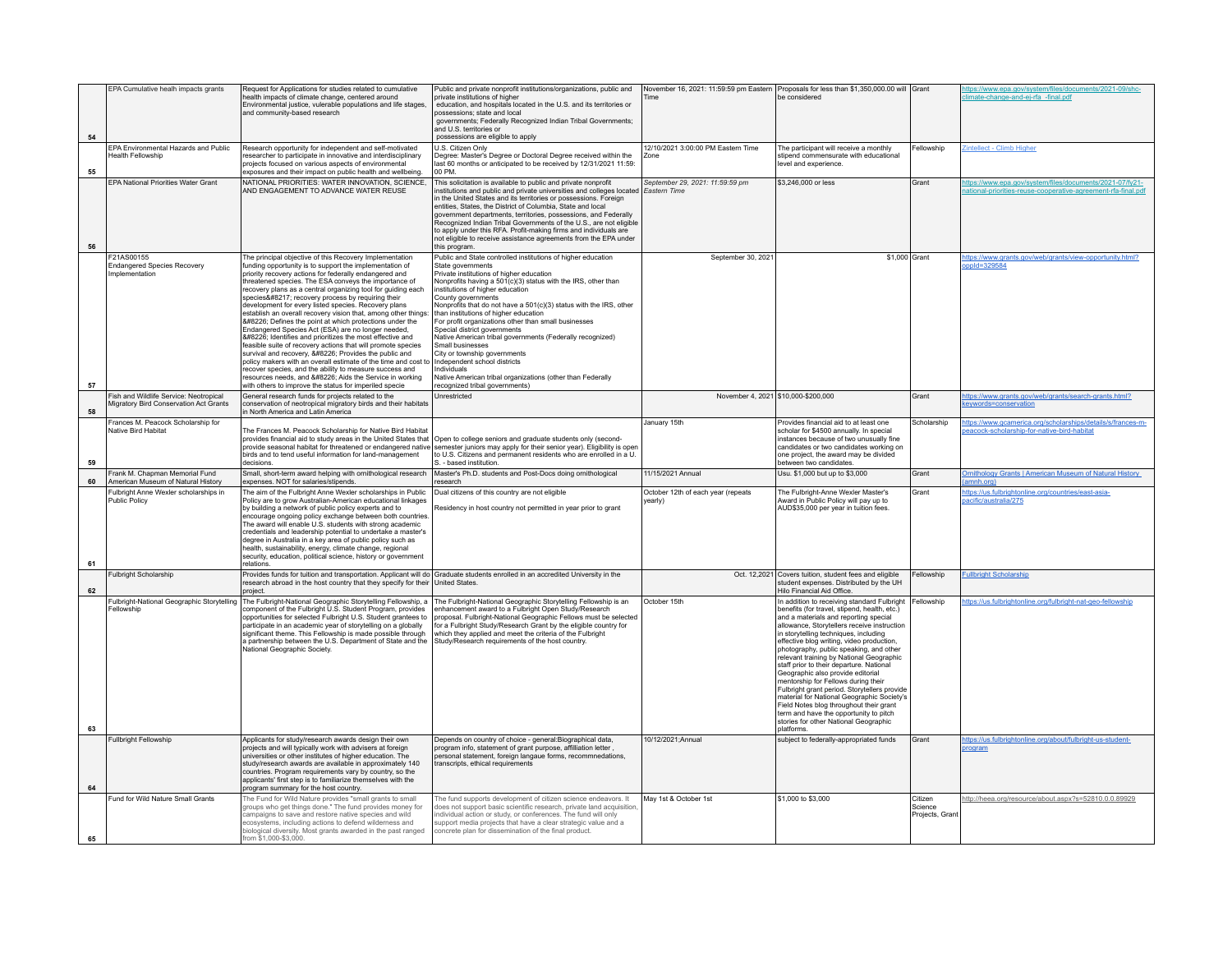|    | EPA Cumulative healh impacts grants                                              | Request for Applications for studies related to cumulative                                                                                                                                                                                                                                                                                                                                                                                                                                                                                                                                                                                                                                                                                                                                                                                                                                                                                                                                                           | Public and private nonprofit institutions/organizations, public and                                                                                                                                                                                                                                                                                                                                                                                                                                                                                                                                                                                                                                                            |                                                        | November 16, 2021: 11:59:59 pm Eastern Proposals for less than \$1,350,000.00 will Grant                                                                                                                                                                                                                                                                                                                                                                                                                                                                                                                                                                                                                                                    |                                       | https://www.epa.gov/system/files/documents/2021-09/shc-                                                                |
|----|----------------------------------------------------------------------------------|----------------------------------------------------------------------------------------------------------------------------------------------------------------------------------------------------------------------------------------------------------------------------------------------------------------------------------------------------------------------------------------------------------------------------------------------------------------------------------------------------------------------------------------------------------------------------------------------------------------------------------------------------------------------------------------------------------------------------------------------------------------------------------------------------------------------------------------------------------------------------------------------------------------------------------------------------------------------------------------------------------------------|--------------------------------------------------------------------------------------------------------------------------------------------------------------------------------------------------------------------------------------------------------------------------------------------------------------------------------------------------------------------------------------------------------------------------------------------------------------------------------------------------------------------------------------------------------------------------------------------------------------------------------------------------------------------------------------------------------------------------------|--------------------------------------------------------|---------------------------------------------------------------------------------------------------------------------------------------------------------------------------------------------------------------------------------------------------------------------------------------------------------------------------------------------------------------------------------------------------------------------------------------------------------------------------------------------------------------------------------------------------------------------------------------------------------------------------------------------------------------------------------------------------------------------------------------------|---------------------------------------|------------------------------------------------------------------------------------------------------------------------|
|    |                                                                                  | health impacts of climate change, centered around<br>Environmental justice, vulerable populations and life stages,<br>and community-based research                                                                                                                                                                                                                                                                                                                                                                                                                                                                                                                                                                                                                                                                                                                                                                                                                                                                   | private institutions of higher<br>education, and hospitals located in the U.S. and its territories or<br>possessions; state and local<br>governments; Federally Recognized Indian Tribal Governments;                                                                                                                                                                                                                                                                                                                                                                                                                                                                                                                          | Time                                                   | be considered                                                                                                                                                                                                                                                                                                                                                                                                                                                                                                                                                                                                                                                                                                                               |                                       | limate-change-and-ei-rfa -final.pdf                                                                                    |
| 54 |                                                                                  |                                                                                                                                                                                                                                                                                                                                                                                                                                                                                                                                                                                                                                                                                                                                                                                                                                                                                                                                                                                                                      | and U.S. territories or<br>possessions are eligible to apply                                                                                                                                                                                                                                                                                                                                                                                                                                                                                                                                                                                                                                                                   |                                                        |                                                                                                                                                                                                                                                                                                                                                                                                                                                                                                                                                                                                                                                                                                                                             |                                       |                                                                                                                        |
| 55 | EPA Environmental Hazards and Public<br><b>Health Fellowship</b>                 | Research opportunity for independent and self-motivated<br>researcher to participate in innovative and interdisciplinary<br>projects focused on various aspects of environmental<br>exposures and their impact on public health and wellbeing.                                                                                                                                                                                                                                                                                                                                                                                                                                                                                                                                                                                                                                                                                                                                                                       | U.S. Citizen Only<br>Degree: Master's Degree or Doctoral Degree received within the<br>last 60 months or anticipated to be received by 12/31/2021 11:59:<br>00 PM                                                                                                                                                                                                                                                                                                                                                                                                                                                                                                                                                              | 12/10/2021 3:00:00 PM Eastern Time                     | The participant will receive a monthly<br>stipend commensurate with educational<br>level and experience.                                                                                                                                                                                                                                                                                                                                                                                                                                                                                                                                                                                                                                    | Fellowship                            | Zintellect - Climb Higher                                                                                              |
| 56 | <b>EPA National Priorities Water Grant</b>                                       | NATIONAL PRIORITIES: WATER INNOVATION, SCIENCE,<br>AND ENGAGEMENT TO ADVANCE WATER REUSE                                                                                                                                                                                                                                                                                                                                                                                                                                                                                                                                                                                                                                                                                                                                                                                                                                                                                                                             | This solicitation is available to public and private nonprofit<br>institutions and public and private universities and colleges located<br>in the United States and its territories or possessions. Foreign<br>entities. States, the District of Columbia. State and local<br>government departments, territories, possessions, and Federally<br>Recognized Indian Tribal Governments of the U.S., are not eligible<br>to apply under this RFA. Profit-making firms and individuals are<br>not eligible to receive assistance agreements from the EPA under<br>this program.                                                                                                                                                   | September 29, 2021: 11:59:59 pm<br><b>Eastern Time</b> | \$3,246,000 or less                                                                                                                                                                                                                                                                                                                                                                                                                                                                                                                                                                                                                                                                                                                         | Grant                                 | ttps://www.epa.gov/system/files/documents/2021-07/fy21-<br>ational-priorities-reuse-cooperative-agreement-rfa-final.pd |
| 57 | F21AS00155<br><b>Endangered Species Recovery</b><br>Implementation               | The principal objective of this Recovery Implementation<br>funding opportunity is to support the implementation of<br>priority recovery actions for federally endangered and<br>threatened species. The ESA conveys the importance of<br>recovery plans as a central organizing tool for guiding each<br>species' recovery process by requiring their<br>development for every listed species. Recovery plans<br>establish an overall recovery vision that, among other things:<br>•: Defines the point at which protections under the<br>Endangered Species Act (ESA) are no longer needed,<br>• Identifies and prioritizes the most effective and<br>feasible suite of recovery actions that will promote species<br>survival and recovery, • Provides the public and<br>policy makers with an overall estimate of the time and cost to<br>recover species, and the ability to measure success and<br>resources needs, and • Aids the Service in working<br>with others to improve the status for imperiled specie | Public and State controlled institutions of higher education<br>State governments<br>Private institutions of higher education<br>Nonprofits having a 501(c)(3) status with the IRS, other than<br>nstitutions of higher education<br>County governments<br>Nonprofits that do not have a 501(c)(3) status with the IRS, other<br>than institutions of higher education<br>For profit organizations other than small businesses<br>Special district governments<br>Native American tribal governments (Federally recognized)<br>Small businesses<br>City or township governments<br>Independent school districts<br>Individuals<br>Native American tribal organizations (other than Federally<br>recognized tribal governments) | September 30, 2021                                     | \$1,000 Grant                                                                                                                                                                                                                                                                                                                                                                                                                                                                                                                                                                                                                                                                                                                               |                                       | https://www.grants.gov/web/grants/view-opportunity.html?<br>pppId=329584                                               |
| 58 | Fish and Wildlife Service: Neotropical<br>Migratory Bird Conservation Act Grants | General research funds for projects related to the<br>conservation of neotropical migratory birds and their habitats<br>n North America and Latin America                                                                                                                                                                                                                                                                                                                                                                                                                                                                                                                                                                                                                                                                                                                                                                                                                                                            | Unrestricted                                                                                                                                                                                                                                                                                                                                                                                                                                                                                                                                                                                                                                                                                                                   |                                                        | November 4, 2021 \$10,000-\$200,000                                                                                                                                                                                                                                                                                                                                                                                                                                                                                                                                                                                                                                                                                                         | Grant                                 | https://www.grants.gov/web/grants/search-grants.html?<br>evwords=conservation                                          |
| 59 | Frances M. Peacock Scholarship for<br>Native Bird Habitat                        | The Frances M. Peacock Scholarship for Native Bird Habitat<br>provides financial aid to study areas in the United States that Open to college seniors and graduate students only (second-<br>provide seasonal habitat for threatened or endangered native<br>birds and to tend useful information for land-management<br>decisions                                                                                                                                                                                                                                                                                                                                                                                                                                                                                                                                                                                                                                                                                   | semester juniors may apply for their senior year). Eligibility is open<br>to U.S. Citizens and permanent residents who are enrolled in a U.<br>. - based institution.                                                                                                                                                                                                                                                                                                                                                                                                                                                                                                                                                          | January 15th                                           | Provides financial aid to at least one<br>scholar for \$4500 annually. In special<br>instances because of two unusually fine<br>candidates or two candidates working on<br>one project, the award may be divided<br>between two candidates                                                                                                                                                                                                                                                                                                                                                                                                                                                                                                  | Scholarship                           | https://www.gcamerica.org/scholarships/details/s/frances-m-<br>eacock-scholarship-for-native-bird-habitat              |
| 60 | Frank M. Chapman Memorial Fund<br>American Museum of Natural History             | Small, short-term award helping with ornithological research<br>expenses. NOT for salaries/stipends.                                                                                                                                                                                                                                                                                                                                                                                                                                                                                                                                                                                                                                                                                                                                                                                                                                                                                                                 | Master's Ph.D. students and Post-Docs doing ornithological<br>research                                                                                                                                                                                                                                                                                                                                                                                                                                                                                                                                                                                                                                                         | 11/15/2021 Annual                                      | Usu. \$1,000 but up to \$3,000                                                                                                                                                                                                                                                                                                                                                                                                                                                                                                                                                                                                                                                                                                              | Grant                                 | Ornithology Grants   American Museum of Natural History<br>(amnh.org)                                                  |
| 61 | Fulbright Anne Wexler scholarships in<br>Public Policy                           | The aim of the Fulbright Anne Wexler scholarships in Public<br>Policy are to grow Australian-American educational linkages<br>by building a network of public policy experts and to<br>encourage ongoing policy exchange between both countries.<br>The award will enable U.S. students with strong academic<br>credentials and leadership potential to undertake a master's<br>degree in Australia in a key area of public policy such as<br>health, sustainability, energy, climate change, regional<br>security, education, political science, history or government<br>relations.                                                                                                                                                                                                                                                                                                                                                                                                                                | Dual citizens of this country are not eligible<br>Residency in host country not permitted in year prior to grant                                                                                                                                                                                                                                                                                                                                                                                                                                                                                                                                                                                                               | October 12th of each year (repeats<br>vearly)          | The Fulbright-Anne Wexler Master's<br>Award in Public Policy will pay up to<br>AUD\$35,000 per year in tuition fees                                                                                                                                                                                                                                                                                                                                                                                                                                                                                                                                                                                                                         | Grant                                 | https://us.fulbrightonline.org/countries/east-asia-<br>pacific/australia/275                                           |
| 62 | Fulbright Scholarship                                                            | Provides funds for tuition and transportation. Applicant will do Graduate students enrolled in an accredited University in the<br>research abroad in the host country that they specify for their United States.<br>project.                                                                                                                                                                                                                                                                                                                                                                                                                                                                                                                                                                                                                                                                                                                                                                                         |                                                                                                                                                                                                                                                                                                                                                                                                                                                                                                                                                                                                                                                                                                                                |                                                        | Oct. 12,2021 Covers tuition, student fees and eligible<br>student expenses. Distributed by the UH<br>Hilo Financial Aid Office.                                                                                                                                                                                                                                                                                                                                                                                                                                                                                                                                                                                                             | Fellowship                            | <b>Fullbright Scholarship</b>                                                                                          |
| 63 | Fulbright-National Geographic Storytelling<br>Fellowship                         | The Fulbright-National Geographic Storytelling Fellowship, a<br>component of the Fulbright U.S. Student Program, provides<br>opportunities for selected Fulbright U.S. Student grantees to<br>participate in an academic year of storytelling on a globally<br>significant theme. This Fellowship is made possible through<br>a partnership between the U.S. Department of State and the<br>National Geographic Society.                                                                                                                                                                                                                                                                                                                                                                                                                                                                                                                                                                                             | The Fulbright-National Geographic Storytelling Fellowship is an<br>enhancement award to a Fulbright Open Study/Research<br>proposal. Fulbright-National Geographic Fellows must be selected<br>for a Fulbright Study/Research Grant by the eligible country for<br>which they applied and meet the criteria of the Fulbright<br>Study/Research requirements of the host country.                                                                                                                                                                                                                                                                                                                                               | October 15th                                           | n addition to receiving standard Fulbright Fellowship<br>benefits (for travel, stipend, health, etc.)<br>and a materials and reporting special<br>allowance, Storytellers receive instruction<br>in storytelling techniques, including<br>effective blog writing, video production,<br>photography, public speaking, and other<br>relevant training by National Geographic<br>staff prior to their departure. National<br>Geographic also provide editorial<br>mentorship for Fellows during their<br>Fulbright grant period. Storytellers provide<br>material for National Geographic Society's<br>Field Notes blog throughout their grant<br>term and have the opportunity to pitch<br>stories for other National Geographic<br>platforms |                                       | https://us.fulbrightonline.org/fulbright-nat-geo-fellowship                                                            |
|    | <b>Fullbright Fellowship</b>                                                     | Applicants for study/research awards design their own                                                                                                                                                                                                                                                                                                                                                                                                                                                                                                                                                                                                                                                                                                                                                                                                                                                                                                                                                                | Depends on country of choice - general: Biographical data.                                                                                                                                                                                                                                                                                                                                                                                                                                                                                                                                                                                                                                                                     | 10/12/2021:Annual                                      | subject to federally-appropriated funds                                                                                                                                                                                                                                                                                                                                                                                                                                                                                                                                                                                                                                                                                                     | Grant                                 | https://us.fulbrightonline.org/about/fulbright-us-student-                                                             |
| 64 |                                                                                  | projects and will typically work with advisers at foreign<br>universities or other institutes of higher education. The<br>study/research awards are available in approximately 140<br>countries. Program requirements vary by country, so the<br>applicants' first step is to familiarize themselves with the<br>program summary for the host country.                                                                                                                                                                                                                                                                                                                                                                                                                                                                                                                                                                                                                                                               | program info, statement of grant purpose, affilliation letter,<br>personal statement, foreign langaue forms, recommnedations,<br>transcripts, ethical requirements                                                                                                                                                                                                                                                                                                                                                                                                                                                                                                                                                             |                                                        |                                                                                                                                                                                                                                                                                                                                                                                                                                                                                                                                                                                                                                                                                                                                             |                                       | orogram                                                                                                                |
| 65 | Fund for Wild Nature Small Grants                                                | The Fund for Wild Nature provides "small grants to small<br>groups who get things done." The fund provides money for<br>ampaigns to save and restore native species and wild<br>ecosystems, including actions to defend wilderness and<br>biological diversity. Most grants awarded in the past ranged<br>from \$1,000-\$3,000.                                                                                                                                                                                                                                                                                                                                                                                                                                                                                                                                                                                                                                                                                      | The fund supports development of citizen science endeavors. It<br>does not support basic scientific research, private land acquisition,<br>individual action or study, or conferences. The fund will only<br>support media projects that have a clear strategic value and a<br>concrete plan for dissemination of the final product.                                                                                                                                                                                                                                                                                                                                                                                           | May 1st & October 1st                                  | \$1,000 to \$3,000                                                                                                                                                                                                                                                                                                                                                                                                                                                                                                                                                                                                                                                                                                                          | Citizen<br>Science<br>Projects, Grant | http://heea.org/resource/about.aspx?s=52810.0.0.89929                                                                  |
|    |                                                                                  |                                                                                                                                                                                                                                                                                                                                                                                                                                                                                                                                                                                                                                                                                                                                                                                                                                                                                                                                                                                                                      |                                                                                                                                                                                                                                                                                                                                                                                                                                                                                                                                                                                                                                                                                                                                |                                                        |                                                                                                                                                                                                                                                                                                                                                                                                                                                                                                                                                                                                                                                                                                                                             |                                       |                                                                                                                        |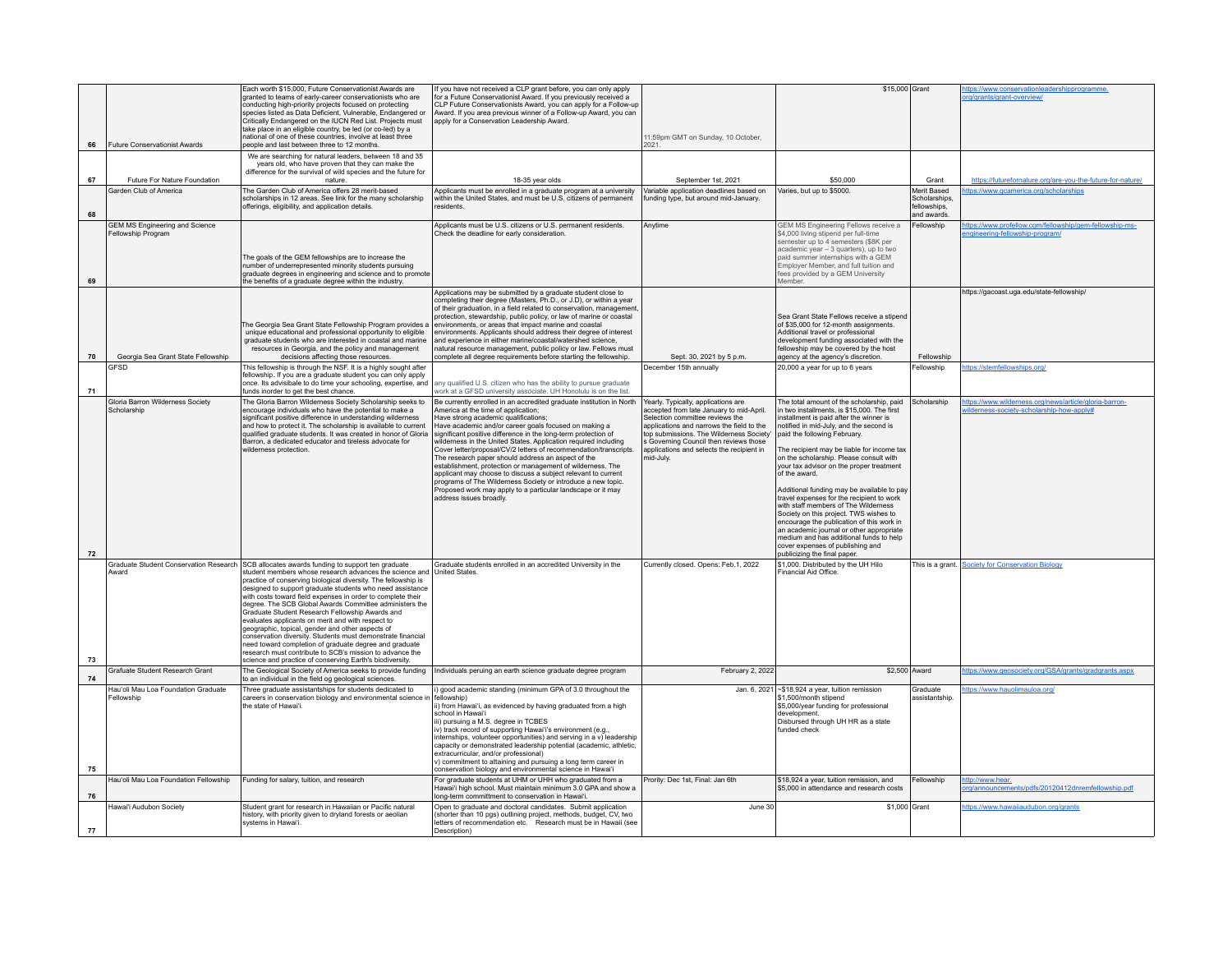|    |                                                             | Each worth \$15,000. Future Conservationist Awards are                                                                                   | If you have not received a CLP grant before, you can only apply                                                                             |                                                                                     | \$15,000 Grant                                                                          |                              | ttps://www.conservationleadershipprogramme.                                              |
|----|-------------------------------------------------------------|------------------------------------------------------------------------------------------------------------------------------------------|---------------------------------------------------------------------------------------------------------------------------------------------|-------------------------------------------------------------------------------------|-----------------------------------------------------------------------------------------|------------------------------|------------------------------------------------------------------------------------------|
|    |                                                             | granted to teams of early-career conservationists who are                                                                                | for a Future Conservationist Award. If you previously received a                                                                            |                                                                                     |                                                                                         |                              | org/grants/grant-overview/                                                               |
|    |                                                             | conducting high-priority projects focused on protecting<br>species listed as Data Deficient, Vulnerable, Endangered or                   | CLP Future Conservationists Award, you can apply for a Follow-up<br>Award. If you area previous winner of a Follow-up Award, you can        |                                                                                     |                                                                                         |                              |                                                                                          |
|    |                                                             | Critically Endangered on the IUCN Red List. Projects must                                                                                | apply for a Conservation Leadership Award.                                                                                                  |                                                                                     |                                                                                         |                              |                                                                                          |
|    |                                                             | take place in an eligible country, be led (or co-led) by a<br>ational of one of these countries, involve at least three                  |                                                                                                                                             | 11:59pm GMT on Sunday, 10 October,                                                  |                                                                                         |                              |                                                                                          |
| 66 | <b>Future Conservationist Awards</b>                        | people and last between three to 12 months.                                                                                              |                                                                                                                                             | 2021                                                                                |                                                                                         |                              |                                                                                          |
|    |                                                             | We are searching for natural leaders, between 18 and 35<br>years old, who have proven that they can make the                             |                                                                                                                                             |                                                                                     |                                                                                         |                              |                                                                                          |
|    |                                                             | difference for the survival of wild species and the future for                                                                           |                                                                                                                                             |                                                                                     |                                                                                         |                              |                                                                                          |
| 67 | Future For Nature Foundation                                | nature                                                                                                                                   | 18-35 year olds                                                                                                                             | September 1st, 2021                                                                 | \$50,000                                                                                | Grant                        | https://futurefornature.org/are-you-the-future-for-nature/                               |
|    | Garden Club of America                                      | The Garden Club of America offers 28 merit-based<br>scholarships in 12 areas. See link for the many scholarship                          | Applicants must be enrolled in a graduate program at a university<br>within the United States, and must be U.S. citizens of permanent       | Variable application deadlines based on<br>funding type, but around mid-January.    | Varies, but up to \$5000.                                                               | Merit Based<br>Scholarships, | ttps://www.gcamerica.org/scholarshir                                                     |
|    |                                                             | offerings, eligibility, and application details.                                                                                         | residents                                                                                                                                   |                                                                                     |                                                                                         | fellowships,                 |                                                                                          |
| 68 |                                                             |                                                                                                                                          |                                                                                                                                             |                                                                                     |                                                                                         | and awards                   |                                                                                          |
|    | <b>GEM MS Engineering and Science</b><br>Fellowship Program |                                                                                                                                          | Applicants must be U.S. citizens or U.S. permanent residents.<br>Check the deadline for early consideration.                                | Anvtime                                                                             | GEM MS Engineering Fellows receive a<br>\$4,000 living stipend per full-time            | Fellowship                   | ttps://www.profellow.com/fellowship/gem-fellowship-ms-<br>ngineering-fellowship-program/ |
|    |                                                             |                                                                                                                                          |                                                                                                                                             |                                                                                     | semester up to 4 semesters (\$8K per                                                    |                              |                                                                                          |
|    |                                                             | The goals of the GEM fellowships are to increase the                                                                                     |                                                                                                                                             |                                                                                     | academic year - 3 quarters), up to two<br>paid summer internships with a GEM            |                              |                                                                                          |
|    |                                                             | number of underrepresented minority students pursuing                                                                                    |                                                                                                                                             |                                                                                     | Employer Member, and full tuition and                                                   |                              |                                                                                          |
| 69 |                                                             | graduate degrees in engineering and science and to promote<br>the benefits of a graduate degree within the industry.                     |                                                                                                                                             |                                                                                     | fees provided by a GEM University<br>Member.                                            |                              |                                                                                          |
|    |                                                             |                                                                                                                                          | Applications may be submitted by a graduate student close to                                                                                |                                                                                     |                                                                                         |                              | https://gacoast.uga.edu/state-fellowship/                                                |
|    |                                                             |                                                                                                                                          | completing their degree (Masters, Ph.D., or J.D), or within a year                                                                          |                                                                                     |                                                                                         |                              |                                                                                          |
|    |                                                             |                                                                                                                                          | of their graduation, in a field related to conservation, management,<br>protection, stewardship, public policy, or law of marine or coastal |                                                                                     | Sea Grant State Fellows receive a stinend                                               |                              |                                                                                          |
|    |                                                             | The Georgia Sea Grant State Fellowship Program provides a                                                                                | environments, or areas that impact marine and coastal                                                                                       |                                                                                     | of \$35,000 for 12-month assignments.                                                   |                              |                                                                                          |
|    |                                                             | unique educational and professional opportunity to eligible<br>graduate students who are interested in coastal and marine                | environments. Applicants should address their degree of interest<br>and experience in either marine/coastal/watershed science,              |                                                                                     | Additional travel or professional<br>development funding associated with the            |                              |                                                                                          |
|    |                                                             | resources in Georgia, and the policy and management                                                                                      | natural resource management, public policy or law. Fellows must                                                                             |                                                                                     | fellowship may be covered by the host                                                   |                              |                                                                                          |
| 70 | Georgia Sea Grant State Fellowship<br><b>GFSD</b>           | decisions affecting those resources.<br>This fellowship is through the NSF. It is a highly sought after                                  | complete all degree requirements before starting the fellowship.                                                                            | Sept. 30, 2021 by 5 p.m.<br>December 15th annually                                  | agency at the agency's discretion.                                                      | Fellowship<br>Fellowship     | ttps://stemfellowships.org/                                                              |
|    |                                                             | fellowship. If you are a graduate student you can only apply                                                                             |                                                                                                                                             |                                                                                     | 20,000 a year for up to 6 years                                                         |                              |                                                                                          |
|    |                                                             | once. Its advisibale to do time your schooling, expertise, and                                                                           | any qualified U.S. citizen who has the ability to pursue graduate                                                                           |                                                                                     |                                                                                         |                              |                                                                                          |
| 71 | Gloria Barron Wilderness Society                            | funds inorder to get the best chance.<br>The Gloria Barron Wilderness Society Scholarship seeks to                                       | work at a GFSD university associate. UH Honolulu is on the list.<br>Be currently enrolled in an accredited graduate institution in North    | Yearly. Typically, applications are                                                 | The total amount of the scholarship, paid                                               | Scholarship                  | https://www.wilderness.org/news/article/gloria-barron-                                   |
|    | Scholarship                                                 | encourage individuals who have the potential to make a                                                                                   | America at the time of application:                                                                                                         | accepted from late January to mid-April.                                            | in two installments, is \$15,000. The first                                             |                              | vilderness-society-scholarship-how-apply#                                                |
|    |                                                             | significant positive difference in understanding wilderness<br>and how to protect it. The scholarship is available to current            | Have strong academic qualifications;<br>Have academic and/or career goals focused on making a                                               | Selection committee reviews the<br>applications and narrows the field to the        | installment is paid after the winner is<br>notified in mid-July, and the second is      |                              |                                                                                          |
|    |                                                             | qualified graduate students. It was created in honor of Gloria                                                                           | significant positive difference in the long-term protection of                                                                              | top submissions. The Wilderness Society                                             | paid the following February.                                                            |                              |                                                                                          |
|    |                                                             | Barron, a dedicated educator and tireless advocate for<br>wilderness protection.                                                         | wilderness in the United States. Application required including<br>Cover letter/proposal/CV/2 letters of recommendation/transcripts.        | s Governing Council then reviews those<br>applications and selects the recipient in | The recipient may be liable for income tax                                              |                              |                                                                                          |
|    |                                                             |                                                                                                                                          | The research paper should address an aspect of the                                                                                          | mid-July.                                                                           | on the scholarship. Please consult with                                                 |                              |                                                                                          |
|    |                                                             |                                                                                                                                          | establishment, protection or management of wilderness. The<br>applicant may choose to discuss a subject relevant to current                 |                                                                                     | your tax advisor on the proper treatment<br>of the award                                |                              |                                                                                          |
|    |                                                             |                                                                                                                                          | programs of The Wilderness Society or introduce a new topic.                                                                                |                                                                                     |                                                                                         |                              |                                                                                          |
|    |                                                             |                                                                                                                                          | Proposed work may apply to a particular landscape or it may<br>address issues broadly.                                                      |                                                                                     | Additional funding may be available to pay<br>travel expenses for the recipient to work |                              |                                                                                          |
|    |                                                             |                                                                                                                                          |                                                                                                                                             |                                                                                     | with staff members of The Wilderness                                                    |                              |                                                                                          |
|    |                                                             |                                                                                                                                          |                                                                                                                                             |                                                                                     | Society on this project. TWS wishes to                                                  |                              |                                                                                          |
|    |                                                             |                                                                                                                                          |                                                                                                                                             |                                                                                     | encourage the publication of this work in<br>an academic journal or other appropriate   |                              |                                                                                          |
|    |                                                             |                                                                                                                                          |                                                                                                                                             |                                                                                     | medium and has additional funds to help                                                 |                              |                                                                                          |
| 72 |                                                             |                                                                                                                                          |                                                                                                                                             |                                                                                     | cover expenses of publishing and<br>publicizing the final paper.                        |                              |                                                                                          |
|    |                                                             | Graduate Student Conservation Research SCB allocates awards funding to support ten graduate                                              | Graduate students enrolled in an accredited University in the                                                                               | Currently closed. Opens: Feb.1, 2022                                                | \$1,000. Distributed by the UH Hilo                                                     |                              | This is a grant. Society for Conservation Biology                                        |
|    | Award                                                       | student members whose research advances the science and United States.<br>practice of conserving biological diversity. The fellowship is |                                                                                                                                             |                                                                                     | Financial Aid Office                                                                    |                              |                                                                                          |
|    |                                                             | designed to support graduate students who need assistance                                                                                |                                                                                                                                             |                                                                                     |                                                                                         |                              |                                                                                          |
|    |                                                             | with costs toward field expenses in order to complete their<br>degree. The SCB Global Awards Committee administers the                   |                                                                                                                                             |                                                                                     |                                                                                         |                              |                                                                                          |
|    |                                                             | Graduate Student Research Fellowship Awards and                                                                                          |                                                                                                                                             |                                                                                     |                                                                                         |                              |                                                                                          |
|    |                                                             | evaluates applicants on merit and with respect to                                                                                        |                                                                                                                                             |                                                                                     |                                                                                         |                              |                                                                                          |
|    |                                                             | geographic, topical, gender and other aspects of<br>conservation diversity. Students must demonstrate financial                          |                                                                                                                                             |                                                                                     |                                                                                         |                              |                                                                                          |
|    |                                                             | need toward completion of graduate degree and graduate<br>research must contribute to SCB's mission to advance the                       |                                                                                                                                             |                                                                                     |                                                                                         |                              |                                                                                          |
| 73 |                                                             | science and practice of conserving Earth's biodiversity.                                                                                 |                                                                                                                                             |                                                                                     |                                                                                         |                              |                                                                                          |
|    | <b>Grafuate Student Research Grant</b>                      | The Geological Society of America seeks to provide funding                                                                               | Individuals peruing an earth science graduate degree program                                                                                | February 2, 2022                                                                    | \$2,500 Award                                                                           |                              | https://www.geosociety.org/GSA/grants/gradgrants.aspx                                    |
| 74 | Hau'oli Mau Loa Foundation Graduate                         | to an individual in the field og geological sciences.<br>Three graduate assistantships for students dedicated to                         | ) good academic standing (minimum GPA of 3.0 throughout the                                                                                 |                                                                                     | Jan. 6, 2021 ~ \$18,924 a year, tuition remission                                       | Graduate                     |                                                                                          |
|    | Fellowship                                                  | careers in conservation biology and environmental science in                                                                             | fellowship)                                                                                                                                 |                                                                                     | \$1,500/month stipend                                                                   | assistantship                | ttps://www.hauolimauloa.org/                                                             |
|    |                                                             | the state of Hawaiʻi                                                                                                                     | ii) from Hawai'i, as evidenced by having graduated from a high                                                                              |                                                                                     | \$5,000/year funding for professional                                                   |                              |                                                                                          |
|    |                                                             |                                                                                                                                          | school in Hawai'i<br>iii) pursuing a M.S. degree in TCBES                                                                                   |                                                                                     | development.<br>Disbursed through UH HR as a state                                      |                              |                                                                                          |
|    |                                                             |                                                                                                                                          | iv) track record of supporting Hawai'i's environment (e.g.,                                                                                 |                                                                                     | funded check                                                                            |                              |                                                                                          |
|    |                                                             |                                                                                                                                          | internships, volunteer opportunities) and serving in a v) leadership<br>capacity or demonstrated leadership potential (academic, athletic,  |                                                                                     |                                                                                         |                              |                                                                                          |
|    |                                                             |                                                                                                                                          | extracurricular, and/or professional)                                                                                                       |                                                                                     |                                                                                         |                              |                                                                                          |
| 75 |                                                             |                                                                                                                                          | v) commitment to attaining and pursuing a long term career in<br>conservation biology and environmental science in Hawai'i                  |                                                                                     |                                                                                         |                              |                                                                                          |
|    | Hau'oli Mau Loa Foundation Fellowship                       | Funding for salary, tuition, and research                                                                                                | For graduate students at UHM or UHH who graduated from a                                                                                    | Prority: Dec 1st, Final: Jan 6th                                                    | \$18,924 a year, tuition remission, and                                                 | Fellowship                   | ttp://www.hear.                                                                          |
| 76 |                                                             |                                                                                                                                          | Hawai'i high school. Must maintain minimum 3.0 GPA and show a<br>long-term committment to conservation in Hawai'i.                          |                                                                                     | \$5,000 in attendance and research costs                                                |                              | org/announcements/pdfs/20120412dnremfellowship.pdf                                       |
|    | Hawai'i Audubon Society                                     | Student grant for research in Hawaiian or Pacific natural                                                                                | Open to graduate and doctoral candidates. Submit application                                                                                | June 30                                                                             | \$1,000 Grant                                                                           |                              | ttps://www.hawaiiaudubon.org/grants                                                      |
|    |                                                             | history, with priority given to dryland forests or aeolian                                                                               | (shorter than 10 pgs) outlining project, methods, budget, CV, two                                                                           |                                                                                     |                                                                                         |                              |                                                                                          |
| 77 |                                                             | systems in Hawai'i.                                                                                                                      | letters of recommendation etc. Research must be in Hawaii (see<br>Description)                                                              |                                                                                     |                                                                                         |                              |                                                                                          |
|    |                                                             |                                                                                                                                          |                                                                                                                                             |                                                                                     |                                                                                         |                              |                                                                                          |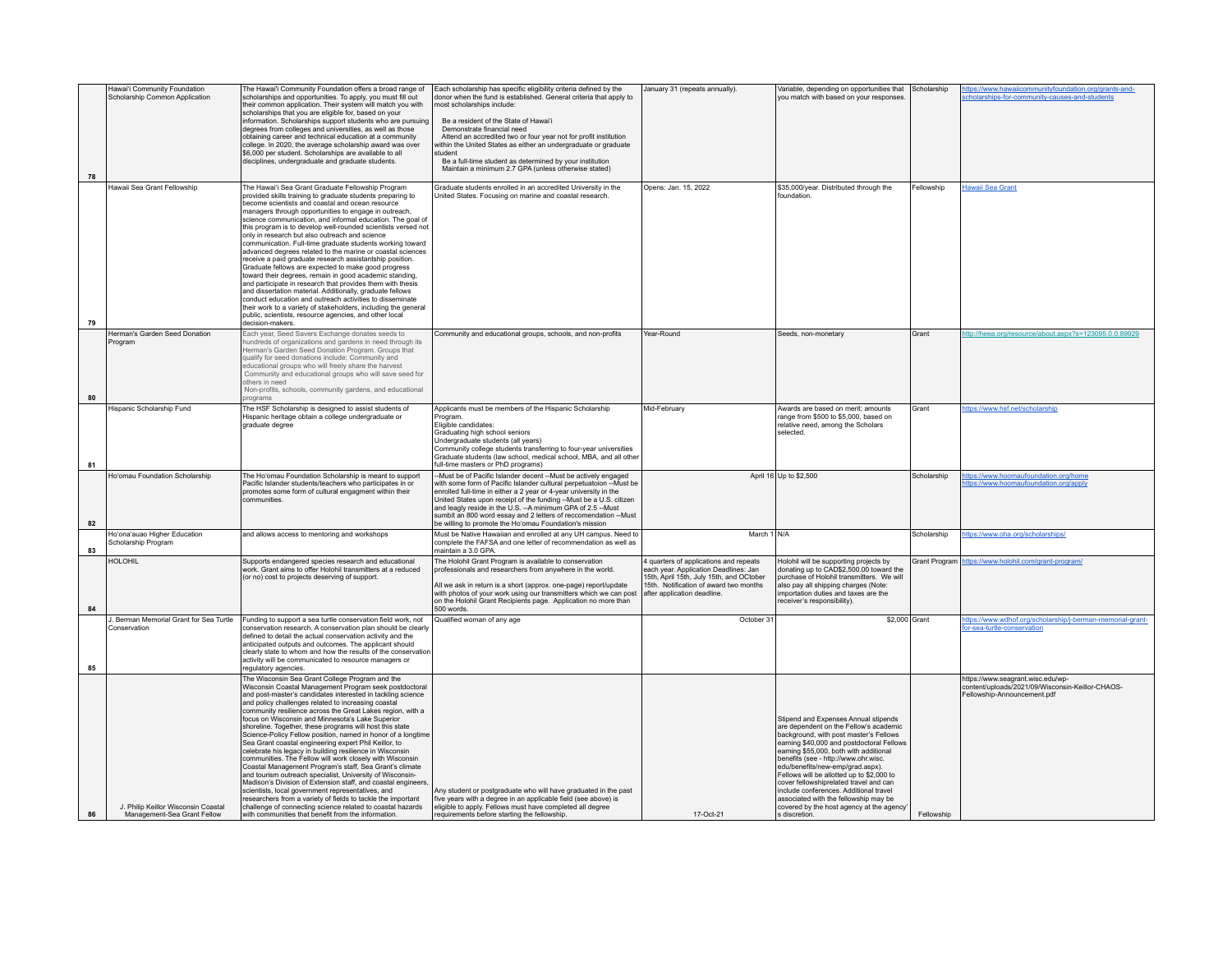|    | Hawai'i Community Foundation<br>Scholarship Common Application     | The Hawai'i Community Foundation offers a broad range of<br>scholarships and opportunities. To apply, you must fill out<br>their common application. Their system will match you with                                                                                                                                                                                                                                                                                                                                                                                                                                                                                                                                                                                                                                                                                                                                                                                                                                                                                                             | Each scholarship has specific eligibility criteria defined by the<br>donor when the fund is established. General criteria that apply to<br>most scholarships include:                                                                                                                                                                                                                                                                                                             | January 31 (repeats annually).                                                                                                                                                                       | Variable, depending on opportunities that<br>you match with based on your responses                                                                                                                                                                                                                                                                                                                                                                                                                                                | Scholarship   | https://www.hawaiicommunityfoundation.org/grants-and-<br>cholarships-for-community-causes-and-students               |
|----|--------------------------------------------------------------------|---------------------------------------------------------------------------------------------------------------------------------------------------------------------------------------------------------------------------------------------------------------------------------------------------------------------------------------------------------------------------------------------------------------------------------------------------------------------------------------------------------------------------------------------------------------------------------------------------------------------------------------------------------------------------------------------------------------------------------------------------------------------------------------------------------------------------------------------------------------------------------------------------------------------------------------------------------------------------------------------------------------------------------------------------------------------------------------------------|-----------------------------------------------------------------------------------------------------------------------------------------------------------------------------------------------------------------------------------------------------------------------------------------------------------------------------------------------------------------------------------------------------------------------------------------------------------------------------------|------------------------------------------------------------------------------------------------------------------------------------------------------------------------------------------------------|------------------------------------------------------------------------------------------------------------------------------------------------------------------------------------------------------------------------------------------------------------------------------------------------------------------------------------------------------------------------------------------------------------------------------------------------------------------------------------------------------------------------------------|---------------|----------------------------------------------------------------------------------------------------------------------|
| 78 |                                                                    | scholarships that you are eligible for, based on your<br>information. Scholarships support students who are pursuing<br>degrees from colleges and universities, as well as those<br>obtaining career and technical education at a community<br>college. In 2020, the average scholarship award was over<br>\$6,000 per student. Scholarships are available to all<br>disciplines, undergraduate and graduate students.                                                                                                                                                                                                                                                                                                                                                                                                                                                                                                                                                                                                                                                                            | Be a resident of the State of Hawai'i<br>Demonstrate financial need<br>Attend an accredited two or four year not for profit institution<br>within the United States as either an undergraduate or graduate<br>student<br>Be a full-time student as determined by your institution<br>Maintain a minimum 2.7 GPA (unless otherwise stated)                                                                                                                                         |                                                                                                                                                                                                      |                                                                                                                                                                                                                                                                                                                                                                                                                                                                                                                                    |               |                                                                                                                      |
| 79 | Hawaii Sea Grant Fellowship                                        | The Hawai'i Sea Grant Graduate Fellowship Program<br>provided skills training to graduate students preparing to<br>become scientists and coastal and ocean resource<br>managers through opportunities to engage in outreach,<br>science communication, and informal education. The goal of<br>this program is to develop well-rounded scientists versed not<br>only in research but also outreach and science<br>communication. Full-time graduate students working toward<br>advanced degrees related to the marine or coastal sciences<br>receive a paid graduate research assistantship position.<br>Graduate fellows are expected to make good progress<br>toward their degrees, remain in good academic standing,<br>and participate in research that provides them with thesis<br>and dissertation material. Additionally, graduate fellows<br>conduct education and outreach activities to disseminate<br>their work to a variety of stakeholders, including the general<br>public, scientists, resource agencies, and other local<br>decision-makers.                                     | Graduate students enrolled in an accredited University in the<br>United States. Focusing on marine and coastal research.                                                                                                                                                                                                                                                                                                                                                          | Opens: Jan. 15, 2022                                                                                                                                                                                 | \$35,000/year. Distributed through the<br>foundation                                                                                                                                                                                                                                                                                                                                                                                                                                                                               | Fellowship    | <b>Hawaii Sea Grant</b>                                                                                              |
| 80 | Herman's Garden Seed Donation<br>Program                           | Each year, Seed Savers Exchange donates seeds to<br>hundreds of organizations and gardens in need through its<br>Herman's Garden Seed Donation Program. Groups that<br>qualify for seed donations include: Community and<br>educational groups who will freely share the harvest<br>Community and educational groups who will save seed for<br>others in need<br>Non-profits, schools, community gardens, and educational<br>programs                                                                                                                                                                                                                                                                                                                                                                                                                                                                                                                                                                                                                                                             | Community and educational groups, schools, and non-profits                                                                                                                                                                                                                                                                                                                                                                                                                        | Year-Round                                                                                                                                                                                           | Seeds, non-monetary                                                                                                                                                                                                                                                                                                                                                                                                                                                                                                                | Grant         | http://heea.org/resource/about.aspx?s=123095.0.0.89929                                                               |
| 81 | Hispanic Scholarship Fund                                          | The HSF Scholarship is designed to assist students of<br>Hispanic heritage obtain a college undergraduate or<br>graduate degree                                                                                                                                                                                                                                                                                                                                                                                                                                                                                                                                                                                                                                                                                                                                                                                                                                                                                                                                                                   | Applicants must be members of the Hispanic Scholarship<br>Program.<br>Fligible candidates:<br>Graduating high school seniors<br>Undergraduate students (all years)<br>Community college students transferring to four-year universities<br>Graduate students (law school, medical school, MBA, and all other<br>full-time masters or PhD programs)                                                                                                                                | Mid-February                                                                                                                                                                                         | Awards are based on merit; amounts<br>range from \$500 to \$5,000, based on<br>relative need, among the Scholars<br>selected.                                                                                                                                                                                                                                                                                                                                                                                                      | Grant         | https://www.hsf.net/scholarship                                                                                      |
| 82 | Ho'omau Foundation Scholarship                                     | The Ho'omau Foundation Scholarship is meant to support<br>Pacific Islander students/teachers who participates in or<br>promotes some form of cultural engagment within their<br>communities                                                                                                                                                                                                                                                                                                                                                                                                                                                                                                                                                                                                                                                                                                                                                                                                                                                                                                       | --Must be of Pacific Islander decent --Must be actively engaged<br>with some form of Pacific Islander cultural perpetuatoion -- Must be<br>enrolled full-time in either a 2 year or 4-year university in the<br>United States upon receipt of the funding -- Must be a U.S. citizen<br>and leagly reside in the U.S. -- A minimum GPA of 2.5 -- Must<br>sumbit an 800 word essay and 2 letters of reccomendation --Must<br>be willing to promote the Ho'omau Foundation's mission |                                                                                                                                                                                                      | April 16 Up to \$2,500                                                                                                                                                                                                                                                                                                                                                                                                                                                                                                             | Scholarship   | https://www.hoomaufoundation.org/home<br>ttps://www.hoomaufoundation.org/apply                                       |
| 83 | Ho'ona'auao Higher Education<br>Scholarship Program                | and allows access to mentoring and workshops                                                                                                                                                                                                                                                                                                                                                                                                                                                                                                                                                                                                                                                                                                                                                                                                                                                                                                                                                                                                                                                      | Must be Native Hawaiian and enrolled at any UH campus. Need to<br>complete the FAFSA and one letter of recommendation as well as<br>maintain a 3.0 GPA                                                                                                                                                                                                                                                                                                                            | March 1 N/A                                                                                                                                                                                          |                                                                                                                                                                                                                                                                                                                                                                                                                                                                                                                                    | Scholarship   | https://www.oha.org/scholarships/                                                                                    |
| 84 | <b>HOLOHIL</b>                                                     | Supports endangered species research and educational<br>work. Grant aims to offer Holohil transmitters at a reduced<br>(or no) cost to projects deserving of support.                                                                                                                                                                                                                                                                                                                                                                                                                                                                                                                                                                                                                                                                                                                                                                                                                                                                                                                             | The Holohil Grant Program is available to conservation<br>professionals and researchers from anywhere in the world.<br>All we ask in return is a short (approx. one-page) report/update<br>with photos of your work using our transmitters which we can post<br>on the Holohil Grant Recipients page. Application no more than<br>$500$ words.                                                                                                                                    | 4 quarters of applications and repeats<br>each year. Application Deadlines: Jan<br>15th, April 15th, July 15th, and OCtober<br>15th. Notification of award two months<br>after application deadline. | Holohil will be supporting projects by<br>donating up to CAD\$2,500.00 toward the<br>purchase of Holohil transmitters. We will<br>also pay all shipping charges (Note:<br>importation duties and taxes are the<br>receiver's responsibility).                                                                                                                                                                                                                                                                                      | Grant Program | https://www.holohil.com/grant-program/                                                                               |
| 85 | J. Berman Memorial Grant for Sea Turtle<br>Conservation            | Funding to support a sea turtle conservation field work, not<br>conservation research. A conservation plan should be clearly<br>defined to detail the actual conservation activity and the<br>anticipated outputs and outcomes. The applicant should<br>clearly state to whom and how the results of the conservation<br>activity will be communicated to resource managers or<br>regulatory agencies.                                                                                                                                                                                                                                                                                                                                                                                                                                                                                                                                                                                                                                                                                            | Qualified woman of any age                                                                                                                                                                                                                                                                                                                                                                                                                                                        | October 31                                                                                                                                                                                           | \$2,000 Grant                                                                                                                                                                                                                                                                                                                                                                                                                                                                                                                      |               | https://www.wdhof.org/scholarship/j-berman-memorial-grant-<br>for-sea-turtle-conservation                            |
| 86 | J. Philip Keillor Wisconsin Coastal<br>Management-Sea Grant Fellow | The Wisconsin Sea Grant College Program and the<br>Wisconsin Coastal Management Program seek postdoctoral<br>and post-master's candidates interested in tackling science<br>and policy challenges related to increasing coastal<br>community resilience across the Great Lakes region, with a<br>focus on Wisconsin and Minnesota's Lake Superior<br>shoreline. Together, these programs will host this state<br>Science-Policy Fellow position, named in honor of a longtime<br>Sea Grant coastal engineering expert Phil Keillor, to<br>celebrate his legacy in building resilience in Wisconsin<br>communities. The Fellow will work closely with Wisconsin<br>Coastal Management Program's staff, Sea Grant's climate<br>and tourism outreach specialist, University of Wisconsin-<br>Madison's Division of Extension staff, and coastal engineers.<br>scientists, local government representatives, and<br>researchers from a variety of fields to tackle the important<br>challenge of connecting science related to coastal hazards<br>with communities that benefit from the information. | Any student or postgraduate who will have graduated in the past<br>five years with a degree in an applicable field (see above) is<br>eligible to apply. Fellows must have completed all degree<br>requirements before starting the fellowship.                                                                                                                                                                                                                                    | 17-Oct-21                                                                                                                                                                                            | Stipend and Expenses Annual stipends<br>are dependent on the Fellow's academic<br>background, with post master's Fellows<br>earning \$40,000 and postdoctoral Fellows<br>earning \$55,000, both with additional<br>benefits (see - http://www.ohr.wisc.<br>edu/benefits/new-emp/grad.aspx).<br>Fellows will be allotted up to \$2,000 to<br>cover fellowshiprelated travel and can<br>include conferences. Additional travel<br>associated with the fellowship may be<br>covered by the host agency at the agency<br>s discretion. | Fellowship    | https://www.seagrant.wisc.edu/wp-<br>content/uploads/2021/09/Wisconsin-Keillor-CHAOS-<br>Fellowship-Announcement.pdf |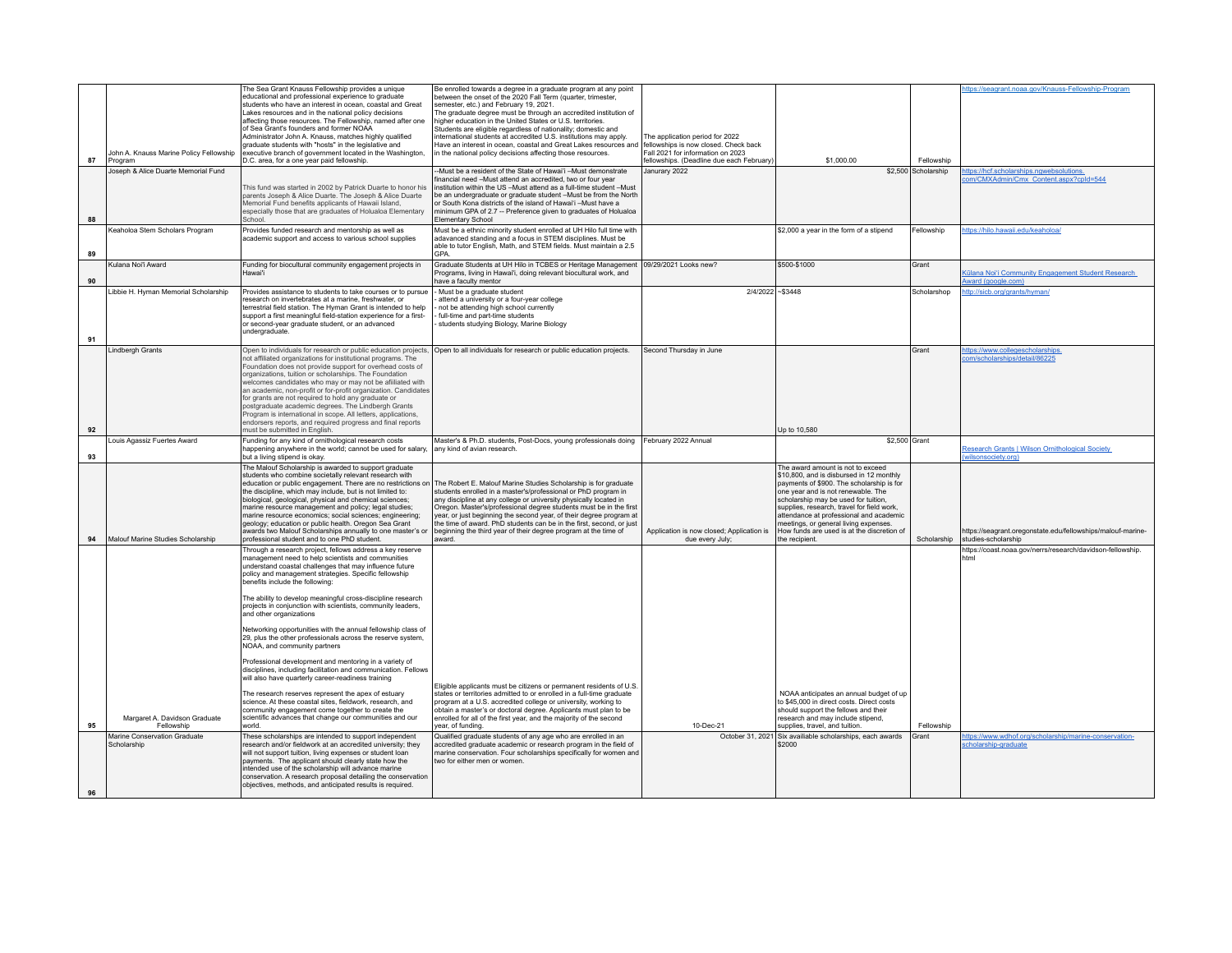|    |                                                | The Sea Grant Knauss Fellowship provides a unique                                                                                                                                                                                                                                                 | Be enrolled towards a degree in a graduate program at any point                                                                                                                                                                       |                                                              |                                                                                                                        |                                   | https://seagrant.noaa.gov/Knauss-Fellowship-Program                                |
|----|------------------------------------------------|---------------------------------------------------------------------------------------------------------------------------------------------------------------------------------------------------------------------------------------------------------------------------------------------------|---------------------------------------------------------------------------------------------------------------------------------------------------------------------------------------------------------------------------------------|--------------------------------------------------------------|------------------------------------------------------------------------------------------------------------------------|-----------------------------------|------------------------------------------------------------------------------------|
|    |                                                | educational and professional experience to graduate<br>students who have an interest in ocean, coastal and Great                                                                                                                                                                                  | between the onset of the 2020 Fall Term (quarter, trimester,<br>semester, etc.) and February 19, 2021.                                                                                                                                |                                                              |                                                                                                                        |                                   |                                                                                    |
|    |                                                | Lakes resources and in the national policy decisions<br>affecting those resources. The Fellowship, named after one                                                                                                                                                                                | The graduate degree must be through an accredited institution of<br>higher education in the United States or U.S. territories.                                                                                                        |                                                              |                                                                                                                        |                                   |                                                                                    |
|    |                                                | of Sea Grant's founders and former NOAA<br>Administrator John A. Knauss, matches highly qualified                                                                                                                                                                                                 | Students are eligible regardless of nationality; domestic and<br>international students at accredited U.S. institutions may apply.                                                                                                    | The application period for 2022                              |                                                                                                                        |                                   |                                                                                    |
|    | John A. Knauss Marine Policy Fellowship        | graduate students with "hosts" in the legislative and<br>executive branch of government located in the Washington,                                                                                                                                                                                | Have an interest in ocean, coastal and Great Lakes resources and fellowships is now closed. Check back<br>in the national policy decisions affecting those resources.                                                                 | Fall 2021 for information on 2023                            |                                                                                                                        |                                   |                                                                                    |
| 87 | Program<br>Joseph & Alice Duarte Memorial Fund | D.C. area, for a one year paid fellowship.                                                                                                                                                                                                                                                        | -Must be a resident of the State of Hawai'i -Must demonstrate                                                                                                                                                                         | fellowships. (Deadline due each February)<br>Janurary 2022   | \$1,000.00                                                                                                             | Fellowship<br>\$2,500 Scholarship | https://hcf.scholarships.ngwebsolutions.                                           |
|    |                                                | This fund was started in 2002 by Patrick Duarte to honor his                                                                                                                                                                                                                                      | financial need -Must attend an accredited, two or four year<br>institution within the US - Must attend as a full-time student - Must                                                                                                  |                                                              |                                                                                                                        |                                   | om/CMXAdmin/Cmx_Content.aspx?cpId=544                                              |
|    |                                                | parents Joseph & Alice Duarte. The Joseph & Alice Duarte<br>Memorial Fund benefits applicants of Hawaii Island,                                                                                                                                                                                   | be an undergraduate or graduate student -Must be from the North<br>or South Kona districts of the island of Hawai'i -Must have a                                                                                                      |                                                              |                                                                                                                        |                                   |                                                                                    |
| 88 |                                                | especially those that are graduates of Holualoa Elementary<br>School.                                                                                                                                                                                                                             | minimum GPA of 2.7 -- Preference given to graduates of Holualoa<br><b>Elementary School</b>                                                                                                                                           |                                                              |                                                                                                                        |                                   |                                                                                    |
|    | Keaholoa Stem Scholars Program                 | Provides funded research and mentorship as well as                                                                                                                                                                                                                                                | Must be a ethnic minority student enrolled at UH Hilo full time with                                                                                                                                                                  |                                                              | \$2,000 a year in the form of a stipend                                                                                | Fellowship                        | https://hilo.hawaii.edu/keaholoa/                                                  |
| 89 |                                                | academic support and access to various school supplies                                                                                                                                                                                                                                            | adavanced standing and a focus in STEM disciplines. Must be<br>able to tutor English, Math, and STEM fields. Must maintain a 2.5<br>GPA.                                                                                              |                                                              |                                                                                                                        |                                   |                                                                                    |
|    | Kulana Noi'i Award                             | Funding for biocultural community engagement projects in<br>Hawai'i                                                                                                                                                                                                                               | Graduate Students at UH Hilo in TCBES or Heritage Management 09/29/2021 Looks new?<br>Programs, living in Hawai'i, doing relevant biocultural work, and                                                                               |                                                              | \$500-\$1000                                                                                                           | Grant                             | <b>Külana Noi'i Community Engagement Student Research</b>                          |
| 90 | Libbie H. Hyman Memorial Scholarship           | Provides assistance to students to take courses or to pursue                                                                                                                                                                                                                                      | have a faculty mentor<br>- Must be a graduate student                                                                                                                                                                                 | 2/4/2022 ~ \$3448                                            |                                                                                                                        | Scholarshop                       | ward (google.com)<br>http://sicb.org/grants/hyman/                                 |
|    |                                                | research on invertebrates at a marine, freshwater, or<br>terrestrial field station. The Hyman Grant is intended to help                                                                                                                                                                           | attend a university or a four-year college<br>not be attending high school currently                                                                                                                                                  |                                                              |                                                                                                                        |                                   |                                                                                    |
|    |                                                | support a first meaningful field-station experience for a first-<br>or second-year graduate student, or an advanced                                                                                                                                                                               | full-time and part-time students<br>students studying Biology, Marine Biology                                                                                                                                                         |                                                              |                                                                                                                        |                                   |                                                                                    |
| 91 |                                                | undergraduate.                                                                                                                                                                                                                                                                                    |                                                                                                                                                                                                                                       |                                                              |                                                                                                                        |                                   |                                                                                    |
|    | <b>Lindbergh Grants</b>                        | Open to individuals for research or public education projects,<br>not affiliated organizations for institutional programs. The                                                                                                                                                                    | Open to all individuals for research or public education projects.                                                                                                                                                                    | Second Thursday in June                                      |                                                                                                                        | Grant                             | https://www.collegescholarships.<br>com/scholarships/detail/86225                  |
|    |                                                | Foundation does not provide support for overhead costs of<br>organizations, tuition or scholarships. The Foundation                                                                                                                                                                               |                                                                                                                                                                                                                                       |                                                              |                                                                                                                        |                                   |                                                                                    |
|    |                                                | welcomes candidates who may or may not be afiiliated with<br>an academic, non-profit or for-profit organization. Candidates                                                                                                                                                                       |                                                                                                                                                                                                                                       |                                                              |                                                                                                                        |                                   |                                                                                    |
|    |                                                | for grants are not required to hold any graduate or<br>postgraduate academic degrees. The Lindbergh Grants                                                                                                                                                                                        |                                                                                                                                                                                                                                       |                                                              |                                                                                                                        |                                   |                                                                                    |
|    |                                                | Program is international in scope. All letters, applications,<br>endorsers reports, and required progress and final reports                                                                                                                                                                       |                                                                                                                                                                                                                                       |                                                              |                                                                                                                        |                                   |                                                                                    |
| 92 |                                                | must be submitted in Fnalish                                                                                                                                                                                                                                                                      |                                                                                                                                                                                                                                       |                                                              | Up to 10,580                                                                                                           |                                   |                                                                                    |
| 93 | Louis Agassiz Fuertes Award                    | Funding for any kind of ornithological research costs<br>happening anywhere in the world; cannot be used for salary<br>but a living stipend is okay.                                                                                                                                              | Master's & Ph.D. students, Post-Docs, young professionals doing<br>any kind of avian research.                                                                                                                                        | February 2022 Annual                                         | \$2,500 Grant                                                                                                          |                                   | Research Grants   Wilson Ornithological Society<br>(wilsonsociety.org)             |
|    |                                                | The Malouf Scholarship is awarded to support graduate<br>students who combine societally relevant research with                                                                                                                                                                                   |                                                                                                                                                                                                                                       |                                                              | The award amount is not to exceed<br>\$10,800, and is disbursed in 12 monthly                                          |                                   |                                                                                    |
|    |                                                | the discipline, which may include, but is not limited to:                                                                                                                                                                                                                                         | education or public engagement. There are no restrictions on The Robert E. Malouf Marine Studies Scholarship is for graduate<br>students enrolled in a master's/professional or PhD program in                                        |                                                              | payments of \$900. The scholarship is for<br>one year and is not renewable. The                                        |                                   |                                                                                    |
|    |                                                | biological, geological, physical and chemical sciences;<br>marine resource management and policy; legal studies;                                                                                                                                                                                  | any discipline at any college or university physically located in<br>Oregon. Master's/professional degree students must be in the first                                                                                               |                                                              | scholarship may be used for tuition.<br>supplies, research, travel for field work,                                     |                                   |                                                                                    |
|    |                                                | marine resource economics; social sciences; engineering;<br>geology: education or public health. Oregon Sea Grant                                                                                                                                                                                 | year, or just beginning the second year, of their degree program at<br>the time of award. PhD students can be in the first, second, or just                                                                                           |                                                              | attendance at professional and academic<br>meetings, or general living expenses.                                       |                                   |                                                                                    |
|    | Malouf Marine Studies Scholarship              | awards two Malouf Scholarships annually to one master's or<br>professional student and to one PhD student                                                                                                                                                                                         | beginning the third year of their degree program at the time of<br>hnewa                                                                                                                                                              | Application is now closed; Application is<br>due every July; | How funds are used is at the discretion of<br>he recipient.                                                            | Scholarship                       | https://seagrant.oregonstate.edu/fellowships/malouf-marine-<br>studies-scholarship |
|    |                                                | Through a research project, fellows address a key reserve<br>management need to help scientists and communities                                                                                                                                                                                   |                                                                                                                                                                                                                                       |                                                              |                                                                                                                        |                                   | https://coast.noaa.gov/nerrs/research/davidson-fellowship.                         |
|    |                                                | understand coastal challenges that may influence future                                                                                                                                                                                                                                           |                                                                                                                                                                                                                                       |                                                              |                                                                                                                        |                                   | html                                                                               |
|    |                                                | policy and management strategies. Specific fellowship                                                                                                                                                                                                                                             |                                                                                                                                                                                                                                       |                                                              |                                                                                                                        |                                   |                                                                                    |
|    |                                                | benefits include the following:                                                                                                                                                                                                                                                                   |                                                                                                                                                                                                                                       |                                                              |                                                                                                                        |                                   |                                                                                    |
|    |                                                | The ability to develop meaningful cross-discipline research<br>projects in conjunction with scientists, community leaders,<br>and other organizations                                                                                                                                             |                                                                                                                                                                                                                                       |                                                              |                                                                                                                        |                                   |                                                                                    |
|    |                                                | Networking opportunities with the annual fellowship class of<br>29, plus the other professionals across the reserve system,<br>NOAA, and community partners                                                                                                                                       |                                                                                                                                                                                                                                       |                                                              |                                                                                                                        |                                   |                                                                                    |
|    |                                                | Professional development and mentoring in a variety of<br>disciplines, including facilitation and communication. Fellows<br>will also have quarterly career-readiness training                                                                                                                    |                                                                                                                                                                                                                                       |                                                              |                                                                                                                        |                                   |                                                                                    |
|    |                                                | The research reserves represent the apex of estuary                                                                                                                                                                                                                                               | Eligible applicants must be citizens or permanent residents of U.S.<br>states or territories admitted to or enrolled in a full-time graduate                                                                                          |                                                              | NOAA anticipates an annual budget of up                                                                                |                                   |                                                                                    |
|    | Margaret A. Davidson Graduate                  | science. At these coastal sites, fieldwork, research, and<br>community engagement come together to create the<br>scientific advances that change our communities and our                                                                                                                          | program at a U.S. accredited college or university, working to<br>obtain a master's or doctoral degree. Applicants must plan to be<br>enrolled for all of the first year, and the majority of the second                              |                                                              | to \$45,000 in direct costs. Direct costs<br>should support the fellows and their<br>research and may include stipend, |                                   |                                                                                    |
| 95 | Fellowship                                     | hhow                                                                                                                                                                                                                                                                                              | ear of funding                                                                                                                                                                                                                        | 10-Dec-21                                                    | supplies, travel, and tuition                                                                                          | Fellowship                        |                                                                                    |
|    | Marine Conservation Graduate<br>Scholarship    | These scholarships are intended to support independent<br>research and/or fieldwork at an accredited university; they<br>will not support tuition, living expenses or student loan<br>payments. The applicant should clearly state how the<br>intended use of the scholarship will advance marine | Qualified graduate students of any age who are enrolled in an<br>accredited graduate academic or research program in the field of<br>marine conservation. Four scholarships specifically for women and<br>two for either men or women |                                                              | October 31, 2021 Six availiable scholarships, each awards<br>\$2000                                                    | Grant                             | https://www.wdhof.org/scholarship/marine-conservation-<br>scholarship-graduate     |
| 96 |                                                | conservation. A research proposal detailing the conservation<br>objectives, methods, and anticipated results is required.                                                                                                                                                                         |                                                                                                                                                                                                                                       |                                                              |                                                                                                                        |                                   |                                                                                    |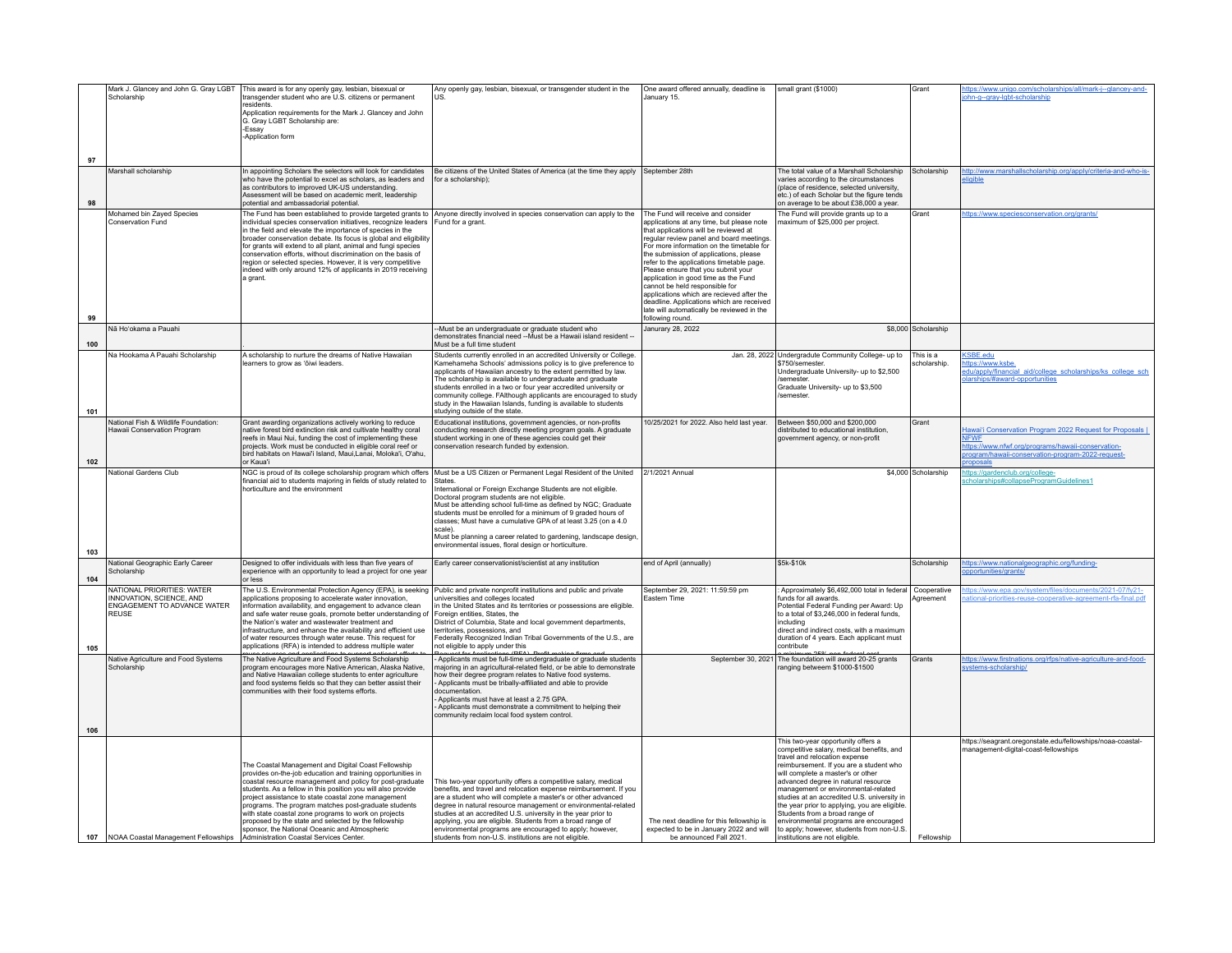|     | Mark J. Glancey and John G. Gray LGBT                                           | This award is for any openly gay, lesbian, bisexual or                                                                        | Any openly gay, lesbian, bisexual, or transgender student in the                                                                                                                | One award offered annually, deadline is                                                                        | small grant (\$1000)                                                                                                | Grant                    | https://www.unigo.com/scholarships/all/mark-j--glancey-and-                                                            |
|-----|---------------------------------------------------------------------------------|-------------------------------------------------------------------------------------------------------------------------------|---------------------------------------------------------------------------------------------------------------------------------------------------------------------------------|----------------------------------------------------------------------------------------------------------------|---------------------------------------------------------------------------------------------------------------------|--------------------------|------------------------------------------------------------------------------------------------------------------------|
|     | Scholarship                                                                     | transgender student who are U.S. citizens or permanent<br>residents.                                                          | <b>US</b>                                                                                                                                                                       | January 15.                                                                                                    |                                                                                                                     |                          | ohn-g--gray-lgbt-scholarship                                                                                           |
|     |                                                                                 | Application requirements for the Mark J. Glancey and John                                                                     |                                                                                                                                                                                 |                                                                                                                |                                                                                                                     |                          |                                                                                                                        |
|     |                                                                                 | G. Gray LGBT Scholarship are:<br><b>Essay</b>                                                                                 |                                                                                                                                                                                 |                                                                                                                |                                                                                                                     |                          |                                                                                                                        |
|     |                                                                                 | Application form                                                                                                              |                                                                                                                                                                                 |                                                                                                                |                                                                                                                     |                          |                                                                                                                        |
|     |                                                                                 |                                                                                                                               |                                                                                                                                                                                 |                                                                                                                |                                                                                                                     |                          |                                                                                                                        |
| 97  |                                                                                 | In appointing Scholars the selectors will look for candidates                                                                 |                                                                                                                                                                                 |                                                                                                                | The total value of a Marshall Scholarship                                                                           | Scholarship              |                                                                                                                        |
|     | Marshall scholarship                                                            | who have the potential to excel as scholars, as leaders and                                                                   | Be citizens of the United States of America (at the time they apply September 28th<br>for a scholarship):                                                                       |                                                                                                                | varies according to the circumstances                                                                               |                          | http://www.marshallscholarship.org/apply/criteria-and-who-is-<br>ligible                                               |
|     |                                                                                 | as contributors to improved UK-US understanding.<br>Assessment will be based on academic merit, leadership                    |                                                                                                                                                                                 |                                                                                                                | (place of residence, selected university,<br>etc.) of each Scholar but the figure tends                             |                          |                                                                                                                        |
| 98  |                                                                                 | potential and ambassadorial potential.                                                                                        |                                                                                                                                                                                 |                                                                                                                | on average to be about £38,000 a year.                                                                              |                          |                                                                                                                        |
|     | Mohamed bin Zayed Species                                                       |                                                                                                                               | The Fund has been established to provide targeted grants to Anyone directly involved in species conservation can apply to the                                                   | The Fund will receive and consider                                                                             | The Fund will provide grants up to a                                                                                | Grant                    | https://www.speciesconservation.org/grants/                                                                            |
|     | Conservation Fund                                                               | individual species conservation initiatives, recognize leaders<br>in the field and elevate the importance of species in the   | Fund for a grant.                                                                                                                                                               | applications at any time, but please note<br>that applications will be reviewed at                             | maximum of \$25,000 per project.                                                                                    |                          |                                                                                                                        |
|     |                                                                                 | broader conservation debate. Its focus is global and eligibility                                                              |                                                                                                                                                                                 | regular review panel and board meetings.                                                                       |                                                                                                                     |                          |                                                                                                                        |
|     |                                                                                 | for grants will extend to all plant, animal and fungi species<br>conservation efforts, without discrimination on the basis of |                                                                                                                                                                                 | For more information on the timetable for<br>the submission of applications, please                            |                                                                                                                     |                          |                                                                                                                        |
|     |                                                                                 | region or selected species. However, it is very competitive<br>indeed with only around 12% of applicants in 2019 receiving    |                                                                                                                                                                                 | refer to the applications timetable page.<br>Please ensure that you submit your                                |                                                                                                                     |                          |                                                                                                                        |
|     |                                                                                 | a grant.                                                                                                                      |                                                                                                                                                                                 | application in good time as the Fund                                                                           |                                                                                                                     |                          |                                                                                                                        |
|     |                                                                                 |                                                                                                                               |                                                                                                                                                                                 | cannot be held responsible for<br>applications which are recieved after the                                    |                                                                                                                     |                          |                                                                                                                        |
|     |                                                                                 |                                                                                                                               |                                                                                                                                                                                 | deadline. Applications which are received                                                                      |                                                                                                                     |                          |                                                                                                                        |
| 99  |                                                                                 |                                                                                                                               |                                                                                                                                                                                 | late will automatically be reviewed in the<br>following round.                                                 |                                                                                                                     |                          |                                                                                                                        |
|     | Nā Ho'okama a Pauahi                                                            |                                                                                                                               | -Must be an undergraduate or graduate student who<br>demonstrates financial need -- Must be a Hawaii island resident --                                                         | Janurary 28, 2022                                                                                              |                                                                                                                     | \$8,000 Scholarship      |                                                                                                                        |
| 100 |                                                                                 |                                                                                                                               | Must be a full time student                                                                                                                                                     |                                                                                                                |                                                                                                                     |                          |                                                                                                                        |
|     | Na Hookama A Pauahi Scholarship                                                 | A scholarship to nurture the dreams of Native Hawaiian<br>learners to grow as 'õiwi leaders.                                  | Students currently enrolled in an accredited University or College.<br>Kamehameha Schools' admissions policy is to give preference to                                           |                                                                                                                | Jan. 28, 2022 Undergradute Community College- up to<br>\$750/semester                                               | This is a<br>scholarshin | KSBE.edu<br>ttps://www.ksbe.                                                                                           |
|     |                                                                                 |                                                                                                                               | applicants of Hawaiian ancestry to the extent permitted by law.                                                                                                                 |                                                                                                                | Undergraduate University- up to \$2,500                                                                             |                          | edu/apply/financial_aid/college_scholarships/ks_college_sch                                                            |
|     |                                                                                 |                                                                                                                               | The scholarship is available to undergraduate and graduate<br>students enrolled in a two or four year accredited university or                                                  |                                                                                                                | /semester.<br>Graduate University- up to \$3,500                                                                    |                          | darships/#award-opportunities                                                                                          |
|     |                                                                                 |                                                                                                                               | community college. FAIthough applicants are encouraged to study<br>study in the Hawaiian Islands, funding is available to students                                              |                                                                                                                | semester.                                                                                                           |                          |                                                                                                                        |
| 101 |                                                                                 |                                                                                                                               | studying outside of the state.                                                                                                                                                  |                                                                                                                |                                                                                                                     |                          |                                                                                                                        |
|     | National Fish & Wildlife Foundation:<br>Hawaii Conservation Program             | Grant awarding organizations actively working to reduce<br>native forest bird extinction risk and cultivate healthy coral     | Educational institutions, government agencies, or non-profits<br>conducting research directly meeting program goals. A graduate                                                 | 10/25/2021 for 2022. Also held last year.                                                                      | Between \$50,000 and \$200,000<br>distributed to educational institution,                                           | Grant                    | Hawai'i Conservation Program 2022 Request for Proposals                                                                |
|     |                                                                                 | reefs in Maui Nui, funding the cost of implementing these                                                                     | student working in one of these agencies could get their                                                                                                                        |                                                                                                                | government agency, or non-profit                                                                                    |                          | <b>NFWF</b>                                                                                                            |
|     |                                                                                 | projects. Work must be conducted in eligible coral reef or<br>bird habitats on Hawai'i Island, Maui,Lanai, Moloka'i, O'ahu,   | conservation research funded by extension.                                                                                                                                      |                                                                                                                |                                                                                                                     |                          | https://www.nfwf.org/programs/hawaii-conservation-<br>program/hawaii-conservation-program-2022-request-                |
| 102 |                                                                                 | or Kaua'i<br>NGC is proud of its college scholarship program which offers                                                     | Must be a US Citizen or Permanent Legal Resident of the United 2/1/2021 Annual                                                                                                  |                                                                                                                |                                                                                                                     |                          | proposals                                                                                                              |
|     | National Gardens Club                                                           |                                                                                                                               |                                                                                                                                                                                 |                                                                                                                |                                                                                                                     |                          |                                                                                                                        |
|     |                                                                                 |                                                                                                                               | States                                                                                                                                                                          |                                                                                                                |                                                                                                                     | \$4,000 Scholarship      | https://gardenclub.org/college-<br>cholarships#collapseProgramGuidelines1                                              |
|     |                                                                                 | financial aid to students majoring in fields of study related to<br>horticulture and the environment                          | International or Foreign Exchange Students are not eligible.                                                                                                                    |                                                                                                                |                                                                                                                     |                          |                                                                                                                        |
|     |                                                                                 |                                                                                                                               | Doctoral program students are not eligible.<br>Must be attending school full-time as defined by NGC: Graduate                                                                   |                                                                                                                |                                                                                                                     |                          |                                                                                                                        |
|     |                                                                                 |                                                                                                                               | students must be enrolled for a minimum of 9 graded hours of<br>classes; Must have a cumulative GPA of at least 3.25 (on a 4.0                                                  |                                                                                                                |                                                                                                                     |                          |                                                                                                                        |
|     |                                                                                 |                                                                                                                               | scale).                                                                                                                                                                         |                                                                                                                |                                                                                                                     |                          |                                                                                                                        |
|     |                                                                                 |                                                                                                                               | Must be planning a career related to gardening, landscape design,<br>environmental issues, floral design or horticulture.                                                       |                                                                                                                |                                                                                                                     |                          |                                                                                                                        |
| 103 |                                                                                 |                                                                                                                               |                                                                                                                                                                                 |                                                                                                                |                                                                                                                     |                          |                                                                                                                        |
|     | National Geographic Early Career<br>Scholarship                                 | Designed to offer individuals with less than five vears of<br>experience with an opportunity to lead a project for one year   | Early career conservationist/scientist at any institution                                                                                                                       | end of April (annually)                                                                                        | \$5k-\$10k                                                                                                          | Scholarship              | https://www.nationalgeographic.org/funding-<br>pportunities/grants/                                                    |
| 104 | NATIONAL PRIORITIES: WATER                                                      | or less                                                                                                                       |                                                                                                                                                                                 |                                                                                                                |                                                                                                                     |                          |                                                                                                                        |
|     | INNOVATION, SCIENCE, AND                                                        | applications proposing to accelerate water innovation,                                                                        | The U.S. Environmental Protection Agency (EPA), is seeking Public and private nonprofit institutions and public and private<br>universities and colleges located                | September 29, 2021: 11:59:59 pm<br>Fastern Time                                                                | Approximately \$6,492,000 total in federal Cooperative<br>funds for all awards.                                     | greement                 | ttps://www.epa.gov/system/files/documents/2021-07/fy21-<br>ational-priorities-reuse-cooperative-agreement-rfa-final.pd |
|     | ENGAGEMENT TO ADVANCE WATER<br><b>REUSE</b>                                     | nformation availability, and engagement to advance clean<br>and safe water reuse goals, promote better understanding of       | in the United States and its territories or possessions are eligible.<br>Foreign entities, States, the                                                                          |                                                                                                                | Potential Federal Funding per Award: Up<br>to a total of \$3,246,000 in federal funds,                              |                          |                                                                                                                        |
|     |                                                                                 | the Nation's water and wastewater treatment and                                                                               | District of Columbia, State and local government departments,<br>territories, possessions, and                                                                                  |                                                                                                                | including<br>direct and indirect costs, with a maximum                                                              |                          |                                                                                                                        |
|     |                                                                                 | infrastructure, and enhance the availability and efficient use<br>of water resources through water reuse. This request for    | Federally Recognized Indian Tribal Governments of the U.S., are                                                                                                                 |                                                                                                                | duration of 4 years. Each applicant must                                                                            |                          |                                                                                                                        |
| 105 |                                                                                 | applications (RFA) is intended to address multiple water                                                                      | not eligible to apply under this<br>ADFA                                                                                                                                        |                                                                                                                | contribute                                                                                                          |                          |                                                                                                                        |
|     | Native Agriculture and Food Systems<br>Scholarship                              | The Native Agriculture and Food Systems Scholarship<br>program encourages more Native American, Alaska Native,                | Applicants must be full-time undergraduate or graduate students<br>majoring in an agricultural-related field, or be able to demonstrate                                         |                                                                                                                | September 30, 2021 The foundation will award 20-25 grants<br>ranging betweem \$1000-\$1500                          | Grants                   | https://www.firstnations.org/rfps/native-agriculture-and-food-<br>vstems-scholarship                                   |
|     |                                                                                 | and Native Hawaiian college students to enter agriculture<br>and food systems fields so that they can better assist their     | how their degree program relates to Native food systems.<br>Applicants must be tribally-affiliated and able to provide                                                          |                                                                                                                |                                                                                                                     |                          |                                                                                                                        |
|     |                                                                                 | communities with their food systems efforts.                                                                                  | documentation.                                                                                                                                                                  |                                                                                                                |                                                                                                                     |                          |                                                                                                                        |
|     |                                                                                 |                                                                                                                               | - Applicants must have at least a 2.75 GPA.<br>Applicants must demonstrate a commitment to helping their                                                                        |                                                                                                                |                                                                                                                     |                          |                                                                                                                        |
|     |                                                                                 |                                                                                                                               | community reclaim local food system control.                                                                                                                                    |                                                                                                                |                                                                                                                     |                          |                                                                                                                        |
| 106 |                                                                                 |                                                                                                                               |                                                                                                                                                                                 |                                                                                                                |                                                                                                                     |                          |                                                                                                                        |
|     |                                                                                 |                                                                                                                               |                                                                                                                                                                                 |                                                                                                                | This two-year opportunity offers a<br>competitive salary, medical benefits, and                                     |                          | https://seagrant.oregonstate.edu/fellowships/noaa-coastal-<br>management-digital-coast-fellowships                     |
|     |                                                                                 |                                                                                                                               |                                                                                                                                                                                 |                                                                                                                | travel and relocation expense                                                                                       |                          |                                                                                                                        |
|     |                                                                                 | The Coastal Management and Digital Coast Fellowship<br>provides on-the-job education and training opportunities in            |                                                                                                                                                                                 |                                                                                                                | reimbursement. If you are a student who<br>will complete a master's or other                                        |                          |                                                                                                                        |
|     |                                                                                 | coastal resource management and policy for post-graduate<br>students. As a fellow in this position you will also provide      | This two-year opportunity offers a competitive salary, medical<br>benefits, and travel and relocation expense reimbursement. If you                                             |                                                                                                                | advanced degree in natural resource<br>management or environmental-related                                          |                          |                                                                                                                        |
|     |                                                                                 | project assistance to state coastal zone management                                                                           | are a student who will complete a master's or other advanced                                                                                                                    |                                                                                                                | studies at an accredited U.S. university in                                                                         |                          |                                                                                                                        |
|     |                                                                                 | programs. The program matches post-graduate students<br>with state coastal zone programs to work on projects                  | degree in natural resource management or environmental-related<br>studies at an accredited U.S. university in the year prior to                                                 |                                                                                                                | the year prior to applying, you are eligible.<br>Students from a broad range of                                     |                          |                                                                                                                        |
|     | 107 NOAA Coastal Management Fellowships Administration Coastal Services Center. | proposed by the state and selected by the fellowship<br>sponsor, the National Oceanic and Atmospheric                         | applying, you are eligible. Students from a broad range of<br>environmental programs are encouraged to apply; however,<br>students from non-U.S. institutions are not eligible. | The next deadline for this fellowship is<br>expected to be in January 2022 and will<br>be announced Fall 2021. | environmental programs are encouraged<br>to apply; however, students from non-U.S<br>institutions are not eligible. | Fellowship               |                                                                                                                        |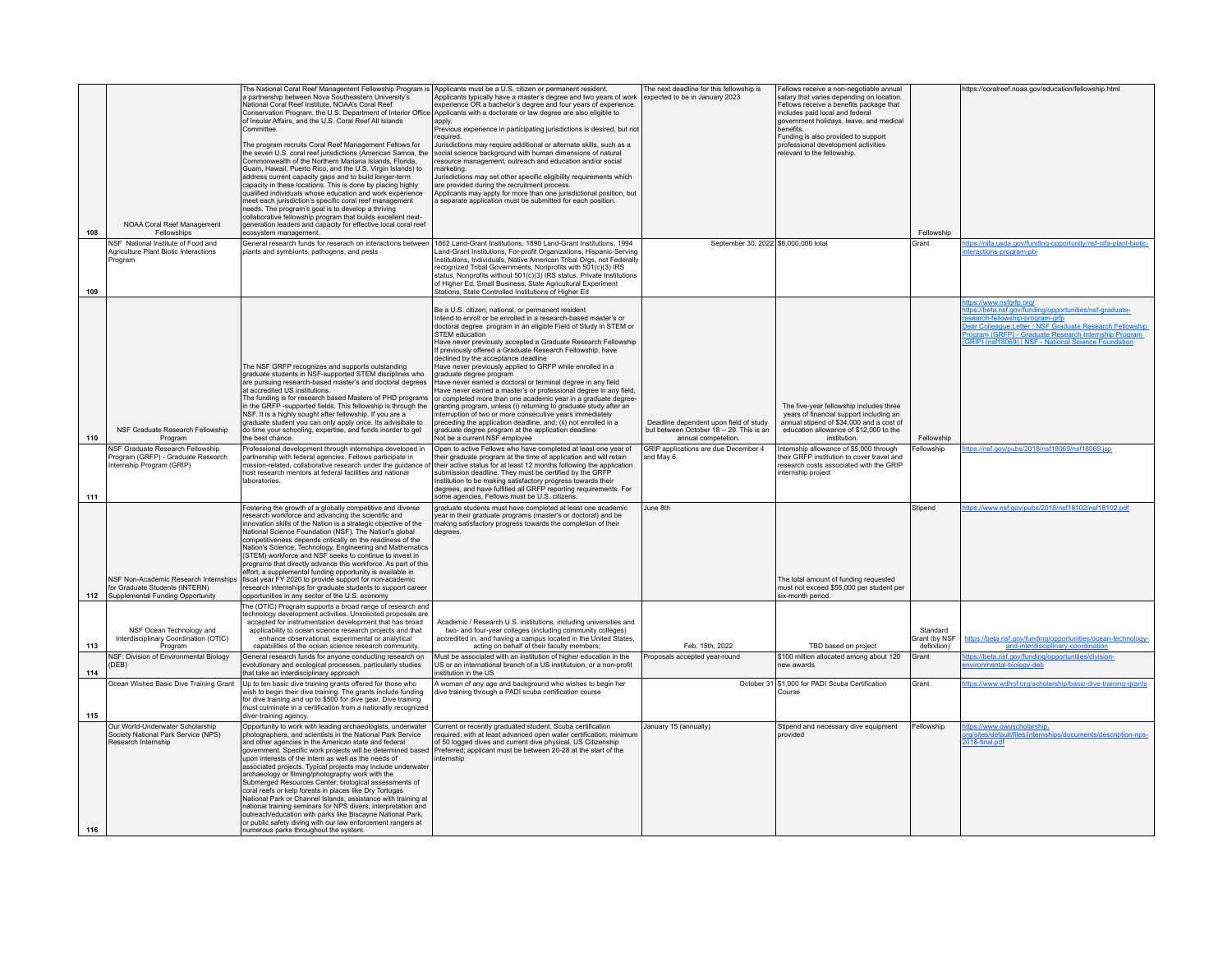| 108 | NOAA Coral Reef Management<br>Fellowships<br>NSF National Institute of Food and<br>Agriculture Plant Biotic Interactions | The National Coral Reef Management Fellowship Program is Applicants must be a U.S. citizen or permanent resident.<br>a partnership between Nova Southeastern University's<br>National Coral Reef Institute, NOAA's Coral Reef<br>Conservation Program, the U.S. Department of Interior Office<br>of Insular Affairs, and the U.S. Coral Reef All Islands<br>Committee<br>The program recruits Coral Reef Management Fellows for<br>the seven U.S. coral reef jurisdictions (American Samoa, the<br>Commonwealth of the Northern Mariana Islands, Florida,<br>Guam, Hawaii, Puerto Rico, and the U.S. Virgin Islands) to<br>address current capacity gaps and to build longer-term<br>capacity in these locations. This is done by placing highly<br>qualified individuals whose education and work experience<br>meet each jurisdiction's specific coral reef management<br>needs. The program's goal is to develop a thriving<br>collaborative fellowship program that builds excellent next-<br>generation leaders and capacity for effective local coral reef<br>ecosystem management.<br>General research funds for reserach on interactions between<br>plants and symbionts, pathogens, and pests | Applicants typically have a master's degree and two years of work<br>experience OR a bachelor's degree and four years of experience.<br>Applicants with a doctorate or law degree are also eligible to<br>apply<br>Previous experience in participating jurisdictions is desired, but not<br>required.<br>Jurisdictions may require additional or alternate skills, such as a<br>social science background with human dimensions of natural<br>resource management, outreach and education and/or social<br>marketing.<br>Jurisdictions may set other specific eligibility requirements which<br>are provided during the recruitment process.<br>Applicants may apply for more than one jurisdictional position, but<br>a separate application must be submitted for each position.<br>1862 Land-Grant Institutions, 1890 Land-Grant Institutions, 1994<br>Land-Grant Institutions, For-profit Organizations, Hispanic-Serving                                                | The next deadline for this fellowship is<br>expected to be in January 2023<br>September 30, 2022 \$8,000,000 total | Fellows receive a non-negotiable annual<br>salary that varies depending on location.<br>Fellows receive a benefits package that<br>includes paid local and federal<br>government holidays, leave, and medical<br>benefits.<br>Funding is also provided to support<br>professional development activities<br>relevant to the fellowship. | Fellowship<br>Grant                      | https://coralreef.noaa.gov/education/fellowship.html<br>ttps://nifa.usda.gov/funding-opportunity/nsf-nifa-plant-biotic-<br>teractions-program-pbi                                                                                                                                                 |
|-----|--------------------------------------------------------------------------------------------------------------------------|--------------------------------------------------------------------------------------------------------------------------------------------------------------------------------------------------------------------------------------------------------------------------------------------------------------------------------------------------------------------------------------------------------------------------------------------------------------------------------------------------------------------------------------------------------------------------------------------------------------------------------------------------------------------------------------------------------------------------------------------------------------------------------------------------------------------------------------------------------------------------------------------------------------------------------------------------------------------------------------------------------------------------------------------------------------------------------------------------------------------------------------------------------------------------------------------------------|-------------------------------------------------------------------------------------------------------------------------------------------------------------------------------------------------------------------------------------------------------------------------------------------------------------------------------------------------------------------------------------------------------------------------------------------------------------------------------------------------------------------------------------------------------------------------------------------------------------------------------------------------------------------------------------------------------------------------------------------------------------------------------------------------------------------------------------------------------------------------------------------------------------------------------------------------------------------------------|--------------------------------------------------------------------------------------------------------------------|-----------------------------------------------------------------------------------------------------------------------------------------------------------------------------------------------------------------------------------------------------------------------------------------------------------------------------------------|------------------------------------------|---------------------------------------------------------------------------------------------------------------------------------------------------------------------------------------------------------------------------------------------------------------------------------------------------|
| 109 | Program                                                                                                                  |                                                                                                                                                                                                                                                                                                                                                                                                                                                                                                                                                                                                                                                                                                                                                                                                                                                                                                                                                                                                                                                                                                                                                                                                        | Institutions, Individuals, Native American Tribal Orgs, not Federally<br>recognized Tribal Governments, Nonprofits with 501(c)(3) IRS<br>status, Nonprofits without 501(c)(3) IRS status, Private Institutions<br>of Higher Ed, Small Business, State Agricultural Experiment<br>Stations, State Controlled Institutions of Higher Ed                                                                                                                                                                                                                                                                                                                                                                                                                                                                                                                                                                                                                                         |                                                                                                                    |                                                                                                                                                                                                                                                                                                                                         |                                          |                                                                                                                                                                                                                                                                                                   |
| 110 | NSF Graduate Research Fellowship<br>Program                                                                              | The NSF GRFP recognizes and supports outstanding<br>graduate students in NSF-supported STEM disciplines who<br>are pursuing research-based master's and doctoral degrees<br>at accredited US institutions.<br>The funding is for research based Masters of PHD programs<br>in the GRFP -supported fields. This fellowship is through the<br>NSF. It is a highly sought after fellowship. If you are a<br>graduate student you can only apply once. Its advisibale to<br>do time your schooling, expertise, and funds inorder to get<br>the best chance.                                                                                                                                                                                                                                                                                                                                                                                                                                                                                                                                                                                                                                                | Be a U.S. citizen, national, or permanent resident<br>Intend to enroll or be enrolled in a research-based master's or<br>doctoral degree program in an eligible Field of Study in STEM or<br>STEM education<br>Have never previously accepted a Graduate Research Fellowship<br>If previously offered a Graduate Research Fellowship, have<br>declined by the acceptance deadline<br>Have never previously applied to GRFP while enrolled in a<br>graduate degree program<br>Have never earned a doctoral or terminal degree in any field<br>Have never earned a master's or professional degree in any field,<br>or completed more than one academic year in a graduate degree-<br>granting program, unless (i) returning to graduate study after an<br>interruption of two or more consecutive years immediately<br>preceding the application deadline, and; (ii) not enrolled in a<br>graduate degree program at the application deadline<br>Not be a current NSF employee | Deadline dependent upon field of study<br>but between October 18 - 29. This is an<br>annual competetion.           | The five-year fellowship includes three<br>years of financial support including an<br>annual stipend of \$34,000 and a cost of<br>education allowance of \$12,000 to the<br>institution                                                                                                                                                 | Fellowship                               | ttps://www.nsfgrfp.org/<br>ttps://beta.nsf.gov/funding/opportunities/nsf-graduate-<br>esearch-fellowship-program-grfp<br>Dear Colleague Letter: NSF Graduate Research Fellowship<br>Program (GRFP) - Graduate Research Internship Program<br>GRIP) (nsf18069)   NSE - National Science Foundation |
| 111 | NSF Graduate Research Fellowship<br>Program (GRFP) - Graduate Research<br>Internship Program (GRIP)                      | rofessional development through internships developed in<br>partnership with federal agencies. Fellows participate in<br>ission-related, collaborative research under the guidance<br>host research mentors at federal facilities and national<br>aboratories                                                                                                                                                                                                                                                                                                                                                                                                                                                                                                                                                                                                                                                                                                                                                                                                                                                                                                                                          | Open to active Fellows who have completed at least one year of<br>their graduate program at the time of application and will retain<br>their active status for at least 12 months following the application<br>submission deadline. They must be certified by the GRFP<br>Institution to be making satisfactory progress towards their<br>degrees, and have fulfilled all GRFP reporting requirements. For<br>some agencies, Fellows must be U.S. citizens.                                                                                                                                                                                                                                                                                                                                                                                                                                                                                                                   | GRIP applications are due December 4<br>and May 6.                                                                 | Internship allowance of \$5,000 through<br>their GRFP institution to cover travel and<br>research costs associated with the GRIP<br>internship project                                                                                                                                                                                  | Fellowship                               | https://nsf.gov/pubs/2018/nsf18069/nsf18069.jsp                                                                                                                                                                                                                                                   |
| 112 | NSF Non-Academic Research Internships<br>for Graduate Students (INTERN)<br>Supplemental Funding Opportunity              | Fostering the growth of a globally competitive and diverse<br>research workforce and advancing the scientific and<br>innovation skills of the Nation is a strategic objective of the<br>National Science Foundation (NSF). The Nation's global<br>competitiveness depends critically on the readiness of the<br>Nation's Science, Technology, Engineering and Mathematics<br>(STEM) workforce and NSF seeks to continue to invest in<br>programs that directly advance this workforce. As part of this<br>ffort, a supplemental funding opportunity is available in<br>fiscal vear FY 2020 to provide support for non-academic<br>esearch internships for graduate students to support career<br>opportunities in any sector of the U.S. economy                                                                                                                                                                                                                                                                                                                                                                                                                                                       | graduate students must have completed at least one academic<br>year in their graduate programs (master's or doctoral) and be<br>making satisfactory progress towards the completion of their<br>degrees                                                                                                                                                                                                                                                                                                                                                                                                                                                                                                                                                                                                                                                                                                                                                                       | June 8th                                                                                                           | The total amount of funding requested<br>must not exceed \$55,000 per student per<br>six-month period.                                                                                                                                                                                                                                  | Stipend                                  | ttps://www.nsf.gov/pubs/2018/nsf18102/nsf18102.pdf                                                                                                                                                                                                                                                |
| 113 | NSF Ocean Technology and<br>Interdisciplinary Coordination (OTIC)<br>Program                                             | he (OTIC) Program supports a broad range of research and<br>technology development activities. Unsolicited proposals are<br>accepted for instrumentation development that has broad<br>applicability to ocean science research projects and that<br>enhance observational, experimental or analytical<br>capabilities of the ocean science research community.                                                                                                                                                                                                                                                                                                                                                                                                                                                                                                                                                                                                                                                                                                                                                                                                                                         | Academic / Research U.S. institutions, including universities and<br>two- and four-year colleges (including community colleges)<br>accredited in, and having a campus located in the United States,<br>acting on behalf of their faculty members;                                                                                                                                                                                                                                                                                                                                                                                                                                                                                                                                                                                                                                                                                                                             | Feb. 15th, 2022                                                                                                    | TBD based on project                                                                                                                                                                                                                                                                                                                    | Standard<br>Grant (by NSF<br>definition) | https://beta.nsf.gov/funding/opportunities/ocean-technology-<br>and-interdisciplinary-coordination                                                                                                                                                                                                |
| 114 | NSF: Division of Environmental Biology<br>(DEB)                                                                          | General research funds for anyone conducting research on<br>evolutionary and ecological processes, particularly studies<br>hat take an interdisciplinary approach                                                                                                                                                                                                                                                                                                                                                                                                                                                                                                                                                                                                                                                                                                                                                                                                                                                                                                                                                                                                                                      | Must be associated with an institution of higher education in the<br>US or an international branch of a US institutuion, or a non-profit<br>institution in the US                                                                                                                                                                                                                                                                                                                                                                                                                                                                                                                                                                                                                                                                                                                                                                                                             | Proposals accepted year-round                                                                                      | \$100 million allocated among about 120<br>new awards                                                                                                                                                                                                                                                                                   | Grant                                    | ttps://beta.nsf.gov/funding/opportunities/division-<br>nvironmental-biology-deb                                                                                                                                                                                                                   |
| 115 | Ocean Wishes Basic Dive Training Grant                                                                                   | Up to ten basic dive training grants offered for those who<br>vish to begin their dive training. The grants include funding<br>for dive training and up to \$500 for dive gear. Dive training<br>nust culminate in a certification from a nationally recognized<br>diver-training agency.                                                                                                                                                                                                                                                                                                                                                                                                                                                                                                                                                                                                                                                                                                                                                                                                                                                                                                              | A woman of any age and background who wishes to begin her<br>dive training through a PADI scuba certification course                                                                                                                                                                                                                                                                                                                                                                                                                                                                                                                                                                                                                                                                                                                                                                                                                                                          | October 31                                                                                                         | \$1,000 for PADI Scuba Certification<br>Course                                                                                                                                                                                                                                                                                          | Grant                                    | ttps://www.wdhof.org/scholarship/basic-dive-training-grants                                                                                                                                                                                                                                       |
| 116 | Our World-Underwater Scholarship<br>Society National Park Service (NPS)<br>Research Internship                           | Opportunity to work with leading archaeologists, underwater<br>photographers, and scientists in the National Park Service<br>and other agencies in the American state and federal<br>government. Specific work projects will be determined based<br>upon interests of the intern as well as the needs of<br>associated projects. Typical projects may include underwater<br>archaeology or filming/photography work with the<br>Submerged Resources Center; biological assessments of<br>coral reefs or kelp forests in places like Dry Tortugas<br>National Park or Channel Islands; assistance with training at<br>national training seminars for NPS divers; interpretation and<br>outreach/education with parks like Biscayne National Park;<br>or public safety diving with our law enforcement rangers at<br>numerous parks throughout the system.                                                                                                                                                                                                                                                                                                                                               | Current or recently graduated student. Scuba certification<br>required, with at least advanced open water certification; minimum<br>of 50 logged dives and current dive physical. US Citizenship<br>Preferred; applicant must be between 20-28 at the start of the<br>internshin                                                                                                                                                                                                                                                                                                                                                                                                                                                                                                                                                                                                                                                                                              | January 15 (annually)                                                                                              | Stipend and necessary dive equipment<br>provided                                                                                                                                                                                                                                                                                        | Fellowship                               | https://www.owuscholarship.<br>prg/sites/default/files/internships/documents/description-nps-<br>2018-final.pdf                                                                                                                                                                                   |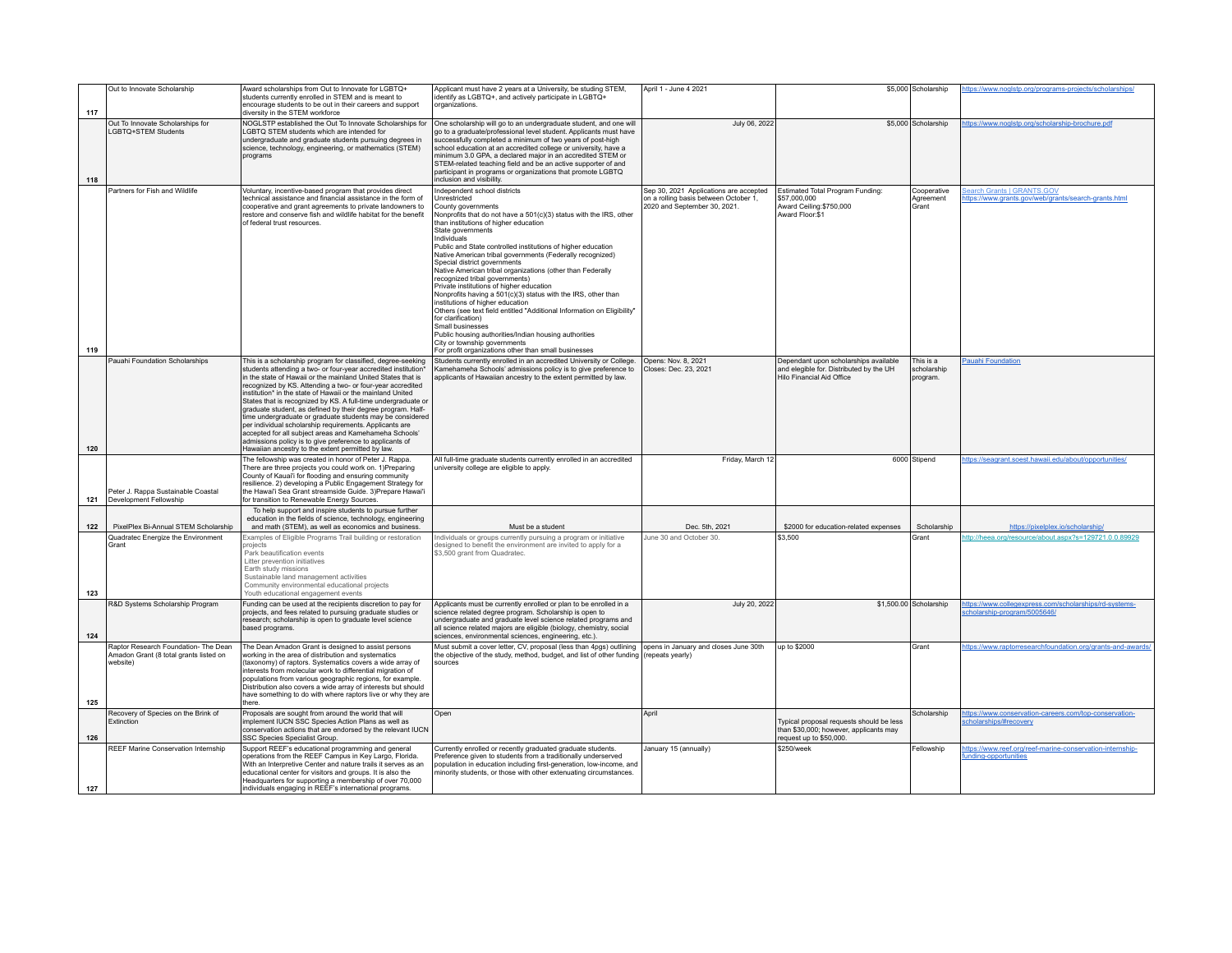| 117 | Out to Innovate Scholarship                                                                | Award scholarships from Out to Innovate for LGBTQ+<br>students currently enrolled in STEM and is meant to<br>encourage students to be out in their careers and support<br>diversity in the STEM workforce                                                                                                                                                                                                                                                                                                                                                                                                                                                                                                                                                     | Applicant must have 2 years at a University, be studing STEM,<br>identify as LGBTQ+, and actively participate in LGBTQ+<br>organizations.                                                                                                                                                                                                                                                                                                                                                                                                                                                                                                                                                                                                                                                                                                                                                                 | April 1 - June 4 2021                                                                                           |                                                                                                               | \$5,000 Scholarship                  | https://www.noglstp.org/programs-projects/scholarships                                   |
|-----|--------------------------------------------------------------------------------------------|---------------------------------------------------------------------------------------------------------------------------------------------------------------------------------------------------------------------------------------------------------------------------------------------------------------------------------------------------------------------------------------------------------------------------------------------------------------------------------------------------------------------------------------------------------------------------------------------------------------------------------------------------------------------------------------------------------------------------------------------------------------|-----------------------------------------------------------------------------------------------------------------------------------------------------------------------------------------------------------------------------------------------------------------------------------------------------------------------------------------------------------------------------------------------------------------------------------------------------------------------------------------------------------------------------------------------------------------------------------------------------------------------------------------------------------------------------------------------------------------------------------------------------------------------------------------------------------------------------------------------------------------------------------------------------------|-----------------------------------------------------------------------------------------------------------------|---------------------------------------------------------------------------------------------------------------|--------------------------------------|------------------------------------------------------------------------------------------|
| 118 | Out To Innovate Scholarships for<br>LGBTQ+STEM Students                                    | NOGLSTP established the Out To Innovate Scholarships for<br>LGBTQ STEM students which are intended for<br>undergraduate and graduate students pursuing degrees in<br>science, technology, engineering, or mathematics (STEM)<br>programs                                                                                                                                                                                                                                                                                                                                                                                                                                                                                                                      | One scholarship will go to an undergraduate student, and one will<br>go to a graduate/professional level student. Applicants must have<br>successfully completed a minimum of two years of post-high<br>school education at an accredited college or university, have a<br>minimum 3.0 GPA, a declared major in an accredited STEM or<br>STEM-related teaching field and be an active supporter of and<br>participant in programs or organizations that promote LGBTQ<br>inclusion and visibility.                                                                                                                                                                                                                                                                                                                                                                                                        | July 06, 2022                                                                                                   |                                                                                                               | \$5,000 Scholarship                  | https://www.noglstp.org/scholarship-brochure.pdf                                         |
| 119 | Partners for Fish and Wildlife                                                             | Voluntary, incentive-based program that provides direct<br>technical assistance and financial assistance in the form of<br>cooperative and grant agreements to private landowners to<br>restore and conserve fish and wildlife habitat for the benefit<br>of federal trust resources.                                                                                                                                                                                                                                                                                                                                                                                                                                                                         | Independent school districts<br>Unrestricted<br>County governments<br>Nonprofits that do not have a 501(c)(3) status with the IRS, other<br>than institutions of higher education<br>State governments<br>Individuals<br>Public and State controlled institutions of higher education<br>Native American tribal governments (Federally recognized)<br>Special district governments<br>Native American tribal organizations (other than Federally<br>recognized tribal governments)<br>Private institutions of higher education<br>Nonprofits having a 501(c)(3) status with the IRS, other than<br>institutions of higher education<br>Others (see text field entitled "Additional Information on Eligibility"<br>for clarification)<br>Small businesses<br>Public housing authorities/Indian housing authorities<br>City or township governments<br>For profit organizations other than small businesses | Sep 30, 2021 Applications are accepted<br>on a rolling basis between October 1,<br>2020 and September 30, 2021. | <b>Estimated Total Program Funding:</b><br>\$57,000,000<br>Award Ceiling:\$750.000<br>Award Floor:\$1         | Cooperative<br>Agreement<br>Grant    | <b>Search Grants   GRANTS.GOV</b><br>ttps://www.grants.gov/web/grants/search-grants.html |
| 120 | Pauahi Foundation Scholarships                                                             | This is a scholarship program for classified, degree-seeking<br>students attending a two- or four-year accredited institution*<br>in the state of Hawaii or the mainland United States that is<br>recognized by KS. Attending a two- or four-year accredited<br>institution* in the state of Hawaii or the mainland United<br>States that is recognized by KS. A full-time undergraduate or<br>graduate student, as defined by their degree program. Half-<br>time undergraduate or graduate students may be considered<br>per individual scholarship requirements. Applicants are<br>accepted for all subject areas and Kamehameha Schools'<br>admissions policy is to give preference to applicants of<br>Hawaiian ancestry to the extent permitted by law. | Students currently enrolled in an accredited University or College.<br>Kamehameha Schools' admissions policy is to give preference to<br>applicants of Hawaiian ancestry to the extent permitted by law.                                                                                                                                                                                                                                                                                                                                                                                                                                                                                                                                                                                                                                                                                                  | Opens: Nov. 8, 2021<br>Closes: Dec. 23, 2021                                                                    | Dependant upon scholarships available<br>and elegible for. Distributed by the UH<br>Hilo Financial Aid Office | This is a<br>scholarship<br>program. | <b>Pauahi Foundation</b>                                                                 |
| 121 | Peter J. Rappa Sustainable Coastal<br>Development Fellowship                               | The fellowship was created in honor of Peter J. Rappa.<br>There are three projects you could work on. 1)Preparing<br>County of Kauai'i for flooding and ensuring community<br>resilience. 2) developing a Public Engagement Strategy for<br>the Hawai'i Sea Grant streamside Guide. 3)Prepare Hawai'i<br>or transition to Renewable Energy Sources.                                                                                                                                                                                                                                                                                                                                                                                                           | All full-time graduate students currently enrolled in an accredited<br>university college are eligible to apply.                                                                                                                                                                                                                                                                                                                                                                                                                                                                                                                                                                                                                                                                                                                                                                                          | Friday, March 12                                                                                                |                                                                                                               | 6000 Stipend                         | https://seagrant.soest.hawaii.edu/about/opportunities/                                   |
| 122 | PixelPlex Bi-Annual STEM Scholarship                                                       | To help support and inspire students to pursue further<br>education in the fields of science, technology, engineering<br>and math (STEM), as well as economics and business.                                                                                                                                                                                                                                                                                                                                                                                                                                                                                                                                                                                  | Must be a student                                                                                                                                                                                                                                                                                                                                                                                                                                                                                                                                                                                                                                                                                                                                                                                                                                                                                         | Dec. 5th, 2021                                                                                                  | \$2000 for education-related expenses                                                                         | Scholarship                          | https://pixelplex.io/scholarship/                                                        |
| 123 | Quadratec Energize the Environment<br>Grant                                                | Examples of Eligible Programs Trail building or restoration<br>projects<br>Park beautification events<br>Litter prevention initiatives<br>Earth study missions<br>Sustainable land management activities<br>Community environmental educational projects<br>Youth educational engagement events                                                                                                                                                                                                                                                                                                                                                                                                                                                               | Individuals or groups currently pursuing a program or initiative<br>designed to benefit the environment are invited to apply for a<br>\$3,500 grant from Quadratec.                                                                                                                                                                                                                                                                                                                                                                                                                                                                                                                                                                                                                                                                                                                                       | June 30 and October 30.                                                                                         | \$3,500                                                                                                       | Grant                                | ttp://heea.org/resource/about.aspx?s=129721.0.0.89929                                    |
| 124 | R&D Systems Scholarship Program                                                            | Funding can be used at the recipients discretion to pay for<br>projects, and fees related to pursuing graduate studies or<br>research; scholarship is open to graduate level science<br>based programs.                                                                                                                                                                                                                                                                                                                                                                                                                                                                                                                                                       | Applicants must be currently enrolled or plan to be enrolled in a<br>science related degree program. Scholarship is open to<br>undergraduate and graduate level science related programs and<br>all science related majors are eligible (biology, chemistry, social<br>sciences, environmental sciences, engineering, etc.).                                                                                                                                                                                                                                                                                                                                                                                                                                                                                                                                                                              | July 20, 2022                                                                                                   |                                                                                                               | \$1,500.00 Scholarship               | https://www.collegexpress.com/scholarships/rd-systems-<br>cholarship-program/5005646/    |
| 125 | Raptor Research Foundation- The Dean<br>Amadon Grant (8 total grants listed on<br>website) | The Dean Amadon Grant is designed to assist persons<br>working in the area of distribution and systematics<br>taxonomy) of raptors. Systematics covers a wide array of<br>nterests from molecular work to differential migration of<br>populations from various geographic regions, for example.<br>Distribution also covers a wide array of interests but should<br>have something to do with where raptors live or why they are<br>there                                                                                                                                                                                                                                                                                                                    | Must submit a cover letter, CV, proposal (less than 4pgs) outlining opens in January and closes June 30th<br>the objective of the study, method, budget, and list of other funding<br>sources                                                                                                                                                                                                                                                                                                                                                                                                                                                                                                                                                                                                                                                                                                             | (repeats yearly)                                                                                                | up to \$2000                                                                                                  | Grant                                | https://www.raptorresearchfoundation.org/grants-and-awards/                              |
| 126 | Recovery of Species on the Brink of<br>Extinction                                          | Proposals are sought from around the world that will<br>implement IUCN SSC Species Action Plans as well as<br>conservation actions that are endorsed by the relevant IUCN<br>SSC Species Specialist Group.                                                                                                                                                                                                                                                                                                                                                                                                                                                                                                                                                    | Open                                                                                                                                                                                                                                                                                                                                                                                                                                                                                                                                                                                                                                                                                                                                                                                                                                                                                                      | April                                                                                                           | Typical proposal requests should be less<br>than \$30,000; however, applicants may<br>request up to \$50,000. | Scholarship                          | https://www.conservation-careers.com/top-conservation-<br>cholarships/#recovery          |
| 127 | REEF Marine Conservation Internship                                                        | Support REEF's educational programming and general<br>operations from the REEF Campus in Key Largo, Florida.<br>With an Interpretive Center and nature trails it serves as an<br>educational center for visitors and groups. It is also the<br>Headquarters for supporting a membership of over 70,000<br>individuals engaging in REEF's international programs.                                                                                                                                                                                                                                                                                                                                                                                              | Currently enrolled or recently graduated graduate students.<br>Preference given to students from a traditionally underserved<br>population in education including first-generation, low-income, and<br>minority students, or those with other extenuating circumstances.                                                                                                                                                                                                                                                                                                                                                                                                                                                                                                                                                                                                                                  | January 15 (annually)                                                                                           | \$250/week                                                                                                    | Fellowship                           | https://www.reef.org/reef-marine-conservation-internship-<br>unding-opportunities        |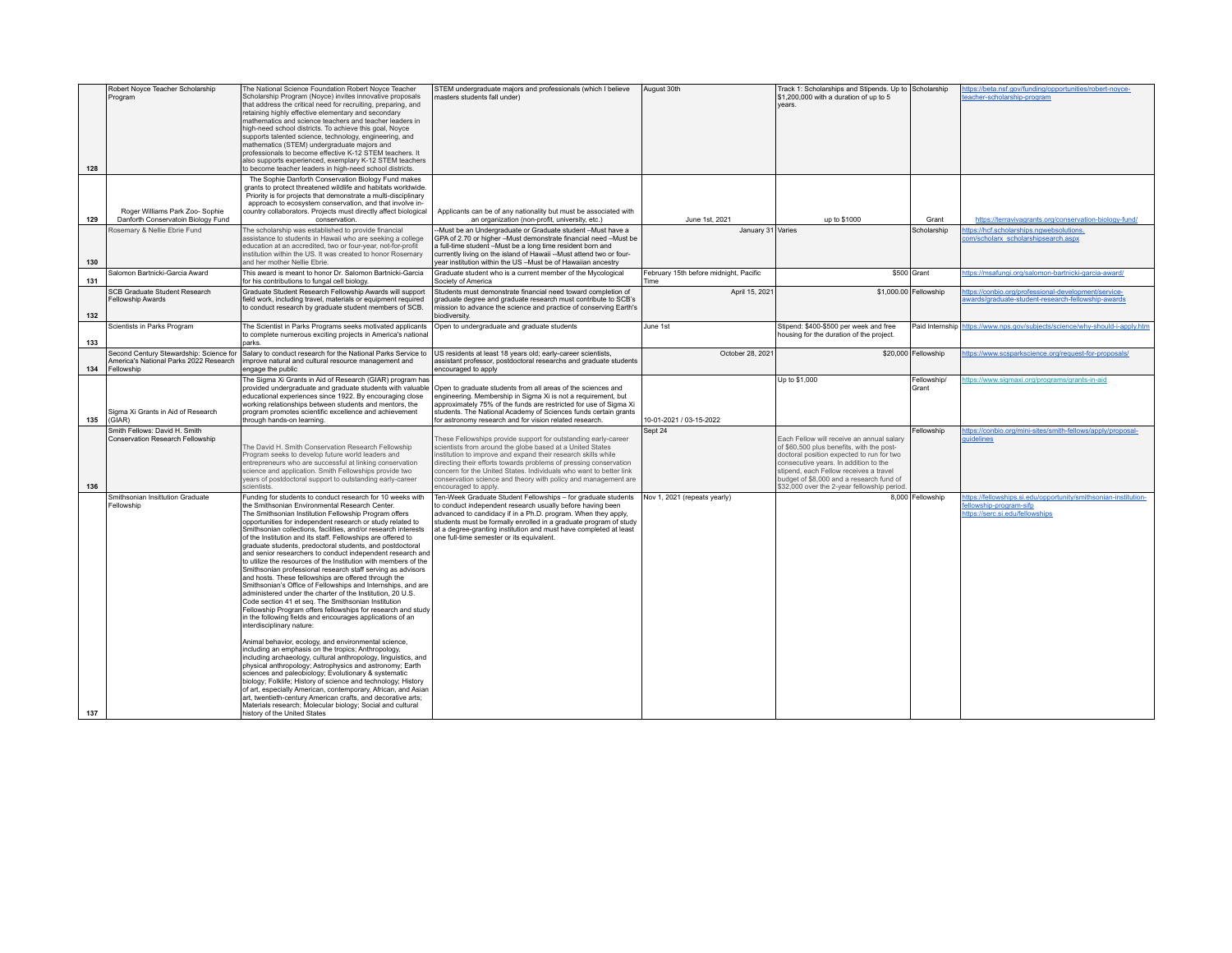| 128        | Robert Noyce Teacher Scholarship<br>Program                                                     | The National Science Foundation Robert Noyce Teacher<br>Scholarship Program (Noyce) invites innovative proposals<br>that address the critical need for recruiting, preparing, and<br>retaining highly effective elementary and secondary<br>mathematics and science teachers and teacher leaders in<br>high-need school districts. To achieve this goal, Noyce<br>supports talented science, technology, engineering, and<br>mathematics (STEM) undergraduate majors and<br>professionals to become effective K-12 STEM teachers. It<br>also supports experienced, exemplary K-12 STEM teachers<br>to become teacher leaders in high-need school districts.                                                                                                                                                                                                                                                                                                                                                                                                                                                                                                                                                                                                                                                                                                                                                                                                                                                                                                                                                                                    | STEM undergraduate majors and professionals (which I believe<br>masters students fall under)                                                                                                                                                                                                                                                                                                                                      | August 30th                                    | Track 1: Scholarships and Stipends. Up to Scholarship<br>\$1,200,000 with a duration of up to 5<br><b>Vears</b>                                                                                                                                                                                                   |                      | https://beta.nsf.gov/funding/opportunities/robert-noyce-<br>eacher-scholarship-program                                                  |
|------------|-------------------------------------------------------------------------------------------------|------------------------------------------------------------------------------------------------------------------------------------------------------------------------------------------------------------------------------------------------------------------------------------------------------------------------------------------------------------------------------------------------------------------------------------------------------------------------------------------------------------------------------------------------------------------------------------------------------------------------------------------------------------------------------------------------------------------------------------------------------------------------------------------------------------------------------------------------------------------------------------------------------------------------------------------------------------------------------------------------------------------------------------------------------------------------------------------------------------------------------------------------------------------------------------------------------------------------------------------------------------------------------------------------------------------------------------------------------------------------------------------------------------------------------------------------------------------------------------------------------------------------------------------------------------------------------------------------------------------------------------------------|-----------------------------------------------------------------------------------------------------------------------------------------------------------------------------------------------------------------------------------------------------------------------------------------------------------------------------------------------------------------------------------------------------------------------------------|------------------------------------------------|-------------------------------------------------------------------------------------------------------------------------------------------------------------------------------------------------------------------------------------------------------------------------------------------------------------------|----------------------|-----------------------------------------------------------------------------------------------------------------------------------------|
|            | Roger Williams Park Zoo- Sophie                                                                 | The Sophie Danforth Conservation Biology Fund makes<br>grants to protect threatened wildlife and habitats worldwide.<br>Priority is for projects that demonstrate a multi-disciplinary<br>approach to ecosystem conservation, and that involve in-<br>country collaborators. Projects must directly affect biological                                                                                                                                                                                                                                                                                                                                                                                                                                                                                                                                                                                                                                                                                                                                                                                                                                                                                                                                                                                                                                                                                                                                                                                                                                                                                                                          | Applicants can be of any nationality but must be associated with                                                                                                                                                                                                                                                                                                                                                                  |                                                |                                                                                                                                                                                                                                                                                                                   |                      |                                                                                                                                         |
| 129<br>130 | Danforth Conservatoin Biology Fund<br>Rosemary & Nellie Ebrie Fund                              | conservation.<br>The scholarship was established to provide financial<br>assistance to students in Hawaii who are seeking a college<br>education at an accredited, two or four-year, not-for-profit<br>institution within the US. It was created to honor Rosemary<br>and her mother Nellie Ebrie.                                                                                                                                                                                                                                                                                                                                                                                                                                                                                                                                                                                                                                                                                                                                                                                                                                                                                                                                                                                                                                                                                                                                                                                                                                                                                                                                             | an organization (non-profit, university, etc.)<br>-Must be an Undergraduate or Graduate student -Must have a<br>GPA of 2.70 or higher -- Must demonstrate financial need -- Must be<br>a full-time student -Must be a long time resident born and<br>currently living on the island of Hawaii -- Must attend two or four-<br>year institution within the US -Must be of Hawaiian ancestry                                         | June 1st. 2021<br>January 31 Varies            | up to \$1000                                                                                                                                                                                                                                                                                                      | Grant<br>Scholarship | https://terravivagrants.org/conservation-biology-fund/<br>ttps://hcf.scholarships.ngwebsolutions.<br>om/scholarx_scholarshipsearch.aspx |
| 131        | Salomon Bartnicki-Garcia Award                                                                  | This award is meant to honor Dr. Salomon Bartnicki-Garcia<br>for his contributions to fungal cell biology.                                                                                                                                                                                                                                                                                                                                                                                                                                                                                                                                                                                                                                                                                                                                                                                                                                                                                                                                                                                                                                                                                                                                                                                                                                                                                                                                                                                                                                                                                                                                     | Graduate student who is a current member of the Mycological<br>Society of America                                                                                                                                                                                                                                                                                                                                                 | February 15th before midnight. Pacific<br>Time |                                                                                                                                                                                                                                                                                                                   | \$500 Grant          | https://msafungi.org/salomon-bartnicki-garcia-award/                                                                                    |
| 132        | <b>SCB Graduate Student Research</b><br><b>Fellowship Awards</b>                                | Graduate Student Research Fellowship Awards will support<br>field work, including travel, materials or equipment required<br>to conduct research by graduate student members of SCB.                                                                                                                                                                                                                                                                                                                                                                                                                                                                                                                                                                                                                                                                                                                                                                                                                                                                                                                                                                                                                                                                                                                                                                                                                                                                                                                                                                                                                                                           | Students must demonstrate financial need toward completion of<br>graduate degree and graduate research must contribute to SCB's<br>mission to advance the science and practice of conserving Earth's<br>biodiversity.                                                                                                                                                                                                             | April 15, 2021                                 | \$1,000.00 Fellowship                                                                                                                                                                                                                                                                                             |                      | https://conbio.org/professional-development/service-<br>awards/graduate-student-research-fellowship-awards                              |
| 133        | Scientists in Parks Program                                                                     | The Scientist in Parks Programs seeks motivated applicants<br>to complete numerous exciting projects in America's national<br>narks.                                                                                                                                                                                                                                                                                                                                                                                                                                                                                                                                                                                                                                                                                                                                                                                                                                                                                                                                                                                                                                                                                                                                                                                                                                                                                                                                                                                                                                                                                                           | Open to undergraduate and graduate students                                                                                                                                                                                                                                                                                                                                                                                       | June 1st                                       | Stipend: \$400-\$500 per week and free<br>housing for the duration of the project.                                                                                                                                                                                                                                |                      | Paid Internship https://www.nps.gov/subjects/science/why-should-i-apply.htm                                                             |
| 134        | Second Century Stewardship: Science for<br>America's National Parks 2022 Research<br>Fellowship | Salary to conduct research for the National Parks Service to<br>improve natural and cultural resource management and<br>engage the public                                                                                                                                                                                                                                                                                                                                                                                                                                                                                                                                                                                                                                                                                                                                                                                                                                                                                                                                                                                                                                                                                                                                                                                                                                                                                                                                                                                                                                                                                                      | US residents at least 18 years old; early-career scientists,<br>assistant professor, postdoctoral researchs and graduate students<br>encouraged to apply                                                                                                                                                                                                                                                                          | October 28, 2021                               |                                                                                                                                                                                                                                                                                                                   | \$20,000 Fellowship  | https://www.scsparkscience.org/request-for-proposals/                                                                                   |
| 135        | Sigma Xi Grants in Aid of Research<br>(GIAR)                                                    | The Sigma Xi Grants in Aid of Research (GIAR) program has<br>provided undergraduate and graduate students with valuable<br>educational experiences since 1922. By encouraging close<br>working relationships between students and mentors, the<br>program promotes scientific excellence and achievement<br>through hands-on learning.                                                                                                                                                                                                                                                                                                                                                                                                                                                                                                                                                                                                                                                                                                                                                                                                                                                                                                                                                                                                                                                                                                                                                                                                                                                                                                         | Open to graduate students from all areas of the sciences and<br>engineering. Membership in Sigma Xi is not a requirement, but<br>approximately 75% of the funds are restricted for use of Sigma Xi<br>students. The National Academy of Sciences funds certain grants<br>for astronomy research and for vision related research.                                                                                                  | 10-01-2021 / 03-15-2022                        | Up to \$1,000                                                                                                                                                                                                                                                                                                     | Fellowship/<br>Grant | https://www.sigmaxi.org/programs/grants-in-aid                                                                                          |
| 136        | Smith Fellows: David H. Smith<br>Conservation Research Fellowship                               | The David H. Smith Conservation Research Fellowship<br>Program seeks to develop future world leaders and<br>entrepreneurs who are successful at linking conservation<br>science and application. Smith Fellowships provide two<br>years of postdoctoral support to outstanding early-career<br>scientists.                                                                                                                                                                                                                                                                                                                                                                                                                                                                                                                                                                                                                                                                                                                                                                                                                                                                                                                                                                                                                                                                                                                                                                                                                                                                                                                                     | These Fellowships provide support for outstanding early-career<br>scientists from around the globe based at a United States<br>institution to improve and expand their research skills while<br>directing their efforts towards problems of pressing conservation<br>concern for the United States. Individuals who want to better link<br>conservation science and theory with policy and management are<br>encouraged to apply. | Sept 24                                        | Each Fellow will receive an annual salary<br>of \$60,500 plus benefits, with the post-<br>doctoral position expected to run for two<br>consecutive vears. In addition to the<br>stipend, each Fellow receives a travel<br>budget of \$8,000 and a research fund of<br>\$32,000 over the 2-year fellowship period. | Fellowship           | https://conbio.org/mini-sites/smith-fellows/apply/proposal-<br>quidelines                                                               |
| 137        | Smithsonian Insittution Graduate<br>Fellowship                                                  | Funding for students to conduct research for 10 weeks with<br>the Smithsonian Environmental Research Center.<br>The Smithsonian Institution Fellowship Program offers<br>opportunities for independent research or study related to<br>Smithsonian collections, facilities, and/or research interests<br>of the Institution and its staff. Fellowships are offered to<br>graduate students, predoctoral students, and postdoctoral<br>and senior researchers to conduct independent research and<br>to utilize the resources of the Institution with members of the<br>Smithsonian professional research staff serving as advisors<br>and hosts. These fellowships are offered through the<br>Smithsonian's Office of Fellowships and Internships, and are<br>administered under the charter of the Institution, 20 U.S.<br>Code section 41 et seg. The Smithsonian Institution<br>Fellowship Program offers fellowships for research and study<br>in the following fields and encourages applications of an<br>interdisciplinary nature:<br>Animal behavior, ecology, and environmental science,<br>including an emphasis on the tropics; Anthropology,<br>including archaeology, cultural anthropology, linguistics, and<br>physical anthropology; Astrophysics and astronomy; Earth<br>sciences and paleobiology; Evolutionary & systematic<br>biology; Folklife; History of science and technology; History<br>of art, especially American, contemporary, African, and Asian<br>art, twentieth-century American crafts, and decorative arts:<br>Materials research; Molecular biology; Social and cultural<br>history of the United States | Ten-Week Graduate Student Fellowships - for graduate students<br>to conduct independent research usually before having been<br>advanced to candidacy if in a Ph.D. program. When they apply.<br>students must be formally enrolled in a graduate program of study<br>at a degree-granting institution and must have completed at least<br>one full-time semester or its equivalent.                                               | Nov 1, 2021 (repeats yearly)                   |                                                                                                                                                                                                                                                                                                                   | 8.000 Fellowship     | https://fellowships.si.edu/opportunity/smithsonian-institution-<br>ellowship-program-sifp<br>https://serc.si.edu/fellowships            |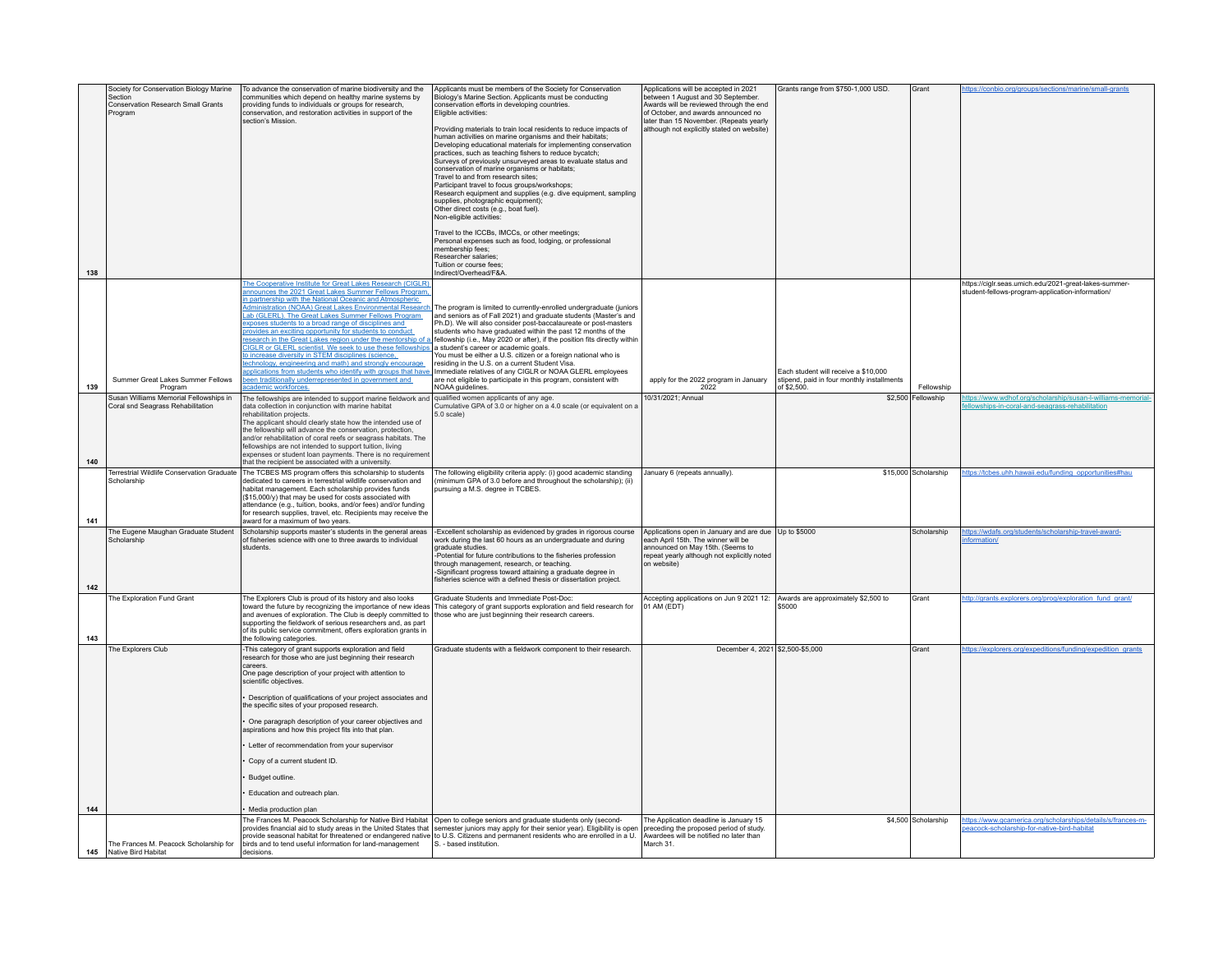| 138 | Society for Conservation Biology Marine<br>Section<br>Conservation Research Small Grants<br>Program | To advance the conservation of marine biodiversity and the<br>communities which depend on healthy marine systems by<br>providing funds to individuals or groups for research,<br>conservation, and restoration activities in support of the<br>section's Mission.                                                                                                                                                                                                                                                                                                                                                                                                                                                                                                                                                  | Applicants must be members of the Society for Conservation<br>Biology's Marine Section. Applicants must be conducting<br>conservation efforts in developing countries.<br>Eligible activities:<br>Providing materials to train local residents to reduce impacts of<br>human activities on marine organisms and their habitats;<br>Developing educational materials for implementing conservation<br>practices, such as teaching fishers to reduce bycatch;<br>Surveys of previously unsurveyed areas to evaluate status and<br>conservation of marine organisms or habitats;<br>Travel to and from research sites:<br>Participant travel to focus groups/workshops;<br>Research equipment and supplies (e.g. dive equipment, sampling<br>supplies, photographic equipment);<br>Other direct costs (e.g., boat fuel).<br>Non-eligible activities<br>Travel to the ICCBs, IMCCs, or other meetings;<br>Personal expenses such as food, lodging, or professional<br>membership fees:<br>Researcher salaries:<br>Tuition or course fees:<br>Indirect/Overhead/F&A. | Applications will be accepted in 2021<br>between 1 August and 30 September.<br>Awards will be reviewed through the end<br>of October, and awards announced no<br>later than 15 November. (Repeats yearly<br>although not explicitly stated on website) | Grants range from \$750-1,000 USD.                                                                | Grant                        | https://conbio.org/groups/sections/marine/small-grants                                                                     |
|-----|-----------------------------------------------------------------------------------------------------|--------------------------------------------------------------------------------------------------------------------------------------------------------------------------------------------------------------------------------------------------------------------------------------------------------------------------------------------------------------------------------------------------------------------------------------------------------------------------------------------------------------------------------------------------------------------------------------------------------------------------------------------------------------------------------------------------------------------------------------------------------------------------------------------------------------------|-----------------------------------------------------------------------------------------------------------------------------------------------------------------------------------------------------------------------------------------------------------------------------------------------------------------------------------------------------------------------------------------------------------------------------------------------------------------------------------------------------------------------------------------------------------------------------------------------------------------------------------------------------------------------------------------------------------------------------------------------------------------------------------------------------------------------------------------------------------------------------------------------------------------------------------------------------------------------------------------------------------------------------------------------------------------|--------------------------------------------------------------------------------------------------------------------------------------------------------------------------------------------------------------------------------------------------------|---------------------------------------------------------------------------------------------------|------------------------------|----------------------------------------------------------------------------------------------------------------------------|
| 139 | Summer Great Lakes Summer Fellows<br>Program                                                        | The Cooperative Institute for Great Lakes Research (CIGLR)<br>announces the 2021 Great Lakes Summer Fellows Program<br>in partnership with the National Oceanic and Atmospheric<br>Administration (NOAA) Great Lakes Environmental Research<br>Lab (GLERL). The Great Lakes Summer Fellows Program<br>exposes students to a broad range of disciplines and<br>provides an exciting opportunity for students to conduct<br>esearch in the Great Lakes region under the mentorship of<br>CIGLR or GLERL scientist. We seek to use these fellowships<br>to increase diversity in STEM disciplines (science,<br>echnology, engineering and math) and strongly encourage<br>pplications from students who identify with groups that have<br>been traditionally underrepresented in government and<br>ademic workforces. | The program is limited to currently-enrolled undergraduate (juniors<br>and seniors as of Fall 2021) and graduate students (Master's and<br>Ph.D). We will also consider post-baccalaureate or post-masters<br>students who have graduated within the past 12 months of the<br>fellowship (i.e., May 2020 or after), if the position fits directly within<br>a student's career or academic goals.<br>You must be either a U.S. citizen or a foreign national who is<br>residing in the U.S. on a current Student Visa<br>Immediate relatives of any CIGLR or NOAA GLERL employees<br>are not eligible to participate in this program, consistent with<br>NOAA quidelines.                                                                                                                                                                                                                                                                                                                                                                                       | apply for the 2022 program in January<br>2022                                                                                                                                                                                                          | Each student will receive a \$10,000<br>stipend, paid in four monthly installments<br>of \$2,500. | Fellowship                   | https://ciglr.seas.umich.edu/2021-great-lakes-summer-<br>student-fellows-program-application-information/                  |
| 140 | Susan Williams Memorial Fellowships in<br>Coral snd Seagrass Rehabilitation                         | The fellowships are intended to support marine fieldwork and<br>data collection in conjunction with marine habitat<br>rehabilitation projects.<br>The applicant should clearly state how the intended use of<br>the fellowship will advance the conservation, protection,<br>and/or rehabilitation of coral reefs or seagrass habitats. The<br>fellowships are not intended to support tuition, living<br>expenses or student loan payments. There is no requirement<br>that the recipient be associated with a university.                                                                                                                                                                                                                                                                                        | qualified women applicants of any age.<br>Cumulative GPA of 3.0 or higher on a 4.0 scale (or equivalent on a<br>5.0 scale)                                                                                                                                                                                                                                                                                                                                                                                                                                                                                                                                                                                                                                                                                                                                                                                                                                                                                                                                      | 10/31/2021; Annual                                                                                                                                                                                                                                     |                                                                                                   | \$2,500 Fellowship           | ttps://www.wdhof.org/scholarship/susan-l-williams-memorial<br>lowships-in-coral-and-seagrass-rehabilitation                |
| 141 | Scholarship                                                                                         | Terrestrial Wildlife Conservation Graduate   The TCBES MS program offers this scholarship to students<br>dedicated to careers in terrestrial wildlife conservation and<br>habitat management. Each scholarship provides funds<br>(\$15,000/y) that may be used for costs associated with<br>attendance (e.g., tuition, books, and/or fees) and/or funding<br>for research supplies, travel, etc. Recipients may receive the<br>award for a maximum of two years.                                                                                                                                                                                                                                                                                                                                                   | The following eligibility criteria apply: (i) good academic standing<br>(minimum GPA of 3.0 before and throughout the scholarship); (ii)<br>pursuing a M.S. degree in TCBES.                                                                                                                                                                                                                                                                                                                                                                                                                                                                                                                                                                                                                                                                                                                                                                                                                                                                                    | January 6 (repeats annually).                                                                                                                                                                                                                          |                                                                                                   | \$15,000 Scholarship         | https://tcbes.uhh.hawaii.edu/funding_opportunities#hau                                                                     |
| 142 | The Eugene Maughan Graduate Student<br>Scholarship                                                  | Scholarship supports master's students in the general areas<br>of fisheries science with one to three awards to individual<br>students.                                                                                                                                                                                                                                                                                                                                                                                                                                                                                                                                                                                                                                                                            | -Excellent scholarship as evidenced by grades in rigorous course<br>work during the last 60 hours as an undergraduate and during<br>graduate studies.<br>Potential for future contributions to the fisheries profession<br>through management, research, or teaching.<br>-Significant progress toward attaining a graduate degree in<br>fisheries science with a defined thesis or dissertation project.                                                                                                                                                                                                                                                                                                                                                                                                                                                                                                                                                                                                                                                        | Applications open in January and are due Up to \$5000<br>each April 15th. The winner will be<br>announced on May 15th. (Seems to<br>repeat yearly although not explicitly noted<br>on website)                                                         |                                                                                                   | Scholarship                  | https://wdafs.org/students/scholarship-travel-award-<br>formation/                                                         |
| 143 | The Exploration Fund Grant                                                                          | The Explorers Club is proud of its history and also looks<br>toward the future by recognizing the importance of new ideas<br>and avenues of exploration. The Club is deeply committed to<br>supporting the fieldwork of serious researchers and, as part<br>of its public service commitment, offers exploration grants in<br>the following categories.                                                                                                                                                                                                                                                                                                                                                                                                                                                            | Graduate Students and Immediate Post-Doc:<br>This category of grant supports exploration and field research for<br>those who are just beginning their research careers.                                                                                                                                                                                                                                                                                                                                                                                                                                                                                                                                                                                                                                                                                                                                                                                                                                                                                         | Accepting applications on Jun 9 2021 12:<br>01 AM (EDT)                                                                                                                                                                                                | Awards are approximately \$2,500 to<br>\$5000                                                     | Grant                        | ttp://grants.explorers.org/prog/exploration_fund_grant                                                                     |
| 144 | The Explorers Club                                                                                  | -This category of grant supports exploration and field<br>research for those who are just beginning their research<br>careers.<br>One page description of your project with attention to<br>scientific objectives.<br>Description of qualifications of your project associates and<br>the specific sites of your proposed research.<br>One paragraph description of your career objectives and<br>aspirations and how this project fits into that plan.<br>Letter of recommendation from your supervisor<br>Copy of a current student ID.<br>Budget outline.<br>Education and outreach plan.<br>Media production plan                                                                                                                                                                                              | Graduate students with a fieldwork component to their research.<br>The Frances M. Peacock Scholarship for Native Bird Habitat Open to college seniors and graduate students only (second-                                                                                                                                                                                                                                                                                                                                                                                                                                                                                                                                                                                                                                                                                                                                                                                                                                                                       | December 4, 2021 \$2,500-\$5,000<br>The Application deadline is January 15                                                                                                                                                                             |                                                                                                   | Grant<br>\$4,500 Scholarship | https://explorers.org/expeditions/funding/expedition_grants<br>https://www.gcamerica.org/scholarships/details/s/frances-m- |
|     | The Frances M. Peacock Scholarship for<br>145 Native Bird Habitat                                   | birds and to tend useful information for land-management<br>decisions                                                                                                                                                                                                                                                                                                                                                                                                                                                                                                                                                                                                                                                                                                                                              | provides financial aid to study areas in the United States that semester juniors may apply for their senior year). Eligibility is open<br>provide seasonal habitat for threatened or endangered native to U.S. Citizens and permanent residents who are enrolled in a U.<br>S. - based institution.                                                                                                                                                                                                                                                                                                                                                                                                                                                                                                                                                                                                                                                                                                                                                             | preceding the proposed period of study.<br>Awardees will be notified no later than<br>March 31.                                                                                                                                                        |                                                                                                   |                              | eacock-scholarship-for-native-bird-habitat                                                                                 |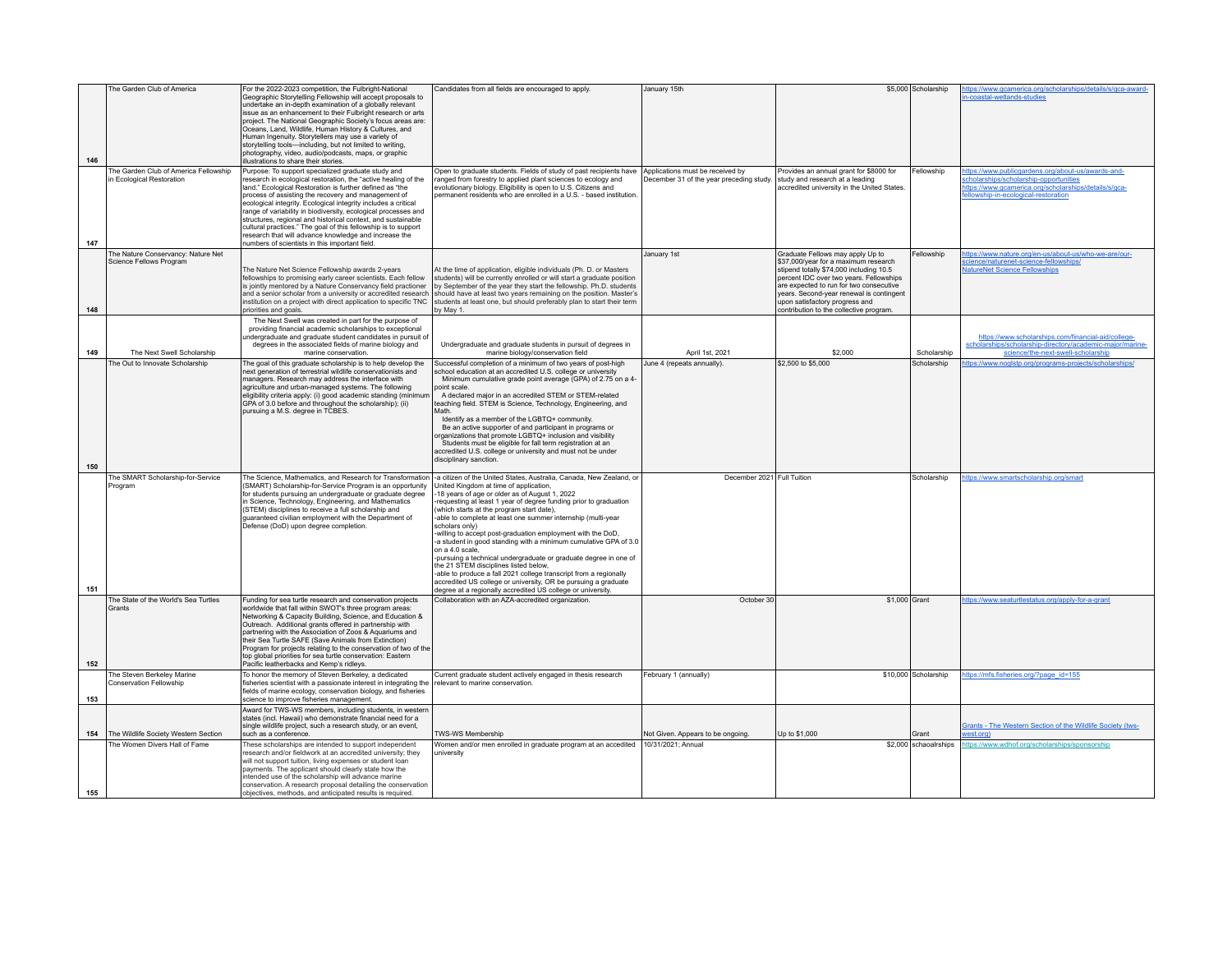|     | The Garden Club of America                                         | For the 2022-2023 competition, the Fulbright-National                                                                                                                                                                                                                                                                                                                                                                                                                                                                                                                                                                    | Candidates from all fields are encouraged to apply.                                                                                                                                                                                                                                                                                                                                                                                                                                                                                                                                                                                                                                                                                                                                                                                                                                                     | January 15th                                                                 |                                                                                                                                                                                                                                                                                         | \$5,000 Scholarship   | ttps://www.gcamerica.org/scholarships/details/s/gca-award-                                                                                                                                |
|-----|--------------------------------------------------------------------|--------------------------------------------------------------------------------------------------------------------------------------------------------------------------------------------------------------------------------------------------------------------------------------------------------------------------------------------------------------------------------------------------------------------------------------------------------------------------------------------------------------------------------------------------------------------------------------------------------------------------|---------------------------------------------------------------------------------------------------------------------------------------------------------------------------------------------------------------------------------------------------------------------------------------------------------------------------------------------------------------------------------------------------------------------------------------------------------------------------------------------------------------------------------------------------------------------------------------------------------------------------------------------------------------------------------------------------------------------------------------------------------------------------------------------------------------------------------------------------------------------------------------------------------|------------------------------------------------------------------------------|-----------------------------------------------------------------------------------------------------------------------------------------------------------------------------------------------------------------------------------------------------------------------------------------|-----------------------|-------------------------------------------------------------------------------------------------------------------------------------------------------------------------------------------|
| 146 |                                                                    | Geographic Storytelling Fellowship will accept proposals to<br>undertake an in-depth examination of a globally relevant<br>issue as an enhancement to their Fulbright research or arts<br>project. The National Geographic Society's focus areas are:<br>Oceans, Land, Wildlife, Human History & Cultures, and<br>Human Ingenuity. Storytellers may use a variety of<br>storytelling tools-including, but not limited to writing,<br>photography, video, audio/podcasts, maps, or graphic<br>llustrations to share their stories.                                                                                        |                                                                                                                                                                                                                                                                                                                                                                                                                                                                                                                                                                                                                                                                                                                                                                                                                                                                                                         |                                                                              |                                                                                                                                                                                                                                                                                         |                       | -coastal-wetlands-studies                                                                                                                                                                 |
| 147 | The Garden Club of America Fellowship<br>in Ecological Restoration | Purpose: To support specialized graduate study and<br>research in ecological restoration, the "active healing of the<br>land." Ecological Restoration is further defined as "the<br>process of assisting the recovery and management of<br>ecological integrity. Ecological integrity includes a critical<br>range of variability in biodiversity, ecological processes and<br>structures, regional and historical context, and sustainable<br>cultural practices." The goal of this fellowship is to support<br>research that will advance knowledge and increase the<br>numbers of scientists in this important field. | Open to graduate students. Fields of study of past recipients have<br>ranged from forestry to applied plant sciences to ecology and<br>evolutionary biology. Eligibility is open to U.S. Citizens and<br>permanent residents who are enrolled in a U.S. - based institution.                                                                                                                                                                                                                                                                                                                                                                                                                                                                                                                                                                                                                            | Applications must be received by<br>December 31 of the year preceding study. | Provides an annual grant for \$8000 for<br>study and research at a leading<br>accredited university in the United States.                                                                                                                                                               | Fellowship            | ttps://www.publicgardens.org/about-us/awards-and-<br>cholarships/scholarship-opportunities<br>https://www.gcamerica.org/scholarships/details/s/gca-<br>Ilowship-in-ecological-restoration |
|     | The Nature Conservancy: Nature Net<br>Science Fellows Program      | The Nature Net Science Fellowship awards 2-years<br>fellowships to promising early career scientists. Each fellow<br>is jointly mentored by a Nature Conservancy field practioner<br>and a senior scholar from a university or accredited research<br>institution on a project with direct application to specific TNC                                                                                                                                                                                                                                                                                                   | At the time of application, eligible individuals (Ph. D. or Masters<br>students) will be currently enrolled or will start a graduate position<br>by September of the year they start the fellowship. Ph.D. students<br>should have at least two years remaining on the position. Master's<br>students at least one, but should preferably plan to start their term                                                                                                                                                                                                                                                                                                                                                                                                                                                                                                                                      | January 1st                                                                  | Graduate Fellows may apply Up to<br>\$37,000/year for a maximum research<br>stipend totally \$74,000 including 10.5<br>percent IDC over two years. Fellowships<br>are expected to run for two consecutive<br>vears. Second-year renewal is contingent<br>upon satisfactory progress and | Fellowship            | ttps://www.nature.org/en-us/about-us/who-we-are/our-<br>cience/naturenet-science-fellowships/<br><b>NatureNet Science Fellowships</b>                                                     |
| 148 |                                                                    | priorities and goals.                                                                                                                                                                                                                                                                                                                                                                                                                                                                                                                                                                                                    | ov Mav 1.                                                                                                                                                                                                                                                                                                                                                                                                                                                                                                                                                                                                                                                                                                                                                                                                                                                                                               |                                                                              | contribution to the collective program.                                                                                                                                                                                                                                                 |                       |                                                                                                                                                                                           |
| 149 | The Next Swell Scholarship                                         | The Next Swell was created in part for the purpose of<br>providing financial academic scholarships to exceptional<br>indergraduate and graduate student candidates in pursuit of<br>degrees in the associated fields of marine biology and<br>marine conservation                                                                                                                                                                                                                                                                                                                                                        | Undergraduate and graduate students in pursuit of degrees in<br>marine biology/conservation field                                                                                                                                                                                                                                                                                                                                                                                                                                                                                                                                                                                                                                                                                                                                                                                                       | April 1st, 2021                                                              | \$2,000                                                                                                                                                                                                                                                                                 | Scholarship           | https://www.scholarships.com/financial-aid/college-<br>scholarships/scholarship-directory/academic-major/marine-<br>science/the-next-swell-scholarship                                    |
|     | The Out to Innovate Scholarship                                    | The goal of this graduate scholarship is to help develop the<br>next generation of terrestrial wildlife conservationists and<br>managers. Research may address the interface with<br>agriculture and urban-managed systems. The following<br>eligibility criteria apply: (i) good academic standing (minimum<br>GPA of 3.0 before and throughout the scholarship); (ii)<br>pursuing a M.S. degree in TCBES.                                                                                                                                                                                                              | Successful completion of a minimum of two years of post-high<br>school education at an accredited U.S. college or university<br>Minimum cumulative grade point average (GPA) of 2.75 on a 4-<br>point scale<br>A declared major in an accredited STEM or STEM-related<br>teaching field. STEM is Science, Technology, Engineering, and<br>Identify as a member of the LGBTQ+ community.<br>Be an active supporter of and participant in programs or<br>prganizations that promote LGBTQ+ inclusion and visibility<br>Students must be eligible for fall term registration at an<br>accredited U.S. college or university and must not be under                                                                                                                                                                                                                                                          | June 4 (repeats annually).                                                   | \$2,500 to \$5,000                                                                                                                                                                                                                                                                      | Scholarship           | ttps://www.noglstp.org/programs-projects/scholarships/                                                                                                                                    |
| 150 |                                                                    |                                                                                                                                                                                                                                                                                                                                                                                                                                                                                                                                                                                                                          | disciplinary sanction.                                                                                                                                                                                                                                                                                                                                                                                                                                                                                                                                                                                                                                                                                                                                                                                                                                                                                  |                                                                              |                                                                                                                                                                                                                                                                                         |                       |                                                                                                                                                                                           |
| 151 | The SMART Scholarship-for-Service<br>Program                       | (SMART) Scholarship-for-Service Program is an opportunity<br>for students pursuing an undergraduate or graduate degree<br>in Science, Technology, Engineering, and Mathematics<br>(STEM) disciplines to receive a full scholarship and<br>quaranteed civilian employment with the Department of<br>Defense (DoD) upon degree completion.                                                                                                                                                                                                                                                                                 | The Science, Mathematics, and Research for Transformation  -a citizen of the United States, Australia, Canada, New Zealand, or<br>United Kingdom at time of application,<br>-18 years of age or older as of August 1, 2022<br>-requesting at least 1 year of degree funding prior to graduation<br>(which starts at the program start date),<br>-able to complete at least one summer internship (multi-year<br>scholars only)<br>-willing to accept post-graduation employment with the DoD,<br>-a student in good standing with a minimum cumulative GPA of 3.0<br>on a 4.0 scale.<br>-pursuing a technical undergraduate or graduate degree in one of<br>the 21 STEM disciplines listed below.<br>-able to produce a fall 2021 college transcript from a regionally<br>accredited US college or university, OR be pursuing a graduate<br>degree at a regionally accredited US college or university. | December 2021 Full Tuition                                                   |                                                                                                                                                                                                                                                                                         | Scholarship           | https://www.smartscholarship.org/smart                                                                                                                                                    |
| 152 | The State of the World's Sea Turtles<br>Grants                     | Funding for sea turtle research and conservation projects<br>worldwide that fall within SWOT's three program areas:<br>Networking & Capacity Building, Science, and Education &<br>Outreach. Additional grants offered in partnership with<br>partnering with the Association of Zoos & Aquariums and<br>their Sea Turtle SAFE (Save Animals from Extinction)<br>Program for projects relating to the conservation of two of the<br>top global priorities for sea turtle conservation: Eastern<br>Pacific leatherbacks and Kemp's ridleys.                                                                               | Collaboration with an AZA-accredited organization.                                                                                                                                                                                                                                                                                                                                                                                                                                                                                                                                                                                                                                                                                                                                                                                                                                                      | October 30                                                                   | \$1,000 Grant                                                                                                                                                                                                                                                                           |                       | https://www.seaturtlestatus.org/apply-for-a-grant                                                                                                                                         |
| 153 | The Steven Berkeley Marine<br>Conservation Fellowship              | To honor the memory of Steven Berkeley, a dedicated<br>fisheries scientist with a passionate interest in integrating the<br>fields of marine ecology, conservation biology, and fisheries<br>science to improve fisheries management.                                                                                                                                                                                                                                                                                                                                                                                    | Current graduate student actively engaged in thesis research<br>relevant to marine conservation.                                                                                                                                                                                                                                                                                                                                                                                                                                                                                                                                                                                                                                                                                                                                                                                                        | February 1 (annually)                                                        |                                                                                                                                                                                                                                                                                         | \$10,000 Scholarship  | https://mfs.fisheries.org/?page_id=155                                                                                                                                                    |
| 154 | The Wildlife Society Western Section                               | Award for TWS-WS members, including students, in western<br>states (incl. Hawaii) who demonstrate financial need for a<br>single wildlife project, such a research study, or an event,<br>such as a conference.                                                                                                                                                                                                                                                                                                                                                                                                          | TWS-WS Membership                                                                                                                                                                                                                                                                                                                                                                                                                                                                                                                                                                                                                                                                                                                                                                                                                                                                                       | Not Given. Appears to be ongoing.                                            | Up to \$1,000                                                                                                                                                                                                                                                                           | Grant                 | Grants - The Western Section of the Wildlife Society (tws-<br>vest.org)                                                                                                                   |
| 155 | The Women Divers Hall of Fame                                      | These scholarships are intended to support independent<br>research and/or fieldwork at an accredited university; they<br>will not support tuition, living expenses or student loan<br>payments. The applicant should clearly state how the<br>ntended use of the scholarship will advance marine<br>conservation. A research proposal detailing the conservation<br>objectives, methods, and anticipated results is required.                                                                                                                                                                                            | Women and/or men enrolled in graduate program at an accedited<br>university                                                                                                                                                                                                                                                                                                                                                                                                                                                                                                                                                                                                                                                                                                                                                                                                                             | 10/31/2021; Annual                                                           |                                                                                                                                                                                                                                                                                         | \$2,000 schaoalrships | ttps://www.wdhof.org/scholarships/sponsorship                                                                                                                                             |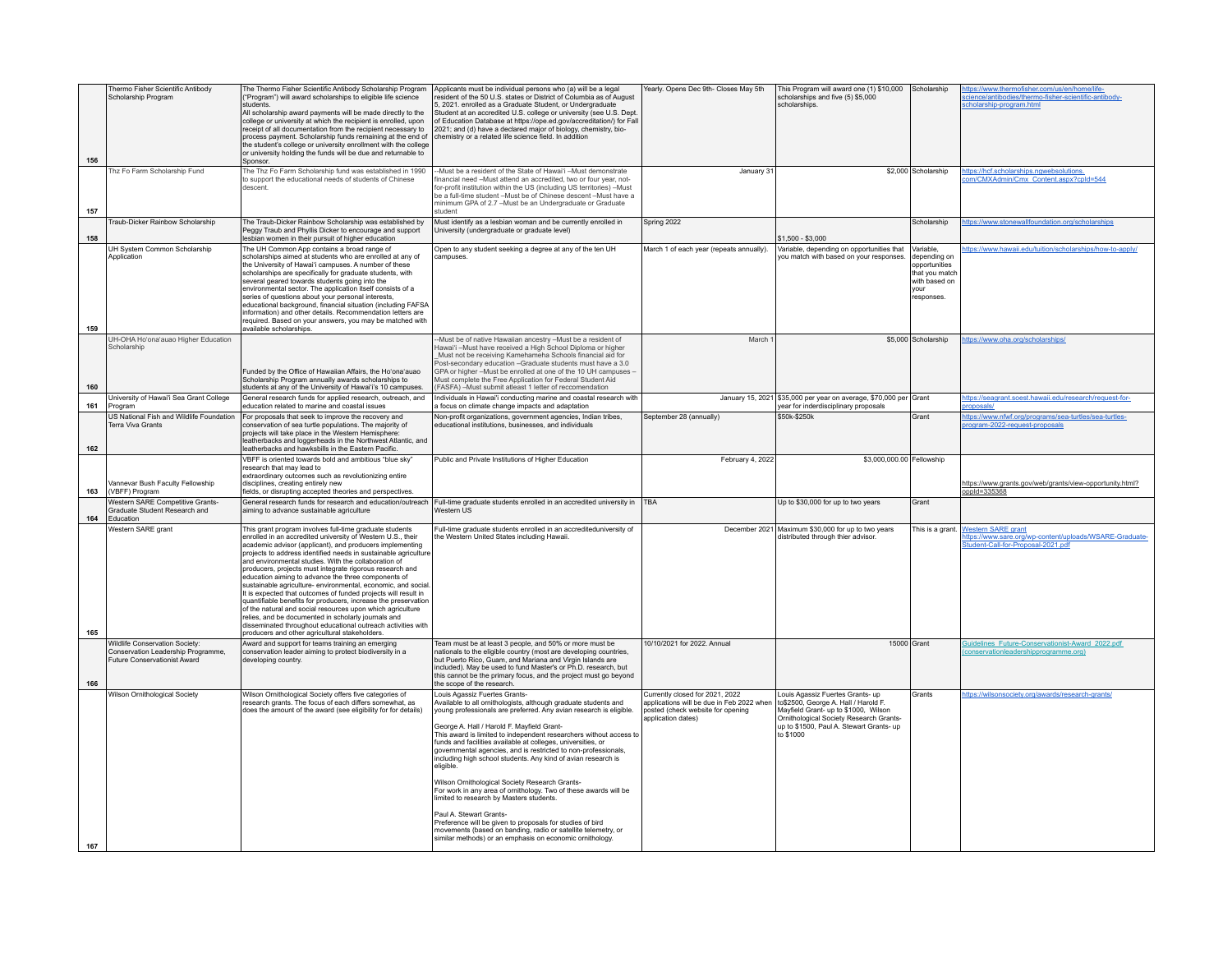| 156 | Thermo Fisher Scientific Antibody<br>Scholarship Program                                             | The Thermo Fisher Scientific Antibody Scholarship Program<br>"Program") will award scholarships to eligible life science<br>students.<br>All scholarship award payments will be made directly to the<br>college or university at which the recipient is enrolled, upon<br>receipt of all documentation from the recipient necessary to<br>process payment. Scholarship funds remaining at the end of<br>the student's college or university enrollment with the college<br>or university holding the funds will be due and returnable to<br>Sponsor.                                                                                                                                                                                                                                                                                                                        | Applicants must be individual persons who (a) will be a legal<br>resident of the 50 U.S. states or District of Columbia as of August<br>5. 2021, enrolled as a Graduate Student, or Undergraduate<br>Student at an accredited U.S. college or university (see U.S. Dept.<br>of Education Database at https://ope.ed.gov/accreditation/) for Fall<br>2021; and (d) have a declared major of biology, chemistry, bio-<br>chemistry or a related life science field. In addition                                                                                                                                                                                                                                                                                                                                                                                                                    | Yearly. Opens Dec 9th- Closes May 5th                                                                                                   | This Program will award one (1) \$10,000 Scholarship<br>scholarships and five (5) \$5,000<br>scholarships.                                                                                                           |                                                                                               | https://www.thermofisher.com/us/en/home/life-<br>cience/antibodies/thermo-fisher-scientific-antibody-<br>cholarship-program.html |
|-----|------------------------------------------------------------------------------------------------------|-----------------------------------------------------------------------------------------------------------------------------------------------------------------------------------------------------------------------------------------------------------------------------------------------------------------------------------------------------------------------------------------------------------------------------------------------------------------------------------------------------------------------------------------------------------------------------------------------------------------------------------------------------------------------------------------------------------------------------------------------------------------------------------------------------------------------------------------------------------------------------|--------------------------------------------------------------------------------------------------------------------------------------------------------------------------------------------------------------------------------------------------------------------------------------------------------------------------------------------------------------------------------------------------------------------------------------------------------------------------------------------------------------------------------------------------------------------------------------------------------------------------------------------------------------------------------------------------------------------------------------------------------------------------------------------------------------------------------------------------------------------------------------------------|-----------------------------------------------------------------------------------------------------------------------------------------|----------------------------------------------------------------------------------------------------------------------------------------------------------------------------------------------------------------------|-----------------------------------------------------------------------------------------------|----------------------------------------------------------------------------------------------------------------------------------|
| 157 | Thz Fo Farm Scholarship Fund                                                                         | The Thz Fo Farm Scholarship fund was established in 1990<br>to support the educational needs of students of Chinese<br>descent.                                                                                                                                                                                                                                                                                                                                                                                                                                                                                                                                                                                                                                                                                                                                             | -- Must be a resident of the State of Hawai'i -- Must demonstrate<br>financial need -Must attend an accredited, two or four year, not-<br>for-profit institution within the US (including US territories) -Must<br>be a full-time student -Must be of Chinese descent -Must have a<br>minimum GPA of 2.7 - Must be an Undergraduate or Graduate<br>student                                                                                                                                                                                                                                                                                                                                                                                                                                                                                                                                       | January 31                                                                                                                              |                                                                                                                                                                                                                      | \$2.000 Scholarship                                                                           | https://hcf.scholarships.ngwebsolutions.<br>om/CMXAdmin/Cmx Content.aspx?cpId=544                                                |
| 158 | Traub-Dicker Rainbow Scholarship                                                                     | The Traub-Dicker Rainbow Scholarship was established by<br>Peggy Traub and Phyllis Dicker to encourage and support<br>lesbian women in their pursuit of higher education                                                                                                                                                                                                                                                                                                                                                                                                                                                                                                                                                                                                                                                                                                    | Must identify as a lesbian woman and be currently enrolled in<br>University (undergraduate or graduate level)                                                                                                                                                                                                                                                                                                                                                                                                                                                                                                                                                                                                                                                                                                                                                                                    | Spring 2022                                                                                                                             | \$1,500 - \$3,000                                                                                                                                                                                                    | Scholarship                                                                                   | https://www.stonewallfoundation.org/scholarships                                                                                 |
| 159 | UH System Common Scholarship<br>Application                                                          | The UH Common App contains a broad range of<br>scholarships aimed at students who are enrolled at any of<br>the University of Hawai'i campuses. A number of these<br>scholarships are specifically for graduate students, with<br>several geared towards students going into the<br>environmental sector. The application itself consists of a<br>series of questions about your personal interests.<br>educational background, financial situation (including FAFSA<br>information) and other details. Recommendation letters are<br>required. Based on your answers, you may be matched with<br>available scholarships.                                                                                                                                                                                                                                                   | Open to any student seeking a degree at any of the ten UH<br>campuses                                                                                                                                                                                                                                                                                                                                                                                                                                                                                                                                                                                                                                                                                                                                                                                                                            | March 1 of each year (repeats annually).                                                                                                | Variable, depending on opportunities that Variable,<br>you match with based on your responses.                                                                                                                       | depending on<br>opportunities<br>that vou match<br>with based on<br><i>vour</i><br>responses. | https://www.hawaii.edu/tuition/scholarships/how-to-apply/                                                                        |
| 160 | UH-OHA Ho'ona'auao Higher Education<br>Scholarship                                                   | Funded by the Office of Hawaiian Affairs, the Ho'ona'auao<br>Scholarship Program annually awards scholarships to<br>students at any of the University of Hawai'i's 10 campuses.                                                                                                                                                                                                                                                                                                                                                                                                                                                                                                                                                                                                                                                                                             | -- Must be of native Hawaiian ancestry - Must be a resident of<br>Hawai'i -Must have received a High School Diploma or higher<br>Must not be receiving Kamehameha Schools financial aid for<br>Post-secondary education - Graduate students must have a 3.0<br>GPA or higher -Must be enrolled at one of the 10 UH campuses -<br>Must complete the Free Application for Federal Student Aid<br>(FASFA) - Must submit atleast 1 letter of reccomendation                                                                                                                                                                                                                                                                                                                                                                                                                                          | March 1                                                                                                                                 |                                                                                                                                                                                                                      | \$5,000 Scholarship                                                                           | https://www.oha.org/scholarships/                                                                                                |
| 161 | University of Hawai'i Sea Grant College<br>Program                                                   | General research funds for applied research, outreach, and<br>education related to marine and coastal issues                                                                                                                                                                                                                                                                                                                                                                                                                                                                                                                                                                                                                                                                                                                                                                | Individuals in Hawai'i conducting marine and coastal research with<br>a focus on climate change impacts and adaptation                                                                                                                                                                                                                                                                                                                                                                                                                                                                                                                                                                                                                                                                                                                                                                           |                                                                                                                                         | January 15, 2021 \$35,000 per year on average, \$70,000 per Grant<br>vear for inderdisciplinary proposals                                                                                                            |                                                                                               | https://seagrant.soest.hawaii.edu/research/request-for-<br>proposals/                                                            |
| 162 | US National Fish and Wildlife Foundation<br>Terra Viva Grants                                        | For proposals that seek to improve the recovery and<br>conservation of sea turtle populations. The majority of<br>projects will take place in the Western Hemisphere:<br>leatherbacks and loggerheads in the Northwest Atlantic, and<br>leatherbacks and hawksbills in the Eastern Pacific.                                                                                                                                                                                                                                                                                                                                                                                                                                                                                                                                                                                 | Non-profit organizations, government agencies, Indian tribes,<br>educational institutions, businesses, and individuals                                                                                                                                                                                                                                                                                                                                                                                                                                                                                                                                                                                                                                                                                                                                                                           | September 28 (annually)                                                                                                                 | \$50k-\$250k                                                                                                                                                                                                         | Grant                                                                                         | https://www.nfwf.org/programs/sea-turtles/sea-turtles-<br>program-2022-request-proposals                                         |
| 163 | Vannevar Bush Faculty Fellowship<br>(VBFF) Program                                                   | VBFF is oriented towards bold and ambitious "blue sky"<br>research that may lead to<br>extraordinary outcomes such as revolutionizing entire<br>disciplines, creating entirely new<br>ields, or disrupting accepted theories and perspectives.                                                                                                                                                                                                                                                                                                                                                                                                                                                                                                                                                                                                                              | Public and Private Institutions of Higher Education                                                                                                                                                                                                                                                                                                                                                                                                                                                                                                                                                                                                                                                                                                                                                                                                                                              | February 4, 2022                                                                                                                        | \$3,000,000,00 Fellowship                                                                                                                                                                                            |                                                                                               | https://www.grants.gov/web/grants/view-opportunity.html?<br>oppId=335368                                                         |
| 164 | Western SARE Competitive Grants-<br>Graduate Student Research and<br>Fducation                       | General research funds for research and education/outreach<br>siming to advance sustainable agriculture                                                                                                                                                                                                                                                                                                                                                                                                                                                                                                                                                                                                                                                                                                                                                                     | Full-time graduate students enrolled in an accredited university in<br>Western ÚS                                                                                                                                                                                                                                                                                                                                                                                                                                                                                                                                                                                                                                                                                                                                                                                                                | TBA                                                                                                                                     | Up to \$30,000 for up to two years                                                                                                                                                                                   | Grant                                                                                         |                                                                                                                                  |
| 165 | Western SARE grant                                                                                   | This grant program involves full-time graduate students<br>enrolled in an accredited university of Western U.S., their<br>academic advisor (applicant), and producers implementing<br>projects to address identified needs in sustainable agriculture<br>and environmental studies. With the collaboration of<br>producers, projects must integrate rigorous research and<br>education aiming to advance the three components of<br>sustainable agriculture- environmental, economic, and social<br>It is expected that outcomes of funded projects will result in<br>quantifiable benefits for producers, increase the preservation<br>of the natural and social resources upon which agriculture<br>relies, and be documented in scholarly journals and<br>disseminated throughout educational outreach activities with<br>producers and other agricultural stakeholders. | Full-time graduate students enrolled in an accrediteduniversity of<br>the Western United States including Hawaii.                                                                                                                                                                                                                                                                                                                                                                                                                                                                                                                                                                                                                                                                                                                                                                                |                                                                                                                                         | December 2021 Maximum \$30,000 for up to two years<br>distributed through thier advisor.                                                                                                                             | This is a grant.                                                                              | <b>Western SARE grant</b><br>ttps://www.sare.org/wp-content/uploads/WSARE-Graduate-<br>tudent-Call-for-Proposal-2021.pdf         |
| 166 | Wildlife Conservation Society:<br>Conservation Leadership Programme,<br>Future Conservationist Award | Award and support for teams training an emerging<br>conservation leader aiming to protect biodiversity in a<br>developing country.                                                                                                                                                                                                                                                                                                                                                                                                                                                                                                                                                                                                                                                                                                                                          | Team must be at least 3 people, and 50% or more must be<br>nationals to the eligible country (most are developing countries,<br>but Puerto Rico, Guam, and Mariana and Virgin Islands are<br>included). May be used to fund Master's or Ph.D. research, but<br>this cannot be the primary focus, and the project must go beyond<br>the scope of the research.                                                                                                                                                                                                                                                                                                                                                                                                                                                                                                                                    | 10/10/2021 for 2022. Annual                                                                                                             | 15000 Grant                                                                                                                                                                                                          |                                                                                               | Suidelines_Future-Conservationist-Award_2022.pdf<br>conservationleadershipprogramme.org)                                         |
| 167 | Wilson Omithological Society                                                                         | Wilson Ornithological Society offers five categories of<br>research grants. The focus of each differs somewhat, as<br>does the amount of the award (see eligibility for for details)                                                                                                                                                                                                                                                                                                                                                                                                                                                                                                                                                                                                                                                                                        | Louis Agassiz Fuertes Grants-<br>Available to all ornithologists, although graduate students and<br>young professionals are preferred. Any avian research is eligible.<br>George A. Hall / Harold F. Mayfield Grant-<br>This award is limited to independent researchers without access to<br>funds and facilities available at colleges, universities, or<br>governmental agencies, and is restricted to non-professionals,<br>including high school students. Any kind of avian research is<br>eligible.<br>Wilson Ornithological Society Research Grants-<br>For work in any area of ornithology. Two of these awards will be<br>limited to research by Masters students.<br>Paul A. Stewart Grants-<br>Preference will be given to proposals for studies of bird<br>movements (based on banding, radio or satellite telemetry, or<br>similar methods) or an emphasis on economic omithology. | Currently closed for 2021, 2022<br>applications will be due in Feb 2022 when<br>posted (check website for opening<br>application dates) | Louis Agassiz Fuertes Grants- up<br>to\$2500, George A. Hall / Harold F.<br>Mayfield Grant- up to \$1000, Wilson<br>Ornithological Society Research Grants-<br>up to \$1500, Paul A. Stewart Grants- up<br>to \$1000 | Grants                                                                                        | https://wilsonsociety.org/awards/research-grants/                                                                                |